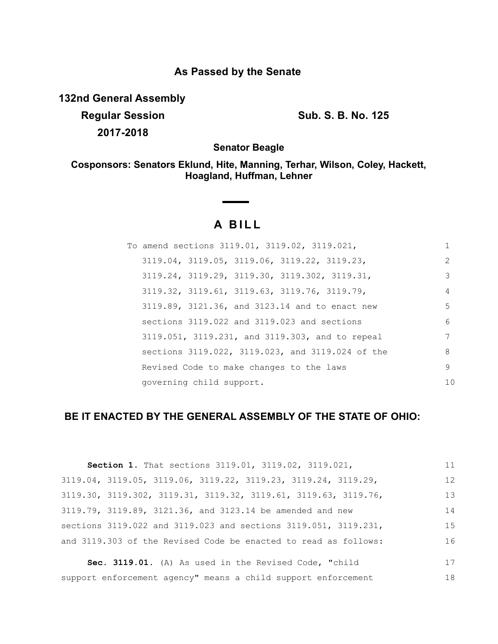## **As Passed by the Senate**

**132nd General Assembly**

**Regular Session Sub. S. B. No. 125 2017-2018**

**Senator Beagle**

**Cosponsors: Senators Eklund, Hite, Manning, Terhar, Wilson, Coley, Hackett, Hoagland, Huffman, Lehner**

## **A BILL**

|  |                          | To amend sections 3119.01, 3119.02, 3119.021,              |                |
|--|--------------------------|------------------------------------------------------------|----------------|
|  |                          | 3119.04, 3119.05, 3119.06, 3119.22, 3119.23,               | $\mathcal{L}$  |
|  |                          | $3119.24$ , $3119.29$ , $3119.30$ , $3119.302$ , $3119.31$ | 3              |
|  |                          | 3119.32, 3119.61, 3119.63, 3119.76, 3119.79,               | 4              |
|  |                          | 3119.89, 3121.36, and 3123.14 and to enact new             | 5              |
|  |                          | sections 3119.022 and 3119.023 and sections                | 6              |
|  |                          | 3119.051, 3119.231, and 3119.303, and to repeal            |                |
|  |                          | sections 3119.022, 3119.023, and 3119.024 of the           | 8              |
|  |                          | Revised Code to make changes to the laws                   | 9              |
|  | governing child support. |                                                            | 1 <sub>0</sub> |

## **BE IT ENACTED BY THE GENERAL ASSEMBLY OF THE STATE OF OHIO:**

| Section 1. That sections 3119.01, 3119.02, 3119.021,            | 11 |
|-----------------------------------------------------------------|----|
| 3119.04, 3119.05, 3119.06, 3119.22, 3119.23, 3119.24, 3119.29,  | 12 |
| 3119.30, 3119.302, 3119.31, 3119.32, 3119.61, 3119.63, 3119.76, | 13 |
| 3119.79, 3119.89, 3121.36, and 3123.14 be amended and new       | 14 |
| sections 3119.022 and 3119.023 and sections 3119.051, 3119.231, | 15 |
| and 3119.303 of the Revised Code be enacted to read as follows: | 16 |
| Sec. 3119.01. (A) As used in the Revised Code, "child           | 17 |

**Sec. 3119.01.** (A) As used in the Revised Code, "child support enforcement agency" means a child support enforcement 18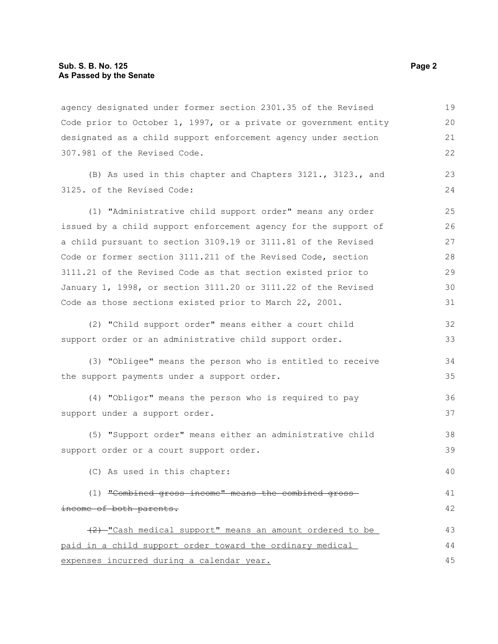agency designated under former section 2301.35 of the Revised Code prior to October 1, 1997, or a private or government entity designated as a child support enforcement agency under section 307.981 of the Revised Code. (B) As used in this chapter and Chapters 3121., 3123., and 3125. of the Revised Code: (1) "Administrative child support order" means any order issued by a child support enforcement agency for the support of a child pursuant to section 3109.19 or 3111.81 of the Revised Code or former section 3111.211 of the Revised Code, section 3111.21 of the Revised Code as that section existed prior to January 1, 1998, or section 3111.20 or 3111.22 of the Revised Code as those sections existed prior to March 22, 2001. (2) "Child support order" means either a court child support order or an administrative child support order. (3) "Obligee" means the person who is entitled to receive the support payments under a support order. (4) "Obligor" means the person who is required to pay support under a support order. (5) "Support order" means either an administrative child support order or a court support order. (C) As used in this chapter: (1) "Combined gross income" means the combined gross income of both parents. (2) "Cash medical support" means an amount ordered to be paid in a child support order toward the ordinary medical expenses incurred during a calendar year. 19 20 21 22 23 24 25 26 27 28 29 30 31 32 33 34 35 36 37 38 39 40 41 42 43 44 45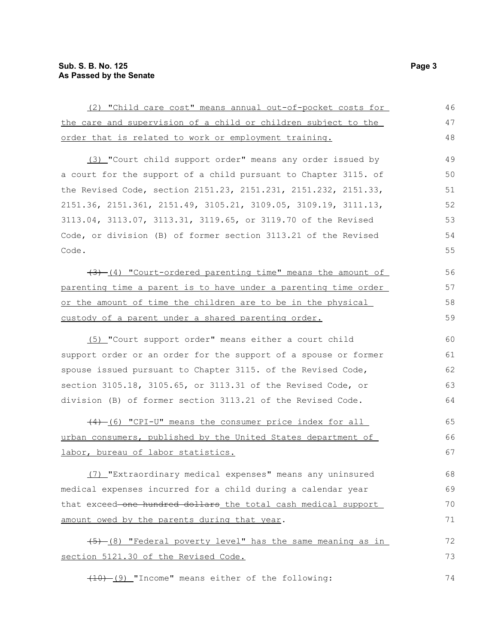| (2) "Child care cost" means annual out-of-pocket costs for      | 46 |
|-----------------------------------------------------------------|----|
| the care and supervision of a child or children subject to the  | 47 |
| order that is related to work or employment training.           | 48 |
| (3) "Court child support order" means any order issued by       | 49 |
| a court for the support of a child pursuant to Chapter 3115. of | 50 |
| the Revised Code, section 2151.23, 2151.231, 2151.232, 2151.33, | 51 |
| 2151.36, 2151.361, 2151.49, 3105.21, 3109.05, 3109.19, 3111.13, | 52 |
| 3113.04, 3113.07, 3113.31, 3119.65, or 3119.70 of the Revised   | 53 |
| Code, or division (B) of former section 3113.21 of the Revised  | 54 |
| Code.                                                           | 55 |
| (4) "Court-ordered parenting time" means the amount of          | 56 |
| parenting time a parent is to have under a parenting time order | 57 |
| or the amount of time the children are to be in the physical    | 58 |
| custody of a parent under a shared parenting order.             | 59 |
| (5) "Court support order" means either a court child            | 60 |
| support order or an order for the support of a spouse or former | 61 |
| spouse issued pursuant to Chapter 3115. of the Revised Code,    | 62 |
| section 3105.18, 3105.65, or 3113.31 of the Revised Code, or    | 63 |
| division (B) of former section 3113.21 of the Revised Code.     | 64 |
| (4) (6) "CPI-U" means the consumer price index for all          | 65 |
| urban consumers, published by the United States department of   | 66 |
| labor, bureau of labor statistics.                              | 67 |
| (7) "Extraordinary medical expenses" means any uninsured        | 68 |
| medical expenses incurred for a child during a calendar year    | 69 |
| that exceed-one hundred dollars_the_total_cash_medical_support_ | 70 |
| amount owed by the parents during that year.                    | 71 |
| (5) (8) "Federal poverty level" has the same meaning as in      | 72 |
| section 5121.30 of the Revised Code.                            | 73 |
| $(10)$ (9) "Income" means either of the following:              | 74 |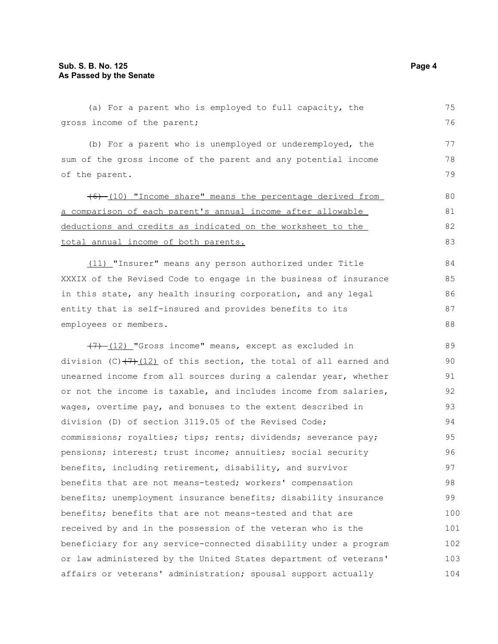(a) For a parent who is employed to full capacity, the gross income of the parent; (b) For a parent who is unemployed or underemployed, the sum of the gross income of the parent and any potential income of the parent. (6) (10) "Income share" means the percentage derived from a comparison of each parent's annual income a fter allowable deductions and credits as indicated on the worksheet to the total annual income of both parents. (11) "Insurer" means any person authorized under Title XXXIX of the Revised Code to engage in the business of insurance in this state, any health insuring corporation, and any legal entity that is self-insured and provides benefits to its employees or members.  $(7)$  (12) "Gross income" means, except as excluded in division (C) $(7)$ (12) of this section, the total of all earned and unearned income from all sources during a calendar year, whether or not the income is taxable, and includes income from salaries, wages, overtime pay, and bonuses to the extent described in division (D) of section 3119.05 of the Revised Code; commissions; royalties; tips; rents; dividends; severance pay; pensions; interest; trust income; annuities; social security benefits, including retirement, disability, and survivor benefits that are not means-tested; workers' compensation benefits; unemployment insurance benefits; disability insurance benefits; benefits that are not means-tested and that are received by and in the possession of the veteran who is the beneficiary for any service-connected disability under a program or law administered by the United States department of veterans' affairs or veterans' administration; spousal support actually 75 76 77 78 79 80 81 82 83 84 85 86 87 88 89 90 91 92 93 94 95 96 97 98 99 100 101 102 103 104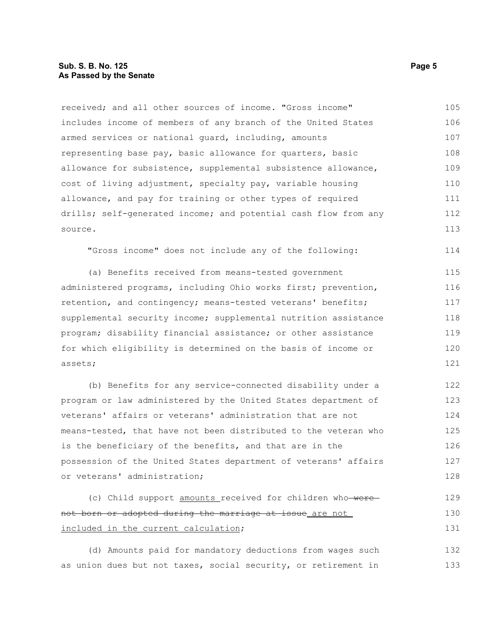## **Sub. S. B. No. 125 Page 5 As Passed by the Senate**

received; and all other sources of income. "Gross income" includes income of members of any branch of the United States armed services or national guard, including, amounts representing base pay, basic allowance for quarters, basic allowance for subsistence, supplemental subsistence allowance, cost of living adjustment, specialty pay, variable housing allowance, and pay for training or other types of required drills; self-generated income; and potential cash flow from any source. 105 106 107 108 109 110 111 112 113

"Gross income" does not include any of the following:

(a) Benefits received from means-tested government administered programs, including Ohio works first; prevention, retention, and contingency; means-tested veterans' benefits; supplemental security income; supplemental nutrition assistance program; disability financial assistance; or other assistance for which eligibility is determined on the basis of income or assets; 115 116 117 118 119 120 121

(b) Benefits for any service-connected disability under a program or law administered by the United States department of veterans' affairs or veterans' administration that are not means-tested, that have not been distributed to the veteran who is the beneficiary of the benefits, and that are in the possession of the United States department of veterans' affairs or veterans' administration; 122 123 124 125 126 127 128

```
(c) Child support amounts received for children who were
not born or adopted during the marriage at issue are not
included in the current calculation;
                                                                           129
                                                                           130
                                                                           131
```
(d) Amounts paid for mandatory deductions from wages such as union dues but not taxes, social security, or retirement in 132 133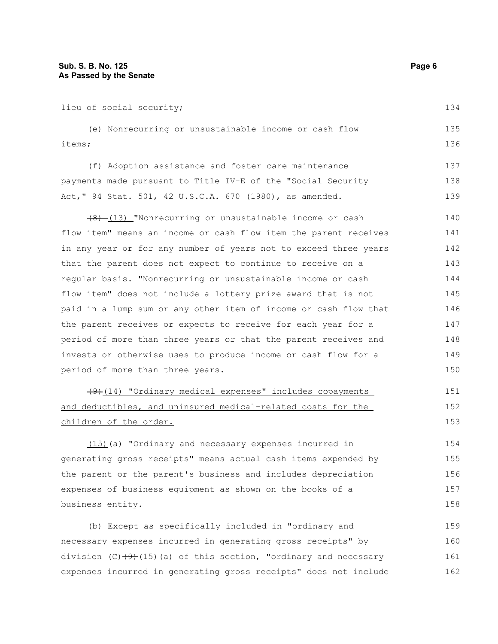lieu of social security; (e) Nonrecurring or unsustainable income or cash flow items; (f) Adoption assistance and foster care maintenance payments made pursuant to Title IV-E of the "Social Security Act," 94 Stat. 501, 42 U.S.C.A. 670 (1980), as amended.  $(8)$  (13) "Nonrecurring or unsustainable income or cash flow item" means an income or cash flow item the parent receives in any year or for any number of years not to exceed three years that the parent does not expect to continue to receive on a regular basis. "Nonrecurring or unsustainable income or cash flow item" does not include a lottery prize award that is not paid in a lump sum or any other item of income or cash flow that the parent receives or expects to receive for each year for a period of more than three years or that the parent receives and invests or otherwise uses to produce income or cash flow for a period of more than three years. (9) (14) "Ordinary medical expenses" includes copayments and deductibles, and uninsured medical-related costs for the children of the order. (15)(a) "Ordinary and necessary expenses incurred in generating gross receipts" means actual cash items expended by the parent or the parent's business and includes depreciation expenses of business equipment as shown on the books of a business entity. 134 135 136 137 138 139 140 141 142 143 144 145 146 147 148 149 150 151 152 153 154 155 156 157 158

(b) Except as specifically included in "ordinary and necessary expenses incurred in generating gross receipts" by division (C) $(9)$ (15)(a) of this section, "ordinary and necessary expenses incurred in generating gross receipts" does not include 159 160 161 162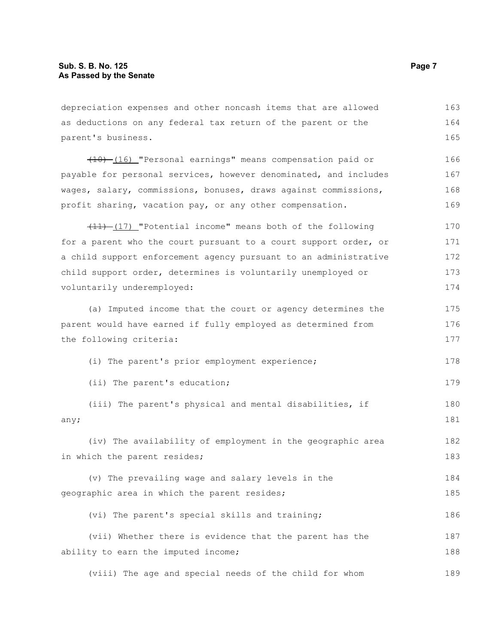depreciation expenses and other noncash items that are allowed as deductions on any federal tax return of the parent or the parent's business. (10) (16) "Personal earnings" means compensation paid or payable for personal services, however denominated, and includes wages, salary, commissions, bonuses, draws against commissions, profit sharing, vacation pay, or any other compensation. (11) (17) "Potential income" means both of the following for a parent who the court pursuant to a court support order, or a child support enforcement agency pursuant to an administrative child support order, determines is voluntarily unemployed or voluntarily underemployed: (a) Imputed income that the court or agency determines the parent would have earned if fully employed as determined from the following criteria: (i) The parent's prior employment experience; (ii) The parent's education; (iii) The parent's physical and mental disabilities, if any; (iv) The availability of employment in the geographic area in which the parent resides; (v) The prevailing wage and salary levels in the geographic area in which the parent resides; (vi) The parent's special skills and training; (vii) Whether there is evidence that the parent has the ability to earn the imputed income; 163 164 165 166 167 168 169 170 171 172 173 174 175 176 177 178 179 180 181 182 183 184 185 186 187 188

(viii) The age and special needs of the child for whom 189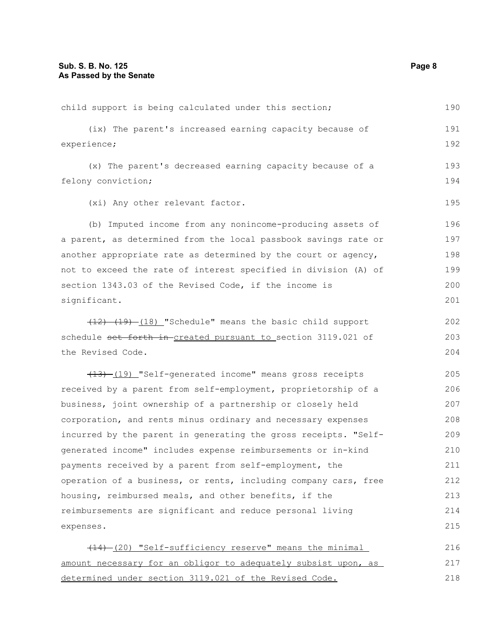| child support is being calculated under this section;           | 190 |
|-----------------------------------------------------------------|-----|
| (ix) The parent's increased earning capacity because of         | 191 |
| experience;                                                     | 192 |
| (x) The parent's decreased earning capacity because of a        | 193 |
| felony conviction;                                              | 194 |
| (xi) Any other relevant factor.                                 | 195 |
| (b) Imputed income from any nonincome-producing assets of       | 196 |
| a parent, as determined from the local passbook savings rate or | 197 |
| another appropriate rate as determined by the court or agency,  | 198 |
| not to exceed the rate of interest specified in division (A) of | 199 |
| section 1343.03 of the Revised Code, if the income is           | 200 |
| significant.                                                    | 201 |
| (12) (19) (18) "Schedule" means the basic child support         | 202 |
| schedule set forth in created pursuant to section 3119.021 of   | 203 |
| the Revised Code.                                               | 204 |
| (13) [19] "Self-generated income" means gross receipts          | 205 |
| received by a parent from self-employment, proprietorship of a  | 206 |
| business, joint ownership of a partnership or closely held      | 207 |
| corporation, and rents minus ordinary and necessary expenses    | 208 |
| incurred by the parent in generating the gross receipts. "Self- | 209 |
| generated income" includes expense reimbursements or in-kind    | 210 |
| payments received by a parent from self-employment, the         | 211 |
| operation of a business, or rents, including company cars, free | 212 |
| housing, reimbursed meals, and other benefits, if the           | 213 |
| reimbursements are significant and reduce personal living       | 214 |
| expenses.                                                       | 215 |
| (14) (20) "Self-sufficiency reserve" means the minimal          | 216 |
| amount necessary for an obligor to adequately subsist upon, as  | 217 |
| <u>determined under section 3119.021 of the Revised Code.</u>   | 218 |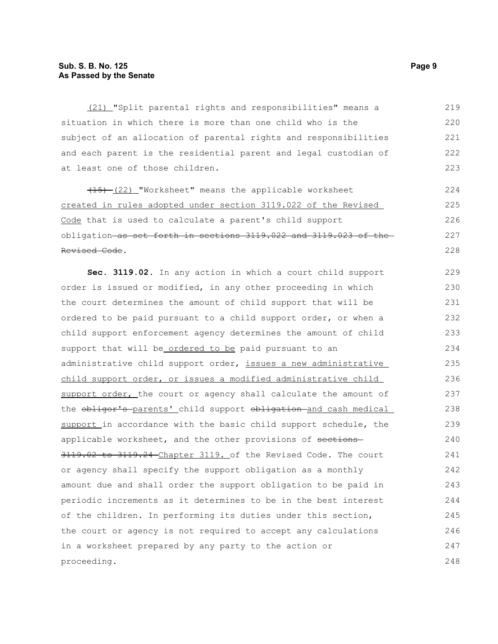(21) "Split parental rights and responsibilities" means a situation in which there is more than one child who is the subject of an allocation of parental rights and responsibilities and each parent is the residential parent and legal custodian of at least one of those children. 219 220 221 222 223

(15) (22) "Worksheet" means the applicable worksheet created in rules adopted under section 3119.022 of the Revised Code that is used to calculate a parent's child support obligation as set forth in sections 3119.022 and 3119.023 of the Revised Code.

**Sec. 3119.02.** In any action in which a court child support order is issued or modified, in any other proceeding in which the court determines the amount of child support that will be ordered to be paid pursuant to a child support order, or when a child support enforcement agency determines the amount of child support that will be ordered to be paid pursuant to an administrative child support order, issues a new administrative child support order, or issues a modified administrative child support order, the court or agency shall calculate the amount of the obligor's parents' child support obligation and cash medical support in accordance with the basic child support schedule, the applicable worksheet, and the other provisions of sections 3119.02 to 3119.24 Chapter 3119. of the Revised Code. The court or agency shall specify the support obligation as a monthly amount due and shall order the support obligation to be paid in periodic increments as it determines to be in the best interest of the children. In performing its duties under this section, the court or agency is not required to accept any calculations in a worksheet prepared by any party to the action or proceeding. 229 230 231 232 233 234 235 236 237 238 239 240 241 242 243 244 245 246 247 248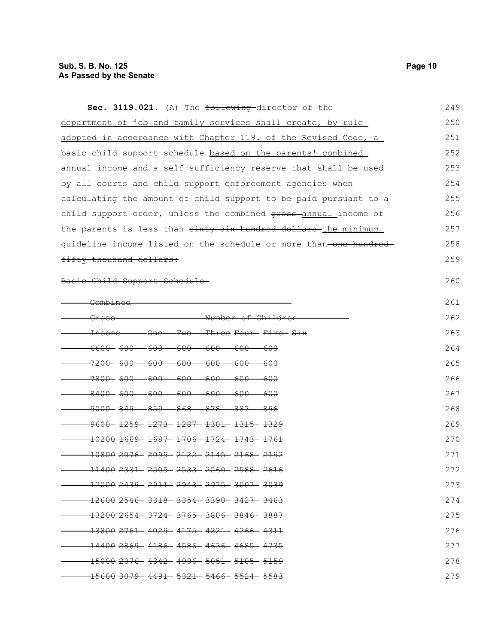| Sec. 3119.021. (A) The following director of the                                                     | 249 |
|------------------------------------------------------------------------------------------------------|-----|
| department of job and family services shall create, by rule                                          | 250 |
| adopted in accordance with Chapter 119. of the Revised Code, a                                       | 251 |
| basic child support schedule based on the parents' combined                                          | 252 |
| annual income and a self-sufficiency reserve that shall be used                                      | 253 |
| by all courts and child support enforcement agencies when                                            | 254 |
| calculating the amount of child support to be paid pursuant to a                                     | 255 |
| child support order, unless the combined gross-annual income of                                      | 256 |
| the parents is less than <del>sixty-six hundred dollars the</del> minimum                            | 257 |
| guideline income listed on the schedule or more than one hundred                                     | 258 |
| fifty thousand dollars:                                                                              | 259 |
| <del>Child Support Schedu</del>                                                                      | 260 |
| <del>Combined</del>                                                                                  | 261 |
| - <del>Number of Children</del><br><del>Gross</del>                                                  | 262 |
| <del>Two</del> −<br>- <del>Three Four- Five- Six</del><br><del>Income</del><br><del>One</del>        | 263 |
| <del>6600- 600-</del><br>. <del>600-</del><br><del>-600 -</del><br>. <del>600</del><br>-600-<br>-600 | 264 |
| <del>7200- 600-</del><br><del>-600-</del><br>-600-<br><del>-600</del><br>-600<br>-600                | 265 |
| <del>7800 - 600 -</del><br>-600-<br>-600-<br>-600-<br>-600-<br>-600                                  | 266 |
| <del>8400 - 600 -</del><br>-600-<br>-600-<br>-600-<br>-600-<br>-600                                  | 267 |
| <del>9000 - 849 -</del><br>—859—<br><del>868-</del><br>-878-<br>-887-<br>-896                        | 268 |
| <del>9600 1259 1273 1287 1301 1315 1329</del>                                                        | 269 |
| $-10200$ $1669 - 1687 - 1706 - 1724 - 1743 - 1761$                                                   | 270 |
| <del>10800 2076- 2099- 2122- 2145- 2168- 2192</del>                                                  | 271 |
|                                                                                                      | 272 |
| <del>12000 2439 - 2911 - 2943 - 2975 - 3007 - 3039</del>                                             | 273 |
| <del>12600 2546 - 3318 - 3354 - 3390 - 3427 - 3463</del>                                             | 274 |
|                                                                                                      | 275 |
| <del>13800 2761 - 4029 - 4175 - 4221 - 4266 - 4311</del>                                             | 276 |
| <u> 14400 2869 - 4186 - 4586 - 4636 - 4685 - 4735 -</u>                                              | 277 |
| - <del>15000 2976 - 4342 - 4996 - 5051 - 5105 - 5159</del>                                           | 278 |
| <del>15600 3079 - 4491 - 5321 - 5466 - 5524 - 5583</del>                                             | 279 |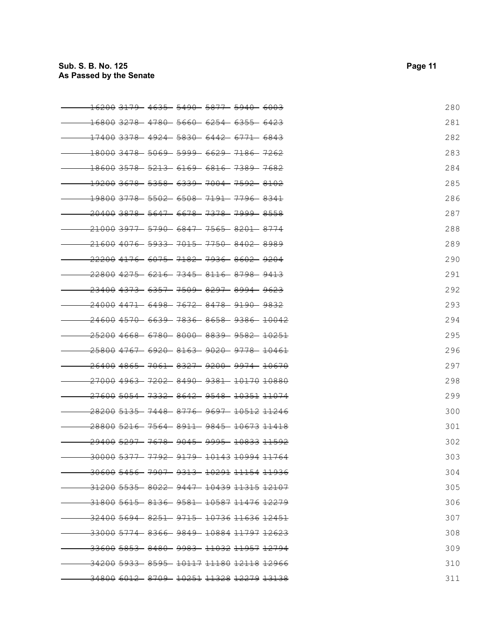| <del>16200 3179 - 4635 - 5490 - 5877</del>                | - <del>5940- 6003</del>                                           | 280 |
|-----------------------------------------------------------|-------------------------------------------------------------------|-----|
| <del>16800 3278 -4780 -5660 -6254 -6355 -6423</del>       |                                                                   | 281 |
| <del>17400 3378 - 4924 - 5830 - 6442 - 6771 - 6843</del>  |                                                                   | 282 |
| <del>18000 3478 - 5069 - 5999 - 6629 - 7186 - 7262</del>  |                                                                   | 283 |
| 18600 3578 5213 6169 6816 7389 7682                       |                                                                   | 284 |
| <del>19200 3678 - 5358 - 6339 - 7004 - 7592 - 8102</del>  |                                                                   | 285 |
| <del>19800 3778 - 5502 - 6508 - 7191 - 7796 - 8341</del>  |                                                                   | 286 |
| <del>20400 3878 - 5647 - 6678 - 7378 - 7999 - 8558</del>  |                                                                   | 287 |
| <del>21000 3977 - 5790 - 6847 - 7565 - 8201 - 8774</del>  |                                                                   | 288 |
| <del>21600 4076  5933  7015  7750  8402  8989</del>       |                                                                   | 289 |
| <del>22200 4176 - 6075 - 7182 - 7936 - 8602 - 9204</del>  |                                                                   | 290 |
| $-22800$ $4275 - 6216 - 7345 - 8116 - 8798 - 9413$        |                                                                   | 291 |
| <del>23400 4373 - 6357 - 7509 - 8297 - 8994 - 9623</del>  |                                                                   | 292 |
| <del>24000 4471 - 6498 - 7672 - 8478 - 9190 - 9832</del>  |                                                                   | 293 |
| <del>24600 4570 - 6639 - 7836 - 8658 - 9386 - 10042</del> |                                                                   | 294 |
| <del>25200 4668 - 6780 - 8000 - 8839 - 9582 - 10251</del> |                                                                   | 295 |
| <del>25800 4767  6920  8163  9020  9778  10461</del>      |                                                                   | 296 |
| <del>26400 4865 - 7061 - 8327 - 9200 - 9974 - 10670</del> |                                                                   | 297 |
| <del>27000 4963 - 7202 - 8490 - 9381 - 10170 10880</del>  |                                                                   | 298 |
| <del>27600 5054 - 7332 - 8642 - 9548 - 10351 11074</del>  |                                                                   | 299 |
| <del>28200 5135 - 7448 - 8776 - 9697 - 10512 11246</del>  |                                                                   | 300 |
| <del>28800 5216- 7564- 8911- 9845- 10673 11418</del>      |                                                                   | 301 |
| <del>29400 5297</del>                                     | - <del>7678</del> - <del>9045- 9995- 10833</del> <del>11592</del> | 302 |
| <u>30000 5377 7792 9179 10143 10994 11764</u>             |                                                                   | 303 |
| $-30600$ 5456 - 7907 - 9313 - 10291 11154 11936           |                                                                   | 304 |
| -31200 5535- 8022- 9447- 10439 11315 12107                |                                                                   | 305 |
| -31800 5615    8136    9581    10587 11476 12279          |                                                                   | 306 |
| - <del>32400 5694 - 8251 - 9715 - 10736 11636 12451</del> |                                                                   | 307 |
| - <del>33000 5774 -8366 -9849 -10884 11797 12623</del>    |                                                                   | 308 |
| <del>.33600 5853 - 8480 - 9983 - 11032 11957 12794</del>  |                                                                   | 309 |
| <del>34200 5933 - 8595 - 10117 11180 12118 12966</del>    |                                                                   | 310 |
| 34800 6012 8709 10251 11328 12279 13138                   |                                                                   | 311 |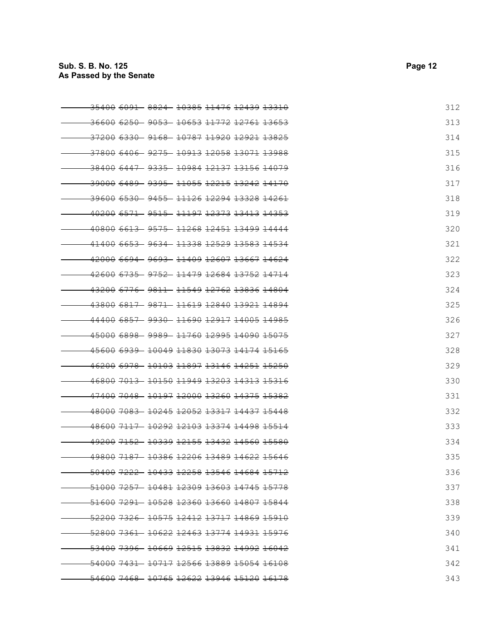| <del>35400 6091</del><br>- <del>8824</del> - <del>10385 11476 12439 13310</del> | 312 |
|---------------------------------------------------------------------------------|-----|
| $-36600$ $6250 - 9053 - 10653$ $11772$ $12761$ $13653$                          | 313 |
| - <del>37200 6330 - 9168 - 10787 11920 12921 13825</del>                        | 314 |
| $-3780066406 - 9275 - 10913120581307113988$                                     | 315 |
| - <del>38400 6447 - 9335 - 10984 12137 13156 14079</del>                        | 316 |
| <del>39000 6489  9395  11055  12215  13242  14170</del>                         | 317 |
| <del>39600 6530 - 9455 - 11126 12294 13328 14261</del>                          | 318 |
| <del>.40200 6571 - 9515 - 11197 12373 13413 14353</del>                         | 319 |
| <u>40800 6613 - 9575 -11268 12451 13499 14444</u>                               | 320 |
| 41400 6653 9634 11338 12529 13583 14534                                         | 321 |
| <u>42000 6694 - 9693 -11409 12607 13667 14624</u>                               | 322 |
| <del>-42600 6735 - 9752 - 11479 12684 13752 14714</del>                         | 323 |
| <del>43200 6776 - 9811 - 11549 12762 13836 14804</del>                          | 324 |
| <del>.43800 6817 - 9871 - 11619 12840 13921</del> <del>14894</del>              | 325 |
| <del>44400 6857 - 9930 - 11690 12917 14005 14985</del>                          | 326 |
| <del>-45000 6898 - 9989 - 11760 12995 14090 15075</del>                         | 327 |
| <del>45600 6939  10049 11830 13073 14174 15165</del>                            | 328 |
| <u>46200 6978 - 10103 11897 13146 14251 15250</u>                               | 329 |
| 46800 7013 10150 11949 13203 14313 15316                                        | 330 |
| <del>47400 7048  10197 12000 13260 14375 15382</del>                            | 331 |
| <del>-48000 7083 - 10245 12052 13317 14437 15448</del>                          | 332 |
| <del>48600 7117 -10292 12103 13374 14498 15514</del>                            | 333 |
| 49200 7152 10339 12155 13432 14560 15580                                        | 334 |
| <u>49800 7187 - 10386 12206 13489 14622 15646</u>                               | 335 |
| <del>50400 7222 10433 12258 13546 14684 15712</del>                             | 336 |
| -51000 7257 10481 12309 13603 14745 15778                                       | 337 |
| <del>-51600 7291 -10528 12360 13660 14807 15844</del>                           | 338 |
| - <del>52200 7326 - 10575 12412 13717 14869 15910</del>                         | 339 |
| -52800 7361- 10622 12463 13774 14931 15976                                      | 340 |
| -53400 7396 - 10669 12515 13832 14992 16042                                     | 341 |
|                                                                                 | 342 |
|                                                                                 | 343 |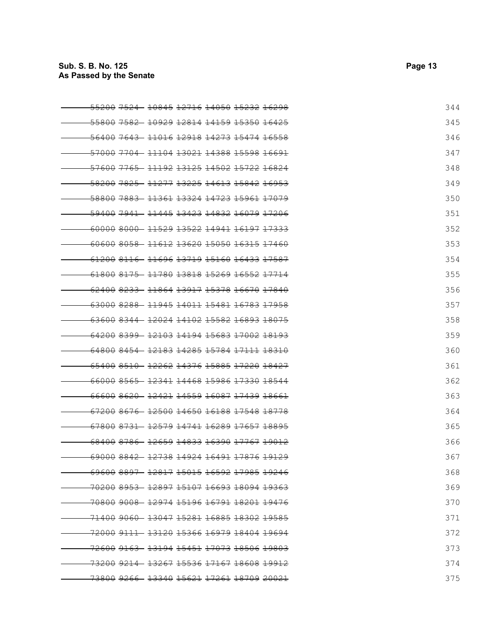| <del>55200 7524</del><br>- <del>10845 12716 14050 15232</del> <del>16298</del> | 344 |
|--------------------------------------------------------------------------------|-----|
| 55800 7582 10929 12814 14159 15350 16425                                       | 345 |
| - <del>56400 7643 - 11016 12918 14273 15474 16558</del>                        | 346 |
| <del>57000 7704 - 11104 13021 14388 15598 16691</del>                          | 347 |
| -57600 <del>7765 - 11192 13125 14502</del> <del>15722 16824</del>              | 348 |
| <del>58200 7825 - 11277 13225 14613 15842 16953</del>                          | 349 |
| <del>58800 7883 - 11361 13324 14723 15961 17079</del>                          | 350 |
| <del>59400 7941 - 11445 13423 14832</del> <del>16079 17206</del>               | 351 |
| -60000 8000 - 11529 13522 14941 16197 17333                                    | 352 |
| 60600 8058 11612 13620 15050 16315 17460                                       | 353 |
| <u>61200 8116 - 11696 13719 15160 16433 17587</u>                              | 354 |
| 61800 8175 11780 13818 15269 16552 17714                                       | 355 |
| <del>62400 8233 -11864 13917 15378 16670 17840</del>                           | 356 |
| -63000 8288 11945 14011 15481 16783 17958                                      | 357 |
| <del>63600 8344- 12024 14102 15582</del> <del>16893 18075</del>                | 358 |
| <del>64200 8399 12103 14194 15683 17002 18193</del>                            | 359 |
|                                                                                | 360 |
| <del>.65400 8510 - 12262 14376 15885 17220 18427</del>                         | 361 |
| 66000 8565 12341 14468 15986 17330 18544                                       | 362 |
|                                                                                | 363 |
| 67200 8676 12500 14650 16188 17548 18778                                       | 364 |
|                                                                                | 365 |
| <del>68400 8786 12659 14833 16390 17767</del> <del>19012</del>                 | 366 |
| <u>69000 8842 - 12738 14924 16491 17876 19129</u>                              | 367 |
| <del>69600 8897 -12817 15015 16592 17985 19246</del>                           | 368 |
| 70200 8953 12897 15107 16693 18094 19363                                       | 369 |
| <del>.70800 9008 12974 15196 16791 18201 19476</del>                           | 370 |
|                                                                                | 371 |
| <del>-72000 9111 -13120 15366 16979 18404 19694</del>                          | 372 |
| <del>72600 9163 - 13194 15451 17073 18506 19803</del>                          | 373 |
| <del>73200 9214 -13267 15536 17167 18608 19912</del>                           | 374 |
| <del>73800 9266- 13340 15621 17261 18709 20021</del>                           | 375 |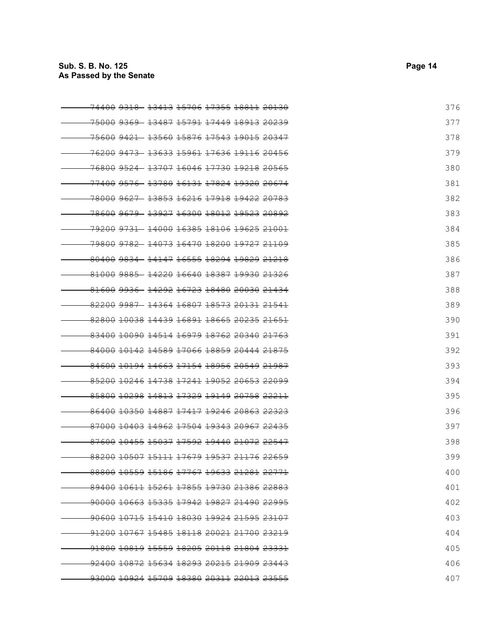| <del>74400 9318</del>                                             | - <del>13413</del> <del>15706 17355</del> <del>18811</del> <del>20130</del> |  | 376 |
|-------------------------------------------------------------------|-----------------------------------------------------------------------------|--|-----|
| <del>75000 9369 13487 15791 17449 18913 20239</del>               |                                                                             |  | 377 |
|                                                                   |                                                                             |  | 378 |
| <del>.76200 9473 - 13633 15961 17636 19116 20456</del>            |                                                                             |  | 379 |
| <del>.76800 9524 13707 16046 17730 19218 20565</del>              |                                                                             |  | 380 |
| <del>.77400 9576 -13780 16131 17824 19320 20674</del>             |                                                                             |  | 381 |
| <del>.78000 9627 13853 16216 17918 19422</del> <del>20783</del>   |                                                                             |  | 382 |
| <del>78600 9679 - 13927 16300 18012 19523 20892</del>             |                                                                             |  | 383 |
| <del>.79200 9731 -14000 16385 18106 19625 21001</del>             |                                                                             |  | 384 |
| <del>.79800 9782 14073 16470 18200 19727 21109</del>              |                                                                             |  | 385 |
|                                                                   |                                                                             |  | 386 |
| <del>-81000 9885 -14220 16640 18387 19930 21326</del>             |                                                                             |  | 387 |
| 81600 9936 14292 16723 18480 20030 21434                          |                                                                             |  | 388 |
| <del>.82200 9987 - 14364 16807 18573</del> <del>20131 21541</del> |                                                                             |  | 389 |
| 82800 10038 14439 16891 18665 20235 21651                         |                                                                             |  | 390 |
| 83400 10090 14514 16979 18762 20340 21763                         |                                                                             |  | 391 |
| 84000 10142 14589 17066 18859 20444 21875                         |                                                                             |  | 392 |
| <u>84600 10194 14663 17154 18956 20549 21987</u>                  |                                                                             |  | 393 |
| 85200 10246 14738 17241 19052 20653 22099                         |                                                                             |  | 394 |
| 85800 10298 14813 17329 19149 20758 22211                         |                                                                             |  | 395 |
| 86400 10350 14887 17417 19246 20863 22323                         |                                                                             |  | 396 |
| 87000 10403 14962 17504 19343 20967 22435                         |                                                                             |  | 397 |
| 87600 10455 15037 17592 19440 21072 22547                         |                                                                             |  | 398 |
| <del>88200 10507 15111</del> <del>17679 19537 21176 22659</del>   |                                                                             |  | 399 |
| <del>88800 10559 15186 17767 19633 21281 22771</del>              |                                                                             |  | 400 |
| 89400 10611 15261 17855 19730 21386 22883                         |                                                                             |  | 401 |
| -90000 10663 15335 17942 19827 21490 22995                        |                                                                             |  | 402 |
| <del>-90600 10715 15410 18030 19924 21595 23107</del>             |                                                                             |  | 403 |
| <del>-91200 10767 15485 18118 20021 21700 23219</del>             |                                                                             |  | 404 |
| <del>91800 10819 15559 18205 20118 21804 23331</del>              |                                                                             |  | 405 |
| <del>.92400 10872 15634 18293 20215 21909 23443</del>             |                                                                             |  | 406 |
| <del>93000 10924 15709 18380 20311</del> <del>22013 23555</del>   |                                                                             |  | 407 |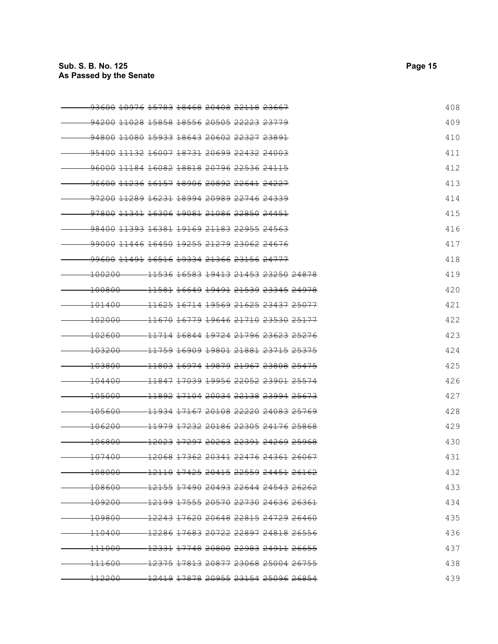| <del>93600 10976 15783 18468 20408 22118 23667</del>            |                                                                                   |  |  |  | 408 |
|-----------------------------------------------------------------|-----------------------------------------------------------------------------------|--|--|--|-----|
| 94200 11028 15858 18556 20505 22223 23779                       |                                                                                   |  |  |  | 409 |
| 94800 11080 15933 18643 20602 22327 23891                       |                                                                                   |  |  |  | 410 |
| <del>95400 11132 16007 18731 20699 22432 24003</del>            |                                                                                   |  |  |  | 411 |
| <del>96000 11184 16082 18818 20796 22536 24115</del>            |                                                                                   |  |  |  | 412 |
| <del>96600 11236 16157 18906 20892 22641 24227</del>            |                                                                                   |  |  |  | 413 |
| <del>97200 11289 16231</del> <del>18994 20989 22746 24339</del> |                                                                                   |  |  |  | 414 |
| <del>97800 11341</del> <del>16306 19081 21086 22850 24451</del> |                                                                                   |  |  |  | 415 |
| <del>98400 11393 16381 19169 21183 22955 24563</del>            |                                                                                   |  |  |  | 416 |
| .99000 11446 16450 19255 21279 23062 24676                      |                                                                                   |  |  |  | 417 |
| <del>99600 11491 16516 19334 21366 23156 24777</del>            |                                                                                   |  |  |  | 418 |
| <del>100200</del>                                               | <u>-11536 16583 19413 21453 23250 24878</u>                                       |  |  |  | 419 |
| <del>100800</del>                                               | <del>11581</del> <del>16649 19491 21539 23345 24978</del>                         |  |  |  | 420 |
| <del>101400</del>                                               | <del>11625 16714 19569 21625 23437 25077</del>                                    |  |  |  | 421 |
| <del>102000</del>                                               | <del>11670 16779 19646 21710 23530 25177</del>                                    |  |  |  | 422 |
| <del>102600</del>                                               | <del>11714 16844 19724 21796 23623 25276</del>                                    |  |  |  | 423 |
| <del>103200</del>                                               | <del>11759 16909 19801 21881 23715 25375</del>                                    |  |  |  | 424 |
| 103800                                                          | <del>11803 16974 19879 21967 23808 25475</del>                                    |  |  |  | 425 |
| <del>104400</del>                                               | 11847 17039 19956 22052 23901 25574                                               |  |  |  | 426 |
| <del>105000</del>                                               | <del>11892 17104 20034 22138 23994 25673</del>                                    |  |  |  | 427 |
| <del>105600</del>                                               | <del>11934 17167 20108 22220 24083 25769</del>                                    |  |  |  | 428 |
| <del>106200</del>                                               | 11979 17232 20186 22305 24176 25868                                               |  |  |  | 429 |
| <del>106800</del>                                               | <del>12023 17297 20263 22391</del> <del>24269 25968</del>                         |  |  |  | 430 |
| <del>107400</del>                                               | <del>12068 17362</del> <del>20341 22476 24361 26067</del>                         |  |  |  | 431 |
| <del>108000</del>                                               | <del>-12110</del> <del>17425  20415  22559  24451  26162</del>                    |  |  |  | 432 |
| <del>108600</del>                                               | $-12155$ $17490$ $20493$ $22644$ $24543$ $26262$                                  |  |  |  | 433 |
| <del>109200</del>                                               | <del>-12199 17555</del> <del>20570 22730 24636 26361</del>                        |  |  |  | 434 |
| <del>109800-</del>                                              | - <del>12243 17620</del> 20648 <del>22815 24729 26460</del>                       |  |  |  | 435 |
| <del>110400</del>                                               | <del>-12286</del> <del>17683  20722  22897  24818  26556</del>                    |  |  |  | 436 |
| <del>111000</del>                                               | - <del>12331</del> <del>17748</del> 20800 <del>22983 24911</del> <del>26655</del> |  |  |  | 437 |
| <del>111600</del>                                               | <del>-12375</del> <del>17813  20877  23068  25004  26755</del>                    |  |  |  | 438 |
| <del>.112200</del>                                              | <del>- 12419 17878 20955 23154 25096 26854</del>                                  |  |  |  | 439 |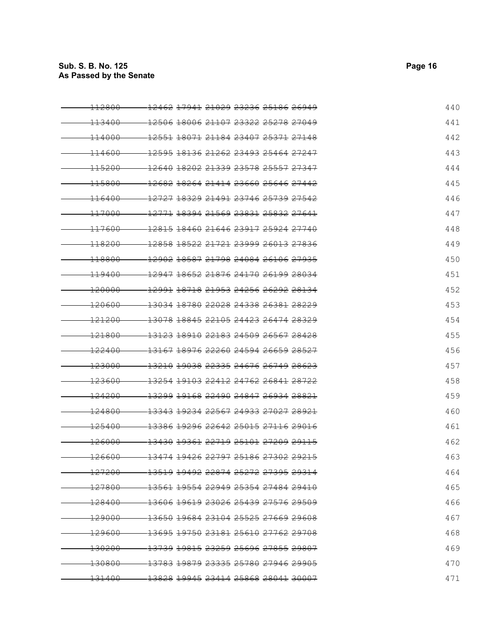| <del>112800</del> | <del>12462 17941</del> <del>21029 23236 25186 26949</del>            | 440 |
|-------------------|----------------------------------------------------------------------|-----|
| <del>113400</del> | <del>12506 18006 21107 23322 25278 27049</del>                       | 441 |
| <del>114000</del> | <del>12551</del> <del>18071</del> <del>21184 23407 25371 27148</del> | 442 |
| 114600            | <del>12595 18136 21262 23493 25464 27247</del>                       | 443 |
| 115200            | 12640 18202 21339 23578 25557 27347                                  | 444 |
| <del>115800</del> | <del>12682</del> <del>18264 21414 23660 25646 27442</del>            | 445 |
| <del>116400</del> | 12727 18329 21491 23746 25739 27542                                  | 446 |
| <del>117000</del> | 12771 18394 21569 23831 25832 27641                                  | 447 |
| <del>117600</del> | <del>12815 18460 21646 23917 25924 27740</del>                       | 448 |
| <del>118200</del> | <del>12858 18522</del> <del>21721 23999 26013 27836</del>            | 449 |
| <del>118800</del> | 12902 18587 21798 24084 26106 27935                                  | 450 |
| <del>119400</del> | <del>12947 18652 21876 24170 26199 28034</del>                       | 451 |
| <del>120000</del> | <del>12991 18718 21953 24256 26292 28134</del>                       | 452 |
| <del>120600</del> | <del>13034 18780 22028 24338 26381 28229</del>                       | 453 |
| <del>121200</del> | <del>13078</del> <del>18845 22105 24423 26474 28329</del>            | 454 |
| <del>121800</del> | <del>13123 18910 22183 24509 26567 28428</del>                       | 455 |
| <del>122400</del> | 13167 18976 22260 24594 26659 28527                                  | 456 |
| <del>123000</del> | <del>13210 19038 22335 24676 26749 28623</del>                       | 457 |
| $-123600$         | 13254 19103 22412 24762 26841 28722                                  | 458 |
| <del>124200</del> | <del>13299 19168 22490 24847 26934 28821</del>                       | 459 |
| <del>124800</del> | <del>13343 19234 22567 24933 27027 28921</del>                       | 460 |
| <del>125400</del> | <del>13386 19296 22642 25015 27116 29016</del>                       | 461 |
| <del>126000</del> | <del>13430 19361 22719 25101 27209 29115</del>                       | 462 |
| <del>126600</del> | <del>13474 19426 22797 25186 27302 29215</del>                       | 463 |
| <del>127200</del> | <del>13519 19492 22874 25272 27395 29314</del>                       | 464 |
| <del>127800</del> | $-13561$ $19554$ $22949$ $25354$ $27484$ $29410$                     | 465 |
| <del>128400</del> | <del>-13606 19619 23026 25439 27576 29509</del>                      | 466 |
| <del>129000</del> | -13650 19684 23104 25525 27669 29608                                 | 467 |
| <del>129600</del> | <del>-13695 19750 23181 25610 27762 29708</del>                      | 468 |
| <del>130200</del> |                                                                      | 469 |
| <del>130800</del> | - <del>13783</del> <del>19879 23335 25780 27946 29905</del>          | 470 |
| <del>131400</del> | <del>-13828</del> 19945  23414  25868  28041  30007                  | 471 |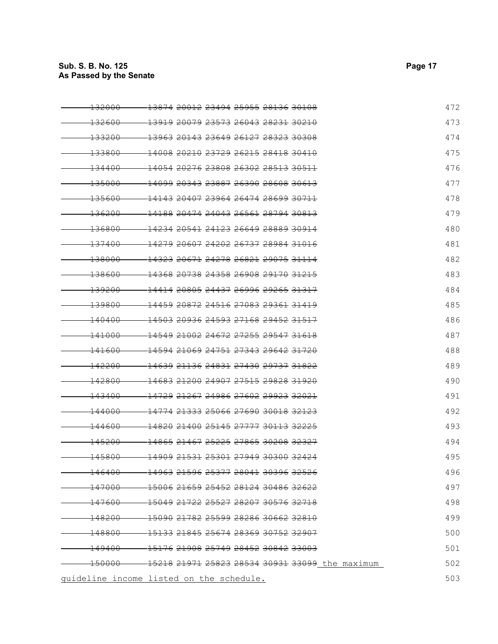| <del>132000</del>                        | <del>13874 20012</del> <del>23494 25955 28136 30108</del>            |                                                          | 472 |
|------------------------------------------|----------------------------------------------------------------------|----------------------------------------------------------|-----|
| <del>132600</del>                        | <del>13919 20079 23573 26043 28231 30210</del>                       |                                                          | 473 |
| 133200                                   | <del>13963 20143 23649 26127 28323 30308</del>                       |                                                          | 474 |
| 133800                                   | <del>14008 20210 23729 26215 28418 30410</del>                       |                                                          | 475 |
| <del>134400</del>                        | <del>14054 20276 23808 26302 28513 30511</del>                       |                                                          | 476 |
| <del>135000</del>                        | <del>14099</del> <del>20343 23887 26390 28608 30613</del>            |                                                          | 477 |
| <del>135600</del>                        | <del>14143 20407 23964 26474 28699 30711</del>                       |                                                          | 478 |
| <del>136200</del>                        | <del>14188 20474 24043 26561</del> <del>28794 30813</del>            |                                                          | 479 |
| <del>136800</del>                        | <del>14234 20541 24123 26649 28889 30914</del>                       |                                                          | 480 |
| <del>137400</del>                        | <del>14279 20607 24202 26737 28984 31016</del>                       |                                                          | 481 |
| <del>138000</del>                        | 14323 20671 24278 26821 29075 31114                                  |                                                          | 482 |
| <del>138600</del>                        | <del>14368 20738 24358 26908 29170 31215</del>                       |                                                          | 483 |
| <del>139200</del>                        | <del>14414 20805 24437 26996 29265 31317</del>                       |                                                          | 484 |
| <del>139800</del>                        | <del>14459 20872 24516 27083 29361 31419</del>                       |                                                          | 485 |
| <del>140400</del>                        | <del>14503 20936 24593 27168 29452 31517</del>                       |                                                          | 486 |
| <del>141000</del>                        | <del>14549 21002 24672 27255 29547 31618</del>                       |                                                          | 487 |
| <del>141600</del>                        | <del>14594 21069 24751 27343 29642 31720</del>                       |                                                          | 488 |
| 142200                                   | 14639 21136 24831 27430 29737 31822                                  |                                                          | 489 |
| 142800                                   | <del>-14683 21200 24907 27515 29828 31920</del>                      |                                                          | 490 |
| <del>143400</del>                        | <del>14729 21267 24986 27602 29923 32021</del>                       |                                                          | 491 |
| <del>144000</del>                        | <del>14774</del> <del>21333</del> <del>25066 27690 30018 32123</del> |                                                          | 492 |
| <del>144600</del>                        | <del>14820 21400 25145 27777 30113 32225</del>                       |                                                          | 493 |
| <del>145200</del>                        | <del>14865 21467 25225 27865 30208 32327</del>                       |                                                          | 494 |
| <del>145800</del>                        | <del>14909 21531</del> <del>25301 27949 30300 32424</del>            |                                                          | 495 |
| <u> 146400</u>                           | <del>-14963 21596 25377 28041 30396 32526</del>                      |                                                          | 496 |
| <del>147000</del> -                      | - 15006 21659 25452 28124 30486 32622                                |                                                          | 497 |
| <del>-147600-</del>                      | $-150492172225527282073057632718$                                    |                                                          | 498 |
| $-148200-$                               | $-150902178225599282863066232810$                                    |                                                          | 499 |
|                                          | $-148800 - 151332184525674283693075232907$                           |                                                          | 500 |
| <del>149400</del>                        | -15176 21908 25749 28452 30842 33003                                 |                                                          | 501 |
|                                          |                                                                      | 150000 - 15218 21971 25823 28534 30931 33099 the maximum | 502 |
| guideline income listed on the schedule. |                                                                      |                                                          | 503 |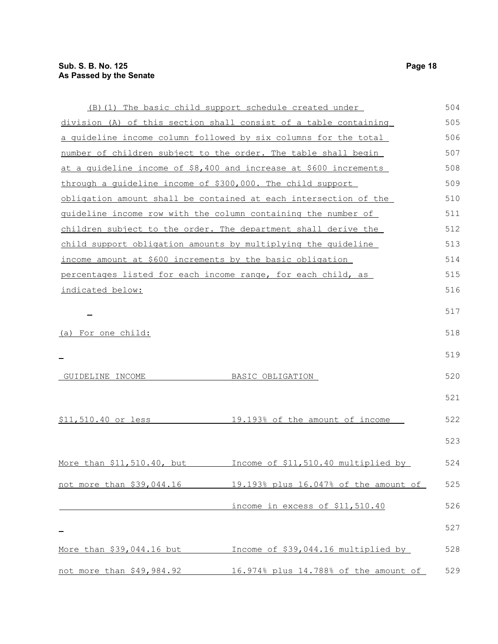|                                                                | (B) (1) The basic child support schedule created under            | 504 |
|----------------------------------------------------------------|-------------------------------------------------------------------|-----|
|                                                                | division (A) of this section shall consist of a table containing  | 505 |
|                                                                | a quideline income column followed by six columns for the total   | 506 |
| number of children subject to the order. The table shall begin |                                                                   | 507 |
|                                                                | at a guideline income of \$8,400 and increase at \$600 increments | 508 |
| through a quideline income of \$300,000. The child support     |                                                                   | 509 |
|                                                                | obligation amount shall be contained at each intersection of the  | 510 |
| guideline income row with the column containing the number of  |                                                                   | 511 |
| children subject to the order. The department shall derive the |                                                                   | 512 |
| child support obligation amounts by multiplying the guideline  |                                                                   | 513 |
| income amount at \$600 increments by the basic obligation      |                                                                   | 514 |
| percentages listed for each income range, for each child, as   |                                                                   | 515 |
| indicated below:                                               |                                                                   | 516 |
|                                                                |                                                                   | 517 |
| (a) For one child:                                             |                                                                   | 518 |
|                                                                |                                                                   | 519 |
| GUIDELINE INCOME                                               | BASIC OBLIGATION                                                  | 520 |
|                                                                |                                                                   | 521 |
| \$11,510.40 or less                                            | 19.193% of the amount of income                                   | 522 |
|                                                                |                                                                   | 523 |
| More than \$11,510.40, but                                     | Income of \$11,510.40 multiplied by                               | 524 |
| not more than \$39,044.16                                      | 19.193% plus 16.047% of the amount of                             | 525 |
|                                                                | income in excess of \$11,510.40                                   | 526 |
|                                                                |                                                                   | 527 |
| More than \$39,044.16 but                                      | Income of \$39,044.16 multiplied by                               | 528 |
| not more than \$49,984.92                                      | 16.974% plus 14.788% of the amount of                             | 529 |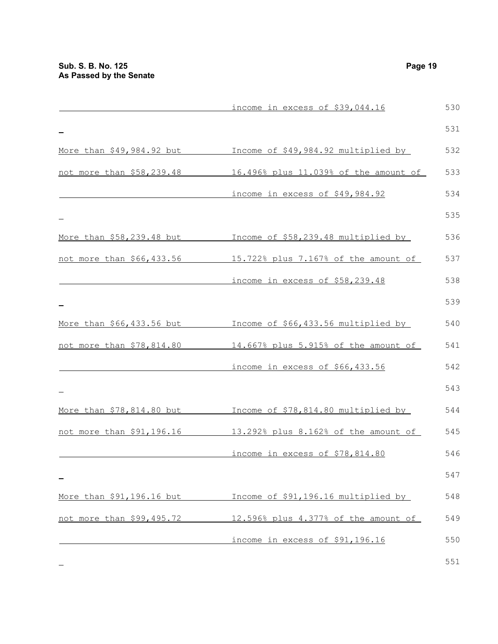|                           | income in excess of \$39,044.16       | 530 |
|---------------------------|---------------------------------------|-----|
|                           |                                       | 531 |
| More than \$49,984.92 but | Income of \$49,984.92 multiplied by   | 532 |
| not more than \$58,239.48 | 16.496% plus 11.039% of the amount of | 533 |
|                           | income in excess of \$49,984.92       | 534 |
|                           |                                       | 535 |
| More than \$58,239.48 but | Income of \$58,239.48 multiplied by   | 536 |
| not more than \$66,433.56 | 15.722% plus 7.167% of the amount of  | 537 |
|                           | income in excess of \$58,239.48       | 538 |
|                           |                                       | 539 |
| More than \$66,433.56 but | Income of \$66,433.56 multiplied by   | 540 |
| not more than \$78,814.80 | 14.667% plus 5.915% of the amount of  | 541 |
|                           | income in excess of \$66,433.56       | 542 |
|                           |                                       | 543 |
| More than \$78,814.80 but | Income of \$78,814.80 multiplied by   | 544 |
| not more than \$91,196.16 | 13.292% plus 8.162% of the amount of  | 545 |
|                           | income in excess of \$78,814.80       | 546 |
|                           |                                       | 547 |
| More than \$91,196.16 but | Income of \$91,196.16 multiplied by   | 548 |
| not more than \$99,495.72 | 12.596% plus 4.377% of the amount of  | 549 |
|                           | income in excess of \$91,196.16       | 550 |
|                           |                                       |     |

 $\equiv$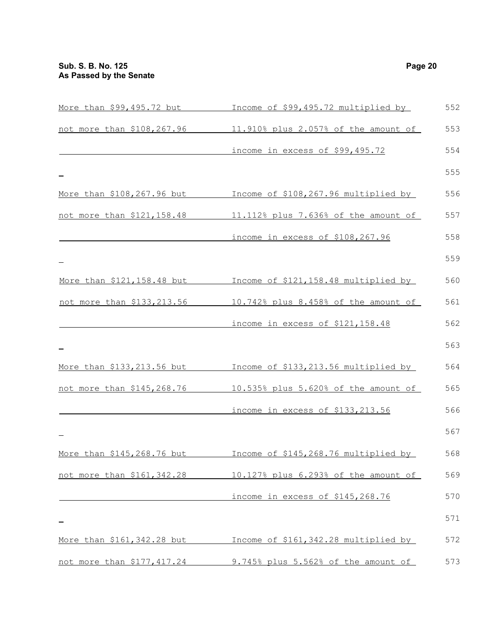| More than \$99,495.72 but          | Income of \$99,495.72 multiplied by  | 552 |
|------------------------------------|--------------------------------------|-----|
| not more than \$108,267.96         | 11.910% plus 2.057% of the amount of | 553 |
|                                    | income in excess of \$99,495.72      | 554 |
|                                    |                                      | 555 |
| More than \$108,267.96 but         | Income of \$108,267.96 multiplied by | 556 |
| not more than \$121,158.48         | 11.112% plus 7.636% of the amount of | 557 |
|                                    | income in excess of \$108,267.96     | 558 |
|                                    |                                      | 559 |
| More than \$121, 158.48 but        | Income of \$121,158.48 multiplied by | 560 |
| not more than \$133,213.56         | 10.742% plus 8.458% of the amount of | 561 |
|                                    | income in excess of \$121,158.48     | 562 |
|                                    |                                      | 563 |
| <u>More than \$133,213.56 but </u> | Income of \$133,213.56 multiplied by | 564 |
| not more than \$145,268.76         | 10.535% plus 5.620% of the amount of | 565 |
|                                    | income in excess of \$133, 213.56    | 566 |
|                                    |                                      | 567 |
| More than \$145,268.76 but         | Income of \$145,268.76 multiplied by | 568 |
| not more than \$161,342.28         | 10.127% plus 6.293% of the amount of | 569 |
|                                    | income in excess of \$145,268.76     | 570 |
|                                    |                                      | 571 |
| More than \$161,342.28 but         | Income of \$161,342.28 multiplied by | 572 |
| not more than \$177,417.24         | 9.745% plus 5.562% of the amount of  | 573 |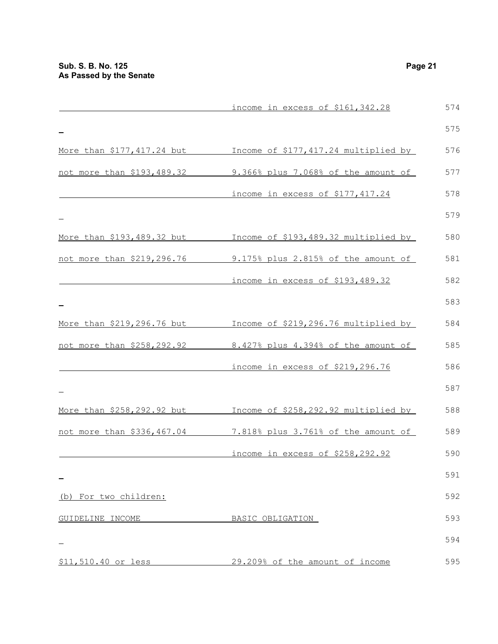|                            | income in excess of \$161,342.28     | 574 |
|----------------------------|--------------------------------------|-----|
|                            |                                      | 575 |
| More than \$177,417.24 but | Income of \$177,417.24 multiplied by | 576 |
| not more than \$193,489.32 | 9.366% plus 7.068% of the amount of  | 577 |
|                            | income in excess of \$177,417.24     | 578 |
|                            |                                      | 579 |
| More than \$193,489.32 but | Income of \$193,489.32 multiplied by | 580 |
| not more than \$219,296.76 | 9.175% plus 2.815% of the amount of  | 581 |
|                            | income in excess of \$193,489.32     | 582 |
|                            |                                      | 583 |
| More than \$219,296.76 but | Income of \$219,296.76 multiplied by | 584 |
| not more than \$258,292.92 | 8.427% plus 4.394% of the amount of  | 585 |
|                            | income in excess of \$219,296.76     | 586 |
|                            |                                      | 587 |
| More than \$258,292.92 but | Income of \$258,292.92 multiplied by | 588 |
| not more than \$336,467.04 | 7.818% plus 3.761% of the amount of  | 589 |
|                            | income in excess of \$258,292.92     | 590 |
|                            |                                      | 591 |
| (b) For two children:      |                                      | 592 |
| GUIDELINE INCOME           | BASIC OBLIGATION                     | 593 |
|                            |                                      | 594 |
| \$11,510.40 or less        | 29.209% of the amount of income      | 595 |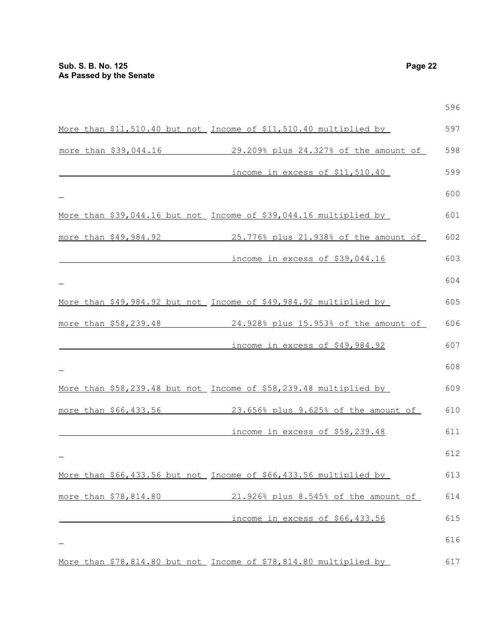|  |                       |                                                                   | 596 |
|--|-----------------------|-------------------------------------------------------------------|-----|
|  |                       | More than \$11,510.40 but not Income of \$11,510.40 multiplied by | 597 |
|  | more than \$39,044.16 | 29.209% plus 24.327% of the amount of                             | 598 |
|  |                       | income in excess of \$11,510.40                                   | 599 |
|  |                       |                                                                   | 600 |
|  |                       | More than \$39,044.16 but not Income of \$39,044.16 multiplied by | 601 |
|  |                       | more than \$49,984.92 25.776% plus 21.938% of the amount of       | 602 |
|  |                       | income in excess of \$39,044.16                                   | 603 |
|  |                       |                                                                   | 604 |
|  |                       | More than \$49,984.92 but not Income of \$49,984.92 multiplied by | 605 |
|  |                       | more than \$58,239.48 24.928% plus 15.953% of the amount of       | 606 |
|  |                       | income in excess of \$49,984.92                                   | 607 |
|  |                       |                                                                   | 608 |
|  |                       | More than \$58,239.48 but not Income of \$58,239.48 multiplied by | 609 |
|  |                       | more than \$66,433.56 23.656% plus 9.625% of the amount of        | 610 |
|  |                       | income in excess of \$58,239.48                                   | 611 |
|  |                       |                                                                   | 612 |
|  |                       | More than \$66,433.56 but not Income of \$66,433.56 multiplied by | 613 |
|  | more than \$78,814.80 | 21.926% plus 8.545% of the amount of                              | 614 |
|  |                       | income in excess of \$66,433.56                                   | 615 |
|  |                       |                                                                   | 616 |
|  |                       | More than \$78,814.80 but not Income of \$78,814.80 multiplied by | 617 |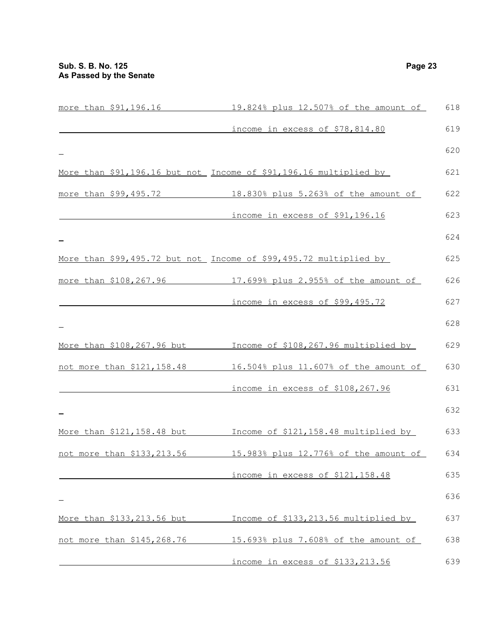$\frac{1}{2}$ 

 $\equiv$ 

 $\overline{\phantom{0}}$ 

 $\,$ 

 $\frac{1}{2}$ 

|                                   | more than \$91,196.16 19.824% plus 12.507% of the amount of       | 618 |
|-----------------------------------|-------------------------------------------------------------------|-----|
|                                   | income in excess of \$78,814.80                                   | 619 |
|                                   |                                                                   | 620 |
|                                   | More than \$91,196.16 but not Income of \$91,196.16 multiplied by | 621 |
| more than \$99,495.72             | 18.830% plus 5.263% of the amount of                              | 622 |
|                                   | income in excess of \$91,196.16                                   | 623 |
|                                   |                                                                   | 624 |
|                                   | More than \$99,495.72 but not Income of \$99,495.72 multiplied by | 625 |
| more than \$108,267.96            | 17.699% plus 2.955% of the amount of                              | 626 |
|                                   | income in excess of \$99,495.72                                   | 627 |
|                                   |                                                                   | 628 |
|                                   | More than \$108,267.96 but Throme of \$108,267.96 multiplied by   | 629 |
|                                   | not more than \$121,158.48 16.504% plus 11.607% of the amount of  | 630 |
|                                   | income in excess of \$108,267.96                                  | 631 |
|                                   |                                                                   | 632 |
| More than \$121,158.48 but        | Income of \$121,158.48 multiplied by                              | 633 |
| not more than \$133,213.56        | 15.983% plus 12.776% of the amount of                             | 634 |
|                                   | income in excess of \$121,158.48                                  | 635 |
|                                   |                                                                   | 636 |
| More than \$133,213.56 but        | Income of \$133,213.56 multiplied by                              | 637 |
| <u>not more than \$145,268.76</u> | 15.693% plus 7.608% of the amount of                              | 638 |

income in excess of \$133,213.56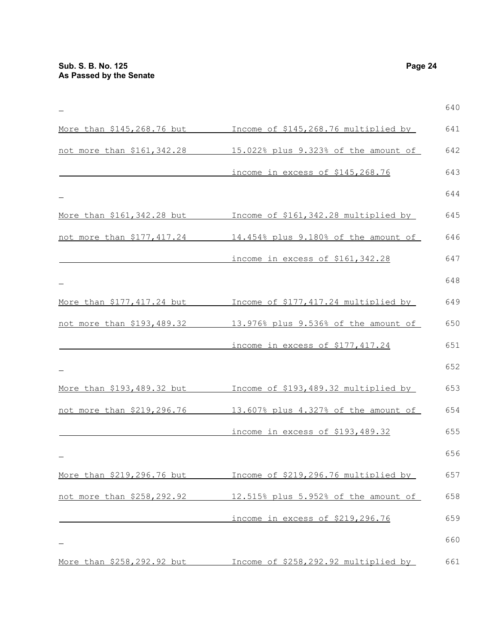More than \$145,268.76 but Income of \$145,268.76 multiplied by not more than \$161,342.28 15.022% plus 9.323% of the amount of income in excess of \$145,268.76 More than \$161,342.28 but Income of \$161,342.28 multiplied by not more than \$177,417.24 14.454% plus 9.180% of the amount of income in excess of \$161,342.28 More than \$177,417.24 but Income of \$177,417.24 multiplied by not more than \$193,489.32 13.976% plus 9.536% of the amount of income in excess of \$177,417.24 More than \$193,489.32 but Income of \$193,489.32 multiplied by not more than \$219,296.76 13.607% plus 4.327% of the amount of income in excess of \$193,489.32 More than \$219,296.76 but Income of \$219,296.76 multiplied by not more than \$258,292.92 12.515% plus 5.952% of the amount of income in excess of \$219,296.76 More than \$258,292.92 but Income of \$258,292.92 multiplied by 640 641 642 643 644 645 646 647 648 649 650 651 652 653 654 655 656 657 658 659 660 661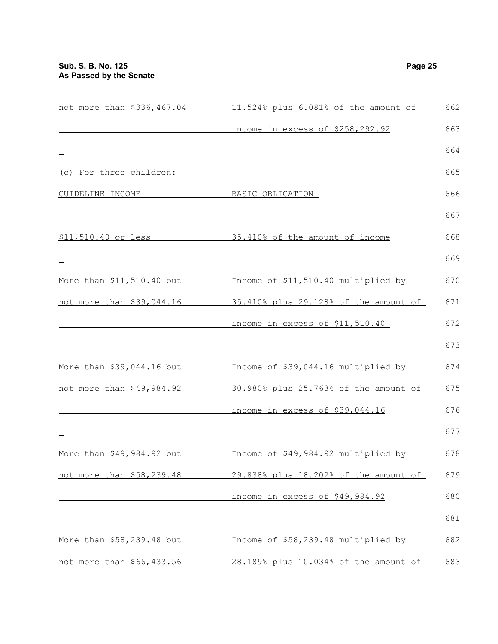| not more than \$336,467.04 | 11.524% plus 6.081% of the amount of                            | 662 |
|----------------------------|-----------------------------------------------------------------|-----|
|                            | income in excess of \$258,292.92                                | 663 |
|                            |                                                                 | 664 |
| (c) For three children:    |                                                                 | 665 |
| GUIDELINE INCOME           | BASIC OBLIGATION                                                | 666 |
|                            |                                                                 | 667 |
| \$11,510.40 or less        | 35.410% of the amount of income                                 | 668 |
|                            |                                                                 | 669 |
| More than \$11,510.40 but  | Income of \$11,510.40 multiplied by                             | 670 |
| not more than \$39,044.16  | 35.410% plus 29.128% of the amount of                           | 671 |
|                            | income in excess of \$11,510.40                                 | 672 |
|                            |                                                                 | 673 |
| More than \$39,044.16 but  | Income of \$39,044.16 multiplied by                             | 674 |
|                            | not more than \$49,984.92 30.980% plus 25.763% of the amount of | 675 |
|                            | income in excess of \$39,044.16                                 | 676 |
|                            |                                                                 | 677 |
| More than \$49,984.92 but  | Income of \$49,984.92 multiplied by                             | 678 |
| not more than \$58,239.48  | 29.838% plus 18.202% of the amount of                           | 679 |
|                            | income in excess of \$49,984.92                                 | 680 |
|                            |                                                                 | 681 |
| More than \$58,239.48 but  | Income of \$58,239.48 multiplied by                             | 682 |
| not more than \$66,433.56  | 28.189% plus 10.034% of the amount of                           | 683 |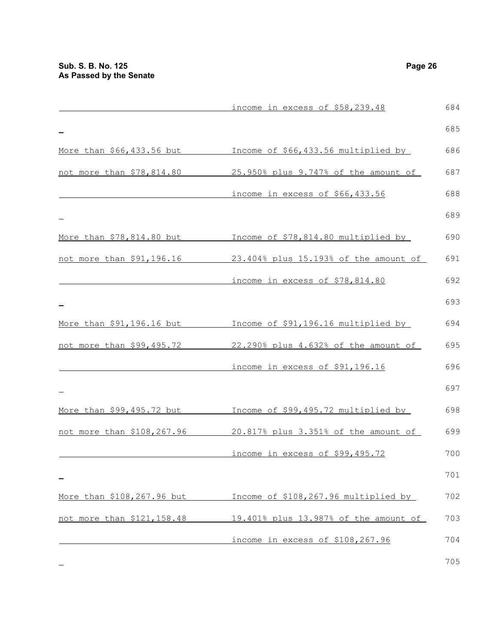|                            | income in excess of \$58,239.48       | 684 |
|----------------------------|---------------------------------------|-----|
|                            |                                       | 685 |
| More than \$66,433.56 but  | Income of \$66,433.56 multiplied by   | 686 |
| not more than \$78,814.80  | 25.950% plus 9.747% of the amount of  | 687 |
|                            | income in excess of \$66,433.56       | 688 |
|                            |                                       | 689 |
| More than \$78,814.80 but  | Income of \$78,814.80 multiplied by   | 690 |
| not more than \$91,196.16  | 23.404% plus 15.193% of the amount of | 691 |
|                            | income in excess of \$78,814.80       | 692 |
|                            |                                       | 693 |
| More than \$91,196.16 but  | Income of \$91,196.16 multiplied by   | 694 |
| not more than \$99,495.72  | 22.290% plus 4.632% of the amount of  | 695 |
|                            | income in excess of \$91,196.16       | 696 |
|                            |                                       | 697 |
| More than \$99,495.72 but  | Income of \$99,495.72 multiplied by   | 698 |
| not more than \$108,267.96 | 20.817% plus 3.351% of the amount of  | 699 |
|                            | income in excess of \$99,495.72       | 700 |
|                            |                                       | 701 |
| More than \$108,267.96 but | Income of \$108,267.96 multiplied by  | 702 |
| not more than \$121,158.48 | 19.401% plus 13.987% of the amount of | 703 |
|                            | income in excess of \$108,267.96      | 704 |
|                            |                                       |     |

 $\equiv$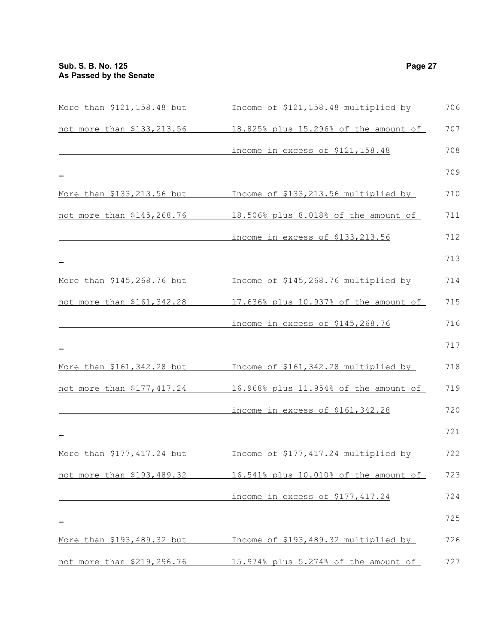| More than \$121,158.48 but        | Income of \$121,158.48 multiplied by  | 706 |
|-----------------------------------|---------------------------------------|-----|
| not more than \$133,213.56        | 18.825% plus 15.296% of the amount of | 707 |
|                                   | income in excess of \$121,158.48      | 708 |
|                                   |                                       | 709 |
| More than \$133,213.56 but        | Income of \$133,213.56 multiplied by  | 710 |
| not more than \$145,268.76        | 18.506% plus 8.018% of the amount of  | 711 |
|                                   | income in excess of \$133,213.56      | 712 |
|                                   |                                       | 713 |
| More than \$145,268.76 but        | Income of \$145,268.76 multiplied by  | 714 |
| not more than \$161,342.28        | 17.636% plus 10.937% of the amount of | 715 |
|                                   | income in excess of \$145,268.76      | 716 |
|                                   |                                       | 717 |
| <u>More than \$161,342.28 but</u> | Income of \$161,342.28 multiplied by  | 718 |
| <u>not more than \$177,417.24</u> | 16.968% plus 11.954% of the amount of | 719 |
|                                   | income in excess of \$161,342.28      | 720 |
|                                   |                                       | 721 |
| More than \$177,417.24 but        | Income of \$177,417.24 multiplied by  | 722 |
| not more than \$193,489.32        | 16.541% plus 10.010% of the amount of | 723 |
|                                   | income in excess of \$177,417.24      | 724 |
|                                   |                                       | 725 |
| More than \$193,489.32 but        | Income of \$193,489.32 multiplied by  | 726 |
| not more than \$219,296.76        | 15.974% plus 5.274% of the amount of  | 727 |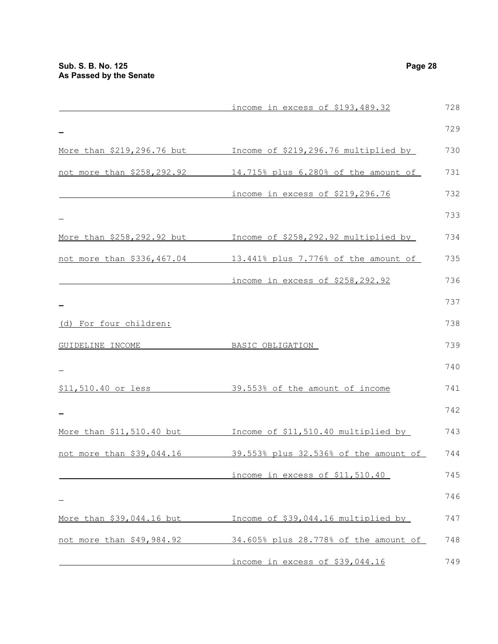|                            | income in excess of \$193,489.32      | 728 |
|----------------------------|---------------------------------------|-----|
|                            |                                       | 729 |
| More than \$219,296.76 but | Income of \$219,296.76 multiplied by  | 730 |
| not more than \$258,292.92 | 14.715% plus 6.280% of the amount of  | 731 |
|                            | income in excess of \$219,296.76      | 732 |
|                            |                                       | 733 |
| More than \$258,292.92 but | Income of \$258,292.92 multiplied by  | 734 |
| not more than \$336,467.04 | 13.441% plus 7.776% of the amount of  | 735 |
|                            | income in excess of \$258,292.92      | 736 |
|                            |                                       | 737 |
| (d) For four children:     |                                       | 738 |
| GUIDELINE INCOME           | BASIC OBLIGATION                      | 739 |
|                            |                                       | 740 |
| \$11,510.40 or less        | 39.553% of the amount of income       | 741 |
|                            |                                       | 742 |
| More than \$11,510.40 but  | Income of \$11,510.40 multiplied by   | 743 |
| not more than \$39,044.16  | 39.553% plus 32.536% of the amount of | 744 |
|                            | income in excess of \$11,510.40       | 745 |
|                            |                                       | 746 |
| More than \$39,044.16 but  | Income of \$39,044.16 multiplied by   | 747 |
| not more than \$49,984.92  | 34.605% plus 28.778% of the amount of | 748 |
|                            | income in excess of \$39,044.16       | 749 |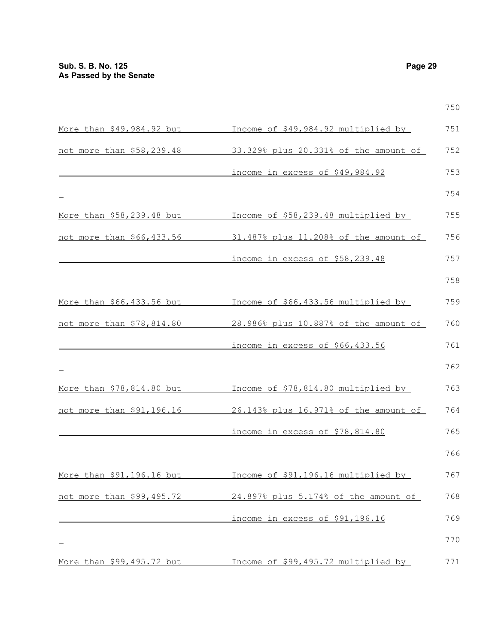|                           |                                       | 750 |
|---------------------------|---------------------------------------|-----|
| More than \$49,984.92 but | Income of \$49,984.92 multiplied by   | 751 |
| not more than \$58,239.48 | 33.329% plus 20.331% of the amount of | 752 |
|                           | income in excess of \$49,984.92       | 753 |
|                           |                                       | 754 |
| More than \$58,239.48 but | Income of \$58,239.48 multiplied by   | 755 |
| not more than \$66,433.56 | 31.487% plus 11.208% of the amount of | 756 |
|                           | income in excess of \$58,239.48       | 757 |
|                           |                                       | 758 |
| More than \$66,433.56 but | Income of \$66,433.56 multiplied by   | 759 |
| not more than \$78,814.80 | 28.986% plus 10.887% of the amount of | 760 |
|                           | income in excess of \$66,433.56       | 761 |
|                           |                                       | 762 |
| More than \$78,814.80 but | Income of \$78,814.80 multiplied by   | 763 |
| not more than \$91,196.16 | 26.143% plus 16.971% of the amount of | 764 |
|                           | income in excess of \$78,814.80       | 765 |
|                           |                                       | 766 |
| More than \$91,196.16 but | Income of \$91,196.16 multiplied by   | 767 |
| not more than \$99,495.72 | 24.897% plus 5.174% of the amount of  | 768 |
|                           | income in excess of \$91,196.16       | 769 |
|                           |                                       | 770 |
| More than \$99,495.72 but | Income of \$99,495.72 multiplied by   | 771 |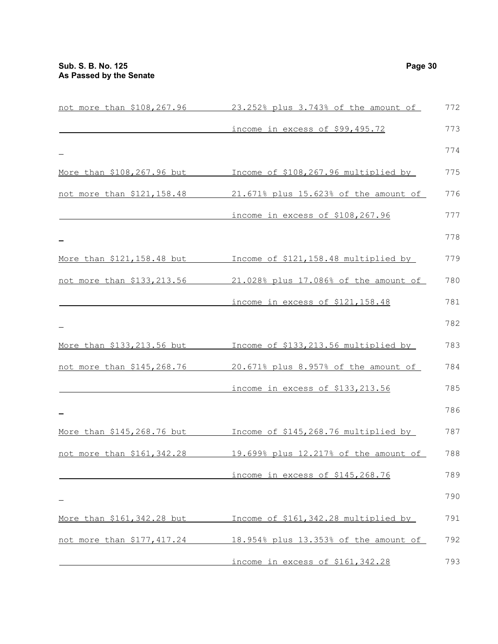| not more than \$108,267.96  | 23.252% plus 3.743% of the amount of  | 772 |
|-----------------------------|---------------------------------------|-----|
|                             | income in excess of \$99,495.72       | 773 |
|                             |                                       | 774 |
| More than \$108,267.96 but  | Income of \$108,267.96 multiplied by  | 775 |
| not more than \$121,158.48  | 21.671% plus 15.623% of the amount of | 776 |
|                             | income in excess of \$108,267.96      | 777 |
|                             |                                       | 778 |
| More than \$121, 158.48 but | Income of \$121,158.48 multiplied by  | 779 |
| not more than \$133,213.56  | 21.028% plus 17.086% of the amount of | 780 |
|                             | income in excess of \$121,158.48      | 781 |
|                             |                                       | 782 |
| More than \$133,213.56 but  | Income of \$133,213.56 multiplied by  | 783 |
| not more than \$145,268.76  | 20.671% plus 8.957% of the amount of  | 784 |
|                             | income in excess of \$133,213.56      | 785 |
|                             |                                       | 786 |
| More than \$145,268.76 but  | Income of \$145,268.76 multiplied by  | 787 |
| not more than \$161,342.28  | 19.699% plus 12.217% of the amount of | 788 |
|                             | income in excess of \$145,268.76      | 789 |
|                             |                                       | 790 |
| More than \$161, 342.28 but | Income of \$161,342.28 multiplied by  | 791 |
| not more than \$177,417.24  | 18.954% plus 13.353% of the amount of | 792 |
|                             | income in excess of \$161,342.28      | 793 |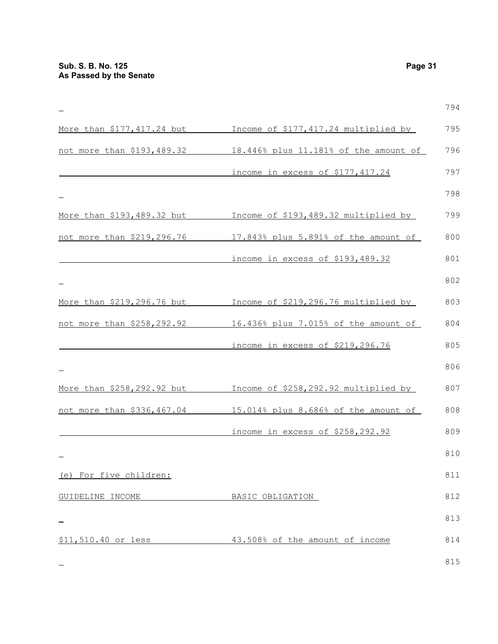794  $\equiv$ More than \$177,417.24 but Income of \$177,417.24 multiplied by 795 not more than \$193,489.32 18.446% plus 11.181% of the amount of 796 income in excess of \$177,417.24 797 798 More than \$193,489.32 but Income of \$193,489.32 multiplied by 799 not more than \$219,296.76 17.843% plus 5.891% of the amount of 800 income in excess of \$193,489.32 801 802 More than \$219,296.76 but Income of \$219,296.76 multiplied by 803 not more than \$258,292.92 16.436% plus 7.015% of the amount of 804 805 income in excess of \$219,296.76 806 More than \$258,292.92 but Income of \$258,292.92 multiplied by 807 not more than \$336,467.04 15.014% plus 8.686% of the amount of 808 income in excess of \$258,292.92 809 810 (e) For five children: 811 GUIDELINE INCOME BASIC OBLIGATION 812 813 \$11,510.40 or less 43.508% of the amount of income 814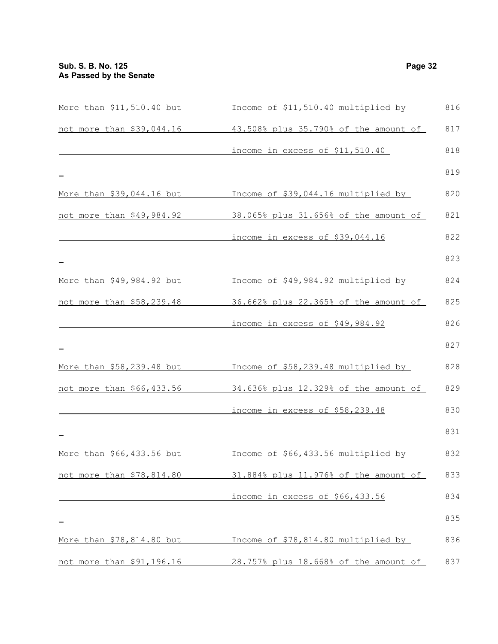|                           | More than \$11,510.40 but Theome of \$11,510.40 multiplied by | 816 |
|---------------------------|---------------------------------------------------------------|-----|
| not more than \$39,044.16 | 43.508% plus 35.790% of the amount of                         | 817 |
|                           | income in excess of \$11,510.40                               | 818 |
|                           |                                                               | 819 |
| More than \$39,044.16 but | Income of \$39,044.16 multiplied by                           | 820 |
| not more than \$49,984.92 | 38.065% plus 31.656% of the amount of                         | 821 |
|                           | income in excess of \$39,044.16                               | 822 |
|                           |                                                               | 823 |
| More than \$49,984.92 but | Income of \$49,984.92 multiplied by                           | 824 |
| not more than \$58,239.48 | 36.662% plus 22.365% of the amount of                         | 825 |
|                           | income in excess of \$49,984.92                               | 826 |
|                           |                                                               | 827 |
| More than \$58,239.48 but | Income of \$58,239.48 multiplied by                           | 828 |
| not more than \$66,433.56 | 34.636% plus 12.329% of the amount of                         | 829 |
|                           | income in excess of \$58,239.48                               | 830 |
|                           |                                                               | 831 |
| More than \$66,433.56 but | Income of \$66,433.56 multiplied by                           | 832 |
| not more than \$78,814.80 | 31.884% plus 11.976% of the amount of                         | 833 |
|                           | income in excess of \$66,433.56                               | 834 |
|                           |                                                               | 835 |
| More than \$78,814.80 but | Income of \$78,814.80 multiplied by                           | 836 |
| not more than \$91,196.16 | 28.757% plus 18.668% of the amount of                         | 837 |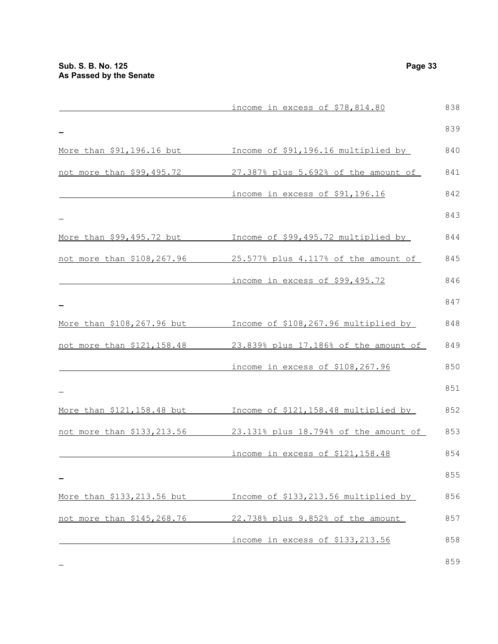|                            | income in excess of \$78,814.80       | 838 |
|----------------------------|---------------------------------------|-----|
|                            |                                       | 839 |
| More than \$91,196.16 but  | Income of \$91,196.16 multiplied by   | 840 |
| not more than \$99,495.72  | 27.387% plus 5.692% of the amount of  | 841 |
|                            | income in excess of \$91,196.16       | 842 |
|                            |                                       | 843 |
| More than \$99,495.72 but  | Income of \$99,495.72 multiplied by   | 844 |
| not more than \$108,267.96 | 25.577% plus 4.117% of the amount of  | 845 |
|                            | income in excess of \$99,495.72       | 846 |
|                            |                                       | 847 |
| More than \$108,267.96 but | Income of \$108,267.96 multiplied by  | 848 |
| not more than \$121,158.48 | 23.839% plus 17.186% of the amount of | 849 |
|                            | income in excess of \$108,267.96      | 850 |
|                            |                                       | 851 |
| More than \$121,158.48 but | Income of \$121,158.48 multiplied by  | 852 |
| not more than \$133,213.56 | 23.131% plus 18.794% of the amount of | 853 |
|                            | income in excess of \$121,158.48      | 854 |
|                            |                                       | 855 |
| More than \$133,213.56 but | Income of \$133,213.56 multiplied by  | 856 |
| not more than \$145,268.76 | 22.738% plus 9.852% of the amount     | 857 |
|                            | income in excess of \$133,213.56      | 858 |
|                            |                                       |     |

 $\equiv$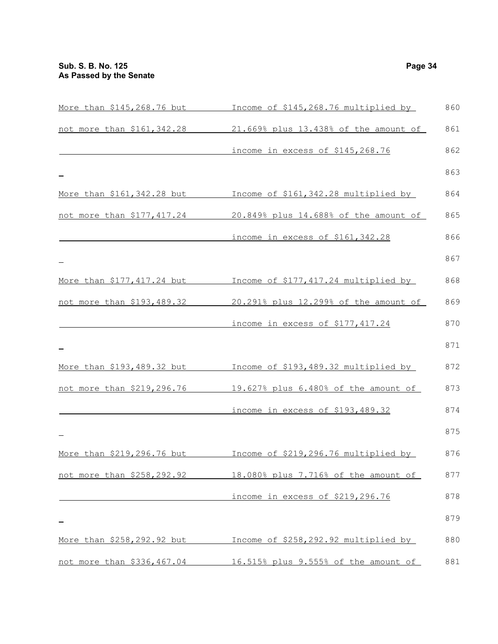| More than \$145,268.76 but          | Income of \$145,268.76 multiplied by  | 860 |
|-------------------------------------|---------------------------------------|-----|
| not more than \$161,342.28          | 21.669% plus 13.438% of the amount of | 861 |
|                                     | income in excess of \$145,268.76      | 862 |
|                                     |                                       | 863 |
| More than \$161,342.28 but          | Income of \$161,342.28 multiplied by  | 864 |
| <u>not more than \$177,417.24</u>   | 20.849% plus 14.688% of the amount of | 865 |
|                                     | income in excess of \$161,342.28      | 866 |
|                                     |                                       | 867 |
| More than \$177,417.24 but          | Income of \$177,417.24 multiplied by  | 868 |
| not more than \$193,489.32          | 20.291% plus 12.299% of the amount of | 869 |
|                                     | income in excess of \$177,417.24      | 870 |
|                                     |                                       | 871 |
| More than \$193,489.32 but          | Income of \$193,489.32 multiplied by  | 872 |
| not more than \$219,296.76          | 19.627% plus 6.480% of the amount of  | 873 |
|                                     | income in excess of \$193,489.32      | 874 |
|                                     |                                       | 875 |
| More than \$219,296.76 but          | Income of \$219,296.76 multiplied by  | 876 |
| <u>not more than \$258,292.92 .</u> | 18.080% plus 7.716% of the amount of  | 877 |
|                                     | income in excess of \$219,296.76      | 878 |
|                                     |                                       | 879 |
| <u>More than \$258,292.92 but </u>  | Income of \$258,292.92 multiplied by  | 880 |
| <u>not more than \$336,467.04 .</u> | 16.515% plus 9.555% of the amount of  | 881 |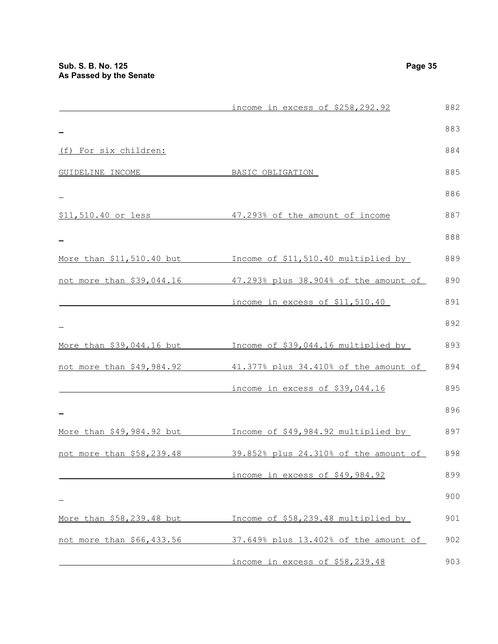|                           | income in excess of \$258,292.92                    | 882 |
|---------------------------|-----------------------------------------------------|-----|
|                           |                                                     | 883 |
| (f) For six children:     |                                                     | 884 |
| GUIDELINE INCOME          | BASIC OBLIGATION                                    | 885 |
|                           |                                                     | 886 |
|                           | \$11,510.40 or less 47.293% of the amount of income | 887 |
|                           |                                                     | 888 |
| More than \$11,510.40 but | Income of \$11,510.40 multiplied by                 | 889 |
| not more than \$39,044.16 | 47.293% plus 38.904% of the amount of               | 890 |
|                           | income in excess of \$11,510.40                     | 891 |
|                           |                                                     | 892 |
| More than \$39,044.16 but | Income of \$39,044.16 multiplied by                 | 893 |
| not more than \$49,984.92 | 41.377% plus 34.410% of the amount of               | 894 |
|                           | income in excess of \$39,044.16                     | 895 |
|                           |                                                     | 896 |
| More than \$49,984.92 but | Income of \$49,984.92 multiplied by                 | 897 |
| not more than \$58,239.48 | 39.852% plus 24.310% of the amount of               | 898 |
|                           | income in excess of \$49,984.92                     | 899 |
|                           |                                                     | 900 |
| More than \$58,239.48 but | Income of \$58,239.48 multiplied by                 | 901 |
| not more than \$66,433.56 | 37.649% plus 13.402% of the amount of               | 902 |
|                           | income in excess of \$58,239.48                     | 903 |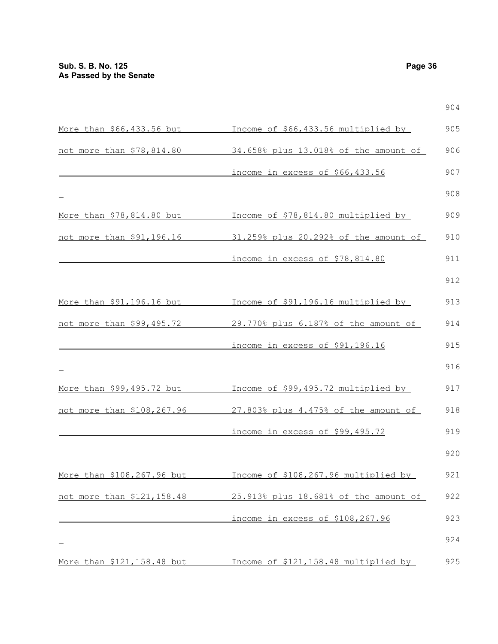|                             |                                       | 904 |
|-----------------------------|---------------------------------------|-----|
| More than \$66,433.56 but   | Income of \$66,433.56 multiplied by   | 905 |
| not more than \$78,814.80   | 34.658% plus 13.018% of the amount of | 906 |
|                             | income in excess of \$66,433.56       | 907 |
|                             |                                       | 908 |
| More than \$78,814.80 but   | Income of \$78,814.80 multiplied by   | 909 |
| not more than \$91,196.16   | 31.259% plus 20.292% of the amount of | 910 |
|                             | income in excess of \$78,814.80       | 911 |
|                             |                                       | 912 |
| More than \$91,196.16 but   | Income of \$91,196.16 multiplied by   | 913 |
| not more than \$99,495.72   | 29.770% plus 6.187% of the amount of  | 914 |
|                             | income in excess of \$91,196.16       | 915 |
|                             |                                       | 916 |
| More than \$99,495.72 but   | Income of \$99,495.72 multiplied by   | 917 |
| not more than \$108,267.96  | 27.803% plus 4.475% of the amount of  | 918 |
|                             | income in excess of \$99,495.72       | 919 |
|                             |                                       | 920 |
| More than \$108,267.96 but  | Income of \$108,267.96 multiplied by  | 921 |
| not more than \$121,158.48  | 25.913% plus 18.681% of the amount of | 922 |
|                             | income in excess of \$108,267.96      | 923 |
|                             |                                       | 924 |
| More than \$121, 158.48 but | Income of \$121,158.48 multiplied by  | 925 |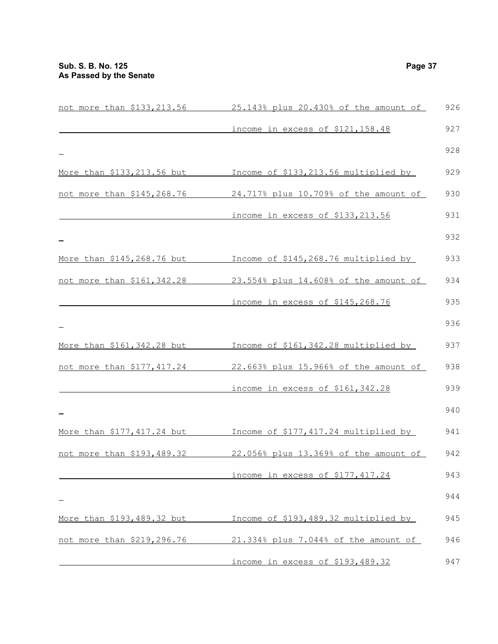| not more than \$133,213.56  | 25.143% plus 20.430% of the amount of | 926 |
|-----------------------------|---------------------------------------|-----|
|                             | income in excess of \$121,158.48      | 927 |
|                             |                                       | 928 |
| More than \$133,213.56 but  | Income of \$133,213.56 multiplied by  | 929 |
| not more than \$145,268.76  | 24.717% plus 10.709% of the amount of | 930 |
|                             | income in excess of \$133,213.56      | 931 |
|                             |                                       | 932 |
| More than \$145,268.76 but  | Income of \$145,268.76 multiplied by  | 933 |
| not more than \$161,342.28  | 23.554% plus 14.608% of the amount of | 934 |
|                             | income in excess of \$145,268.76      | 935 |
|                             |                                       | 936 |
| More than \$161, 342.28 but | Income of \$161,342.28 multiplied by  | 937 |
| not more than \$177,417.24  | 22.663% plus 15.966% of the amount of | 938 |
|                             | income in excess of \$161,342.28      | 939 |
|                             |                                       | 940 |
| More than \$177,417.24 but  | Income of \$177,417.24 multiplied by  | 941 |
| not more than \$193,489.32  | 22.056% plus 13.369% of the amount of | 942 |
|                             | income in excess of \$177,417.24      | 943 |
|                             |                                       | 944 |
| More than \$193,489.32 but  | Income of \$193,489.32 multiplied by  | 945 |
| not more than \$219,296.76  | 21.334% plus 7.044% of the amount of  | 946 |
|                             | income in excess of \$193,489.32      | 947 |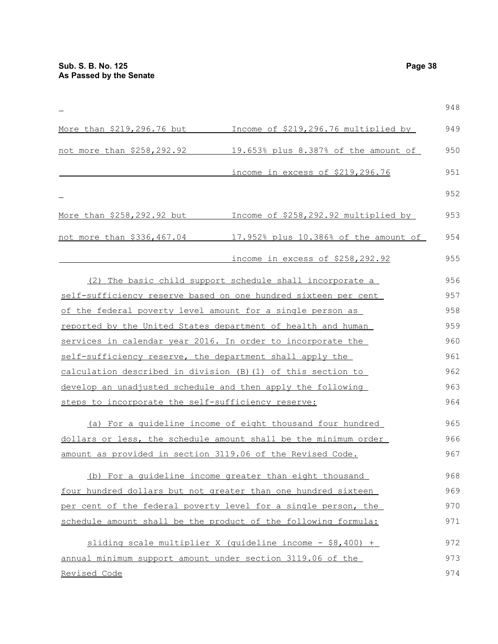|                                                              |                                                                 | 948 |
|--------------------------------------------------------------|-----------------------------------------------------------------|-----|
| More than \$219,296.76 but                                   | Income of \$219,296.76 multiplied by                            | 949 |
| not more than \$258,292.92                                   | 19.653% plus 8.387% of the amount of                            | 950 |
|                                                              | income in excess of \$219,296.76                                | 951 |
|                                                              |                                                                 | 952 |
| More than \$258,292.92 but                                   | Income of \$258,292.92 multiplied by                            | 953 |
| not more than \$336,467.04                                   | 17.952% plus 10.386% of the amount of                           | 954 |
|                                                              | income in excess of \$258,292.92                                | 955 |
|                                                              | (2) The basic child support schedule shall incorporate a        | 956 |
|                                                              | self-sufficiency reserve based on one hundred sixteen per cent  | 957 |
| of the federal poverty level amount for a single person as   |                                                                 | 958 |
|                                                              | reported by the United States department of health and human    | 959 |
| services in calendar year 2016. In order to incorporate the  |                                                                 | 960 |
| self-sufficiency reserve, the department shall apply the     |                                                                 | 961 |
| calculation described in division (B) (1) of this section to |                                                                 | 962 |
| develop an unadjusted schedule and then apply the following  |                                                                 | 963 |
| steps to incorporate the self-sufficiency reserve:           |                                                                 | 964 |
|                                                              | (a) For a quideline income of eight thousand four hundred       | 965 |
|                                                              | dollars or less, the schedule amount shall be the minimum order | 966 |
| amount as provided in section 3119.06 of the Revised Code.   |                                                                 | 967 |
|                                                              | (b) For a quideline income greater than eight thousand          | 968 |
|                                                              | four hundred dollars but not greater than one hundred sixteen   | 969 |
|                                                              | per cent of the federal poverty level for a single person, the  | 970 |
|                                                              | schedule amount shall be the product of the following formula:  | 971 |
|                                                              | sliding scale multiplier X (quideline income $-$ \$8,400) +     | 972 |
| annual minimum support amount under section 3119.06 of the   |                                                                 | 973 |
| Revised Code                                                 |                                                                 | 974 |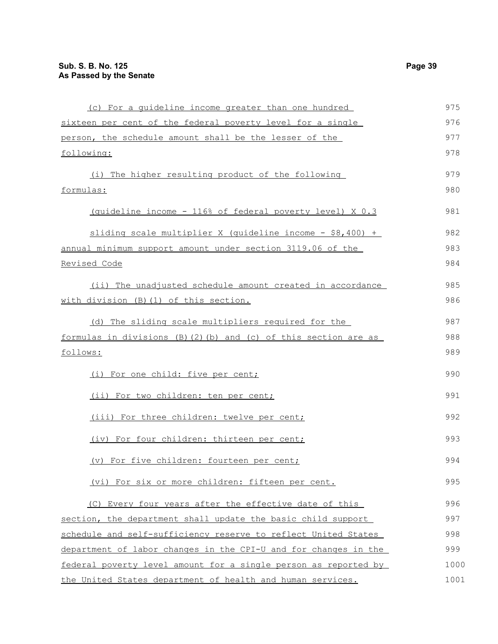| (c) For a quideline income greater than one hundred             | 975  |
|-----------------------------------------------------------------|------|
| sixteen per cent of the federal poverty level for a single      | 976  |
| person, the schedule amount shall be the lesser of the          | 977  |
| following:                                                      | 978  |
| (i) The higher resulting product of the following               | 979  |
| formulas:                                                       | 980  |
| (quideline income - 116% of federal poverty level) X 0.3        | 981  |
| sliding scale multiplier X (quideline income $-$ \$8,400) +     | 982  |
| annual minimum support amount under section 3119.06 of the      | 983  |
| Revised Code                                                    | 984  |
| (ii) The unadjusted schedule amount created in accordance       | 985  |
| with division (B) (1) of this section.                          | 986  |
| (d) The sliding scale multipliers required for the              | 987  |
| formulas in divisions (B)(2)(b) and (c) of this section are as  | 988  |
| <u>follows:</u>                                                 | 989  |
| (i) For one child: five per cent;                               | 990  |
| (ii) For two children: ten per cent;                            | 991  |
| (iii) For three children: twelve per cent;                      | 992  |
| (iv) For four children: thirteen per cent;                      | 993  |
| (v) For five children: fourteen per cent;                       | 994  |
| (vi) For six or more children: fifteen per cent.                | 995  |
| (C) Every four years after the effective date of this           | 996  |
| section, the department shall update the basic child support    | 997  |
| schedule and self-sufficiency reserve to reflect United States  | 998  |
| department of labor changes in the CPI-U and for changes in the | 999  |
| federal poverty level amount for a single person as reported by | 1000 |
| the United States department of health and human services.      | 1001 |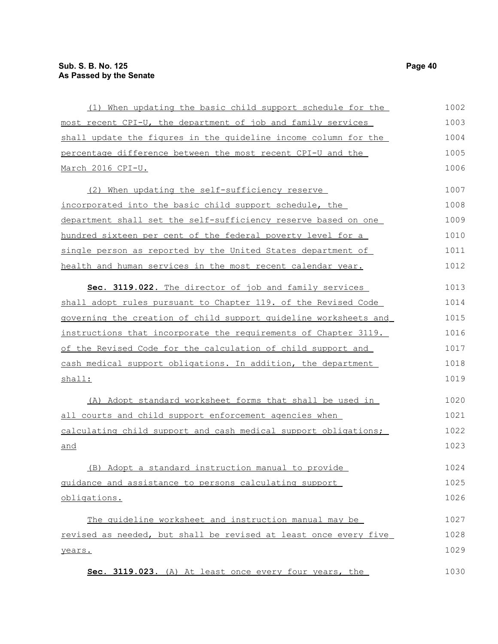| (1) When updating the basic child support schedule for the       | 1002 |
|------------------------------------------------------------------|------|
| most recent CPI-U, the department of job and family services     | 1003 |
| shall update the figures in the guideline income column for the  | 1004 |
| percentage difference between the most recent CPI-U and the      | 1005 |
| March 2016 CPI-U.                                                | 1006 |
| (2) When updating the self-sufficiency reserve                   | 1007 |
| incorporated into the basic child support schedule, the          | 1008 |
| department shall set the self-sufficiency reserve based on one   | 1009 |
| hundred sixteen per cent of the federal poverty level for a      | 1010 |
| single person as reported by the United States department of     | 1011 |
| health and human services in the most recent calendar year.      | 1012 |
| Sec. 3119.022. The director of job and family services           | 1013 |
| shall adopt rules pursuant to Chapter 119. of the Revised Code   | 1014 |
| governing the creation of child support guideline worksheets and | 1015 |
| instructions that incorporate the requirements of Chapter 3119.  | 1016 |
| of the Revised Code for the calculation of child support and     | 1017 |
| cash medical support obligations. In addition, the department    | 1018 |
| shall:                                                           | 1019 |
| (A) Adopt standard worksheet forms that shall be used in         | 1020 |
| all courts and child support enforcement agencies when           | 1021 |
| calculating child support and cash medical support obligations;  | 1022 |
| and                                                              | 1023 |
| (B) Adopt a standard instruction manual to provide               | 1024 |
| guidance and assistance to persons calculating support           | 1025 |
| obligations.                                                     | 1026 |
| The quideline worksheet and instruction manual may be            | 1027 |
| revised as needed, but shall be revised at least once every five | 1028 |
| years.                                                           | 1029 |
| Sec. 3119.023. (A) At least once every four years, the           | 1030 |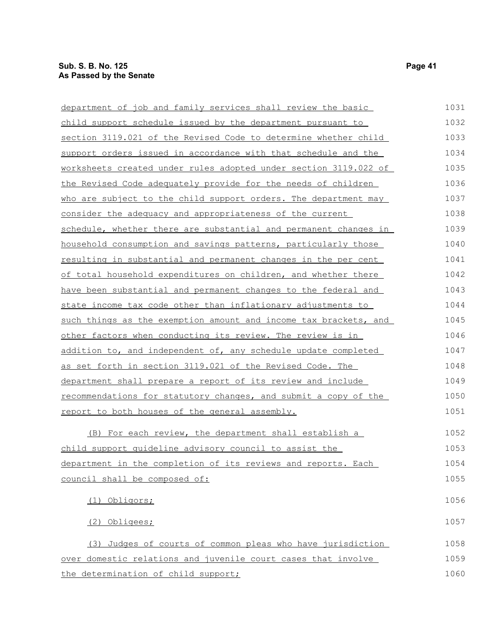| department of job and family services shall review the basic            | 1031 |
|-------------------------------------------------------------------------|------|
| child support schedule issued by the department pursuant to             | 1032 |
| section 3119.021 of the Revised Code to determine whether child         | 1033 |
| support orders issued in accordance with that schedule and the          | 1034 |
| <u>worksheets created under rules adopted under section 3119.022 of</u> | 1035 |
| the Revised Code adequately provide for the needs of children           | 1036 |
| who are subject to the child support orders. The department may         | 1037 |
| consider the adequacy and appropriateness of the current                | 1038 |
| schedule, whether there are substantial and permanent changes in        | 1039 |
| household consumption and savings patterns, particularly those          | 1040 |
| <u>resulting in substantial and permanent changes in the per cent</u>   | 1041 |
| of total household expenditures on children, and whether there          | 1042 |
| have been substantial and permanent changes to the federal and          | 1043 |
| state income tax code other than inflationary adjustments to            | 1044 |
| such things as the exemption amount and income tax brackets, and        | 1045 |
| other factors when conducting its review. The review is in              | 1046 |
| addition to, and independent of, any schedule update completed          | 1047 |
| as set forth in section 3119.021 of the Revised Code. The               | 1048 |
| department shall prepare a report of its review and include             | 1049 |
| recommendations for statutory changes, and submit a copy of the         | 1050 |
| report to both houses of the general assembly.                          | 1051 |
| (B) For each review, the department shall establish a                   | 1052 |
| child support quideline advisory council to assist the                  | 1053 |
| department in the completion of its reviews and reports. Each           | 1054 |
| council shall be composed of:                                           | 1055 |
| Obligors;<br>(1)                                                        | 1056 |
| (2) Obligees;                                                           | 1057 |
| (3) Judges of courts of common pleas who have jurisdiction              | 1058 |
| over domestic relations and juvenile court cases that involve           | 1059 |
| the determination of child support;                                     | 1060 |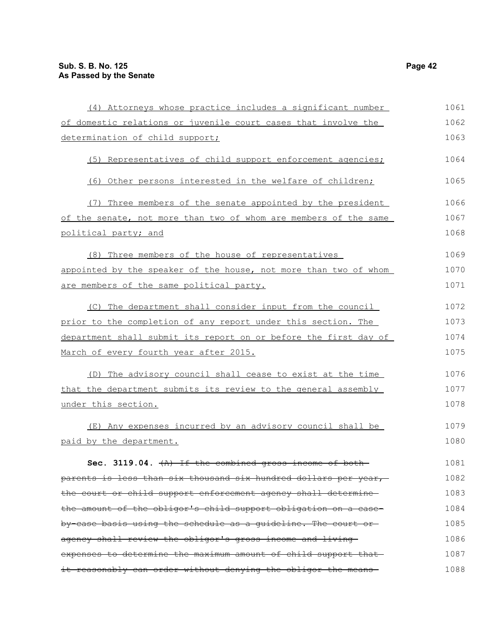| (4) Attorneys whose practice includes a significant number       | 1061 |
|------------------------------------------------------------------|------|
| of domestic relations or juvenile court cases that involve the   | 1062 |
| determination of child support;                                  | 1063 |
| (5) Representatives of child support enforcement agencies;       | 1064 |
| (6) Other persons interested in the welfare of children;         | 1065 |
| (7) Three members of the senate appointed by the president       | 1066 |
| of the senate, not more than two of whom are members of the same | 1067 |
| political party; and                                             | 1068 |
| (8) Three members of the house of representatives                | 1069 |
| appointed by the speaker of the house, not more than two of whom | 1070 |
| are members of the same political party.                         | 1071 |
| (C) The department shall consider input from the council         | 1072 |
| prior to the completion of any report under this section. The    | 1073 |
| department shall submit its report on or before the first day of | 1074 |
| March of every fourth year after 2015.                           | 1075 |
| (D) The advisory council shall cease to exist at the time        | 1076 |
| that the department submits its review to the general assembly   | 1077 |
| under this section.                                              | 1078 |
| (E) Any expenses incurred by an advisory council shall be        | 1079 |
| paid by the department.                                          | 1080 |
| Sec. 3119.04. $(A)$ If the combined gross income of both         | 1081 |
| parents is less than six thousand six hundred dollars per year,  | 1082 |
| the court or child support enforcement agency shall determine    | 1083 |
| the amount of the obligor's child support obligation on a case-  | 1084 |
| by case basis using the schedule as a guideline. The court or    | 1085 |
| agency shall review the obligor's gross income and living-       | 1086 |
| expenses to determine the maximum amount of child support that   | 1087 |
| it reasonably can order without denying the obligor the means-   | 1088 |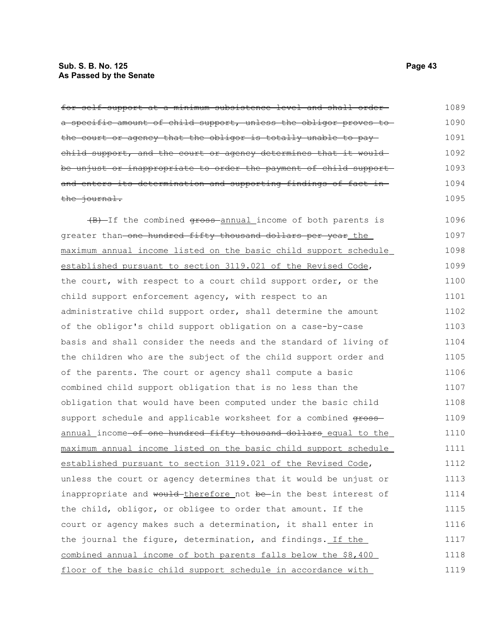# **Sub. S. B. No. 125 Page 43 As Passed by the Senate**

| for self support at a minimum subsistence level and shall order-  | 1089 |
|-------------------------------------------------------------------|------|
| a specific amount of child support, unless the obligor proves to  | 1090 |
| the court or agency that the obligor is totally unable to pay-    | 1091 |
| child support, and the court or agency determines that it would   | 1092 |
| be unjust or inappropriate to order the payment of child support- | 1093 |
| and enters its determination and supporting findings of fact in-  | 1094 |
| the journal.                                                      | 1095 |
| (B) If the combined gross annual income of both parents is        | 1096 |
| greater than one hundred fifty thousand dollars per year the      | 1097 |
| maximum annual income listed on the basic child support schedule  | 1098 |
| established pursuant to section 3119.021 of the Revised Code,     | 1099 |
| the court, with respect to a court child support order, or the    | 1100 |
| child support enforcement agency, with respect to an              | 1101 |
| administrative child support order, shall determine the amount    | 1102 |
| of the obligor's child support obligation on a case-by-case       | 1103 |
| basis and shall consider the needs and the standard of living of  | 1104 |
| the children who are the subject of the child support order and   | 1105 |
| of the parents. The court or agency shall compute a basic         | 1106 |
| combined child support obligation that is no less than the        | 1107 |
| obligation that would have been computed under the basic child    | 1108 |
| support schedule and applicable worksheet for a combined gross-   | 1109 |
| annual_income-of one hundred fifty thousand dollars_equal to the  | 1110 |
| maximum annual income listed on the basic child support schedule  | 1111 |
| established pursuant to section 3119.021 of the Revised Code,     | 1112 |
| unless the court or agency determines that it would be unjust or  | 1113 |
| inappropriate and would-therefore not be-in the best interest of  | 1114 |
| the child, obligor, or obligee to order that amount. If the       | 1115 |
| court or agency makes such a determination, it shall enter in     | 1116 |
| the journal the figure, determination, and findings. If the       | 1117 |
| combined annual income of both parents falls below the \$8,400    | 1118 |
| floor of the basic child support schedule in accordance with      | 1119 |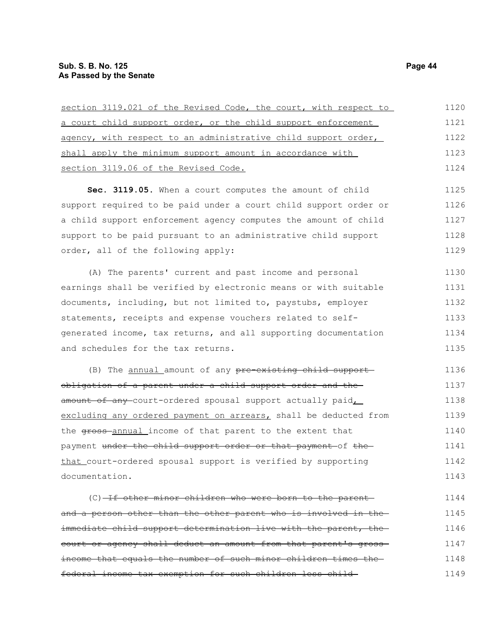| section 3119.021 of the Revised Code, the court, with respect to | 1120 |
|------------------------------------------------------------------|------|
| a court child support order, or the child support enforcement    | 1121 |
| agency, with respect to an administrative child support order,   | 1122 |
| shall apply the minimum support amount in accordance with        | 1123 |
| section 3119.06 of the Revised Code.                             | 1124 |
| Sec. 3119.05. When a court computes the amount of child          | 1125 |
| support required to be paid under a court child support order or | 1126 |
| a child support enforcement agency computes the amount of child  | 1127 |
| support to be paid pursuant to an administrative child support   | 1128 |
| order, all of the following apply:                               | 1129 |
| (A) The parents' current and past income and personal            | 1130 |
| earnings shall be verified by electronic means or with suitable  | 1131 |
| documents, including, but not limited to, paystubs, employer     | 1132 |
| statements, receipts and expense vouchers related to self-       | 1133 |
| generated income, tax returns, and all supporting documentation  | 1134 |
| and schedules for the tax returns.                               | 1135 |
| (B) The annual amount of any pre-existing child support-         | 1136 |
| obligation of a parent under a child support order and the-      | 1137 |
| amount of any court-ordered spousal support actually paid,       | 1138 |
| excluding any ordered payment on arrears, shall be deducted from | 1139 |
| the gross-annual income of that parent to the extent that        | 1140 |
| payment under the child support order or that payment of the     | 1141 |
| that court-ordered spousal support is verified by supporting     | 1142 |
| documentation.                                                   | 1143 |
| (C) If other minor children who were born to the parent-         | 1144 |
| and a person other than the other parent who is involved in      | 1145 |

immediate child support determination live with the parent, the court or agency shall deduct an amount from that parent's gross income that equals the number of such minor children times the federal income tax exemption for such children less child 1146 1147 1148 1149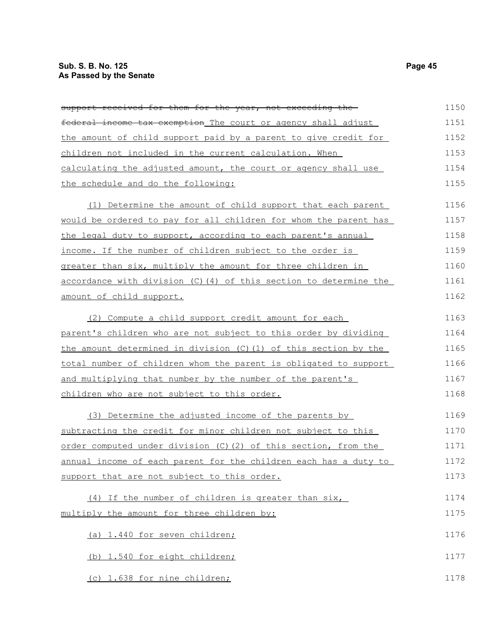| support received for them for the year, not exceeding the         | 1150 |
|-------------------------------------------------------------------|------|
| federal income tax exemption The court or agency shall adjust     | 1151 |
| the amount of child support paid by a parent to give credit for   | 1152 |
| children not included in the current calculation. When            | 1153 |
| calculating the adjusted amount, the court or agency shall use    | 1154 |
| the schedule and do the following:                                | 1155 |
| (1) Determine the amount of child support that each parent        | 1156 |
| would be ordered to pay for all children for whom the parent has  | 1157 |
| the legal duty to support, according to each parent's annual      | 1158 |
| income. If the number of children subject to the order is         | 1159 |
| greater than six, multiply the amount for three children in       | 1160 |
| accordance with division (C) (4) of this section to determine the | 1161 |
| amount of child support.                                          | 1162 |
| (2) Compute a child support credit amount for each                | 1163 |
| parent's children who are not subject to this order by dividing   | 1164 |
| the amount determined in division (C) (1) of this section by the  | 1165 |
| total number of children whom the parent is obligated to support  | 1166 |
| and multiplying that number by the number of the parent's         | 1167 |
| children who are not subject to this order.                       | 1168 |
| (3) Determine the adjusted income of the parents by               | 1169 |
| subtracting the credit for minor children not subject to this     | 1170 |
| order computed under division (C) (2) of this section, from the   | 1171 |
| annual income of each parent for the children each has a duty to  | 1172 |
| support that are not subject to this order.                       | 1173 |
| (4) If the number of children is greater than six,                | 1174 |
| multiply the amount for three children by:                        | 1175 |
| (a) 1.440 for seven children;                                     | 1176 |
| (b) 1.540 for eight children;                                     | 1177 |
| (c) 1.638 for nine children;                                      | 1178 |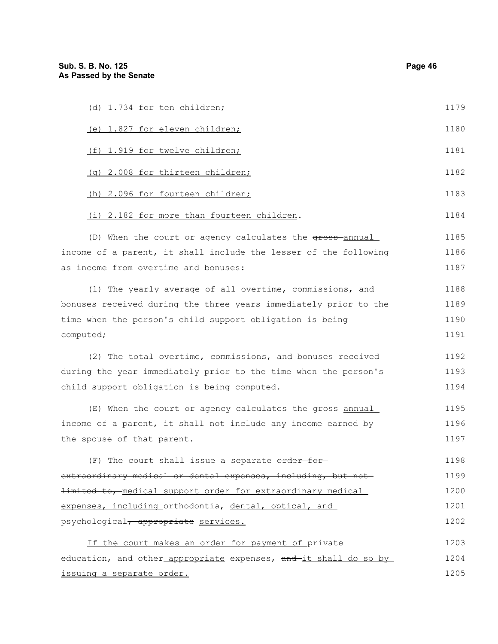| (d) 1.734 for ten children;                                        | 1179 |
|--------------------------------------------------------------------|------|
| (e) 1.827 for eleven children;                                     | 1180 |
| (f) 1.919 for twelve children;                                     | 1181 |
| (g) 2.008 for thirteen children;                                   | 1182 |
| (h) 2.096 for fourteen children;                                   | 1183 |
| (i) 2.182 for more than fourteen children.                         | 1184 |
| (D) When the court or agency calculates the gross-annual           | 1185 |
| income of a parent, it shall include the lesser of the following   | 1186 |
| as income from overtime and bonuses:                               | 1187 |
| (1) The yearly average of all overtime, commissions, and           | 1188 |
| bonuses received during the three years immediately prior to the   | 1189 |
| time when the person's child support obligation is being           | 1190 |
| computed;                                                          | 1191 |
| (2) The total overtime, commissions, and bonuses received          | 1192 |
| during the year immediately prior to the time when the person's    | 1193 |
| child support obligation is being computed.                        | 1194 |
| (E) When the court or agency calculates the gross-annual           | 1195 |
| income of a parent, it shall not include any income earned by      | 1196 |
| the spouse of that parent.                                         | 1197 |
| (F) The court shall issue a separate order for-                    | 1198 |
| extraordinary medical or dental expenses, including, but not       | 1199 |
| <b>limited to, medical support order for extraordinary medical</b> | 1200 |
| expenses, including orthodontia, dental, optical, and              | 1201 |
| psychological, appropriate services.                               | 1202 |
| If the court makes an order for payment of private                 | 1203 |
| education, and other appropriate expenses, and-it shall do so by   | 1204 |
| issuing a separate order.                                          | 1205 |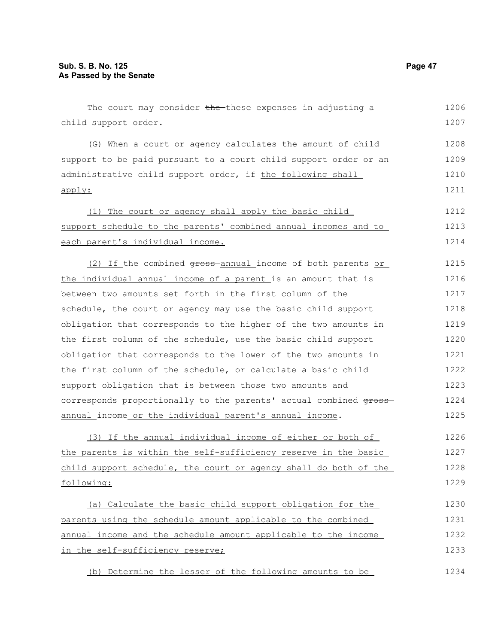| The court may consider the these expenses in adjusting a          | 1206 |
|-------------------------------------------------------------------|------|
| child support order.                                              | 1207 |
| (G) When a court or agency calculates the amount of child         | 1208 |
| support to be paid pursuant to a court child support order or an  | 1209 |
| administrative child support order, if the following shall        | 1210 |
| apply:                                                            | 1211 |
| (1) The court or agency shall apply the basic child               | 1212 |
| support schedule to the parents' combined annual incomes and to   | 1213 |
| each parent's individual income.                                  | 1214 |
| (2) If the combined gross annual income of both parents or        | 1215 |
| the individual annual income of a parent is an amount that is     | 1216 |
| between two amounts set forth in the first column of the          | 1217 |
| schedule, the court or agency may use the basic child support     | 1218 |
| obligation that corresponds to the higher of the two amounts in   | 1219 |
| the first column of the schedule, use the basic child support     | 1220 |
| obligation that corresponds to the lower of the two amounts in    | 1221 |
| the first column of the schedule, or calculate a basic child      | 1222 |
| support obligation that is between those two amounts and          | 1223 |
| corresponds proportionally to the parents' actual combined gross- | 1224 |
| annual_income_or_the_individual_parent's_annual_income.           | 1225 |
| (3) If the annual individual income of either or both of          | 1226 |
| the parents is within the self-sufficiency reserve in the basic   | 1227 |
| child support schedule, the court or agency shall do both of the  | 1228 |
| following:                                                        | 1229 |
| (a) Calculate the basic child support obligation for the          | 1230 |
| parents using the schedule amount applicable to the combined      | 1231 |
| annual income and the schedule amount applicable to the income    | 1232 |
| in the self-sufficiency reserve;                                  | 1233 |

(b) Determine the lesser of the following amounts to be 1234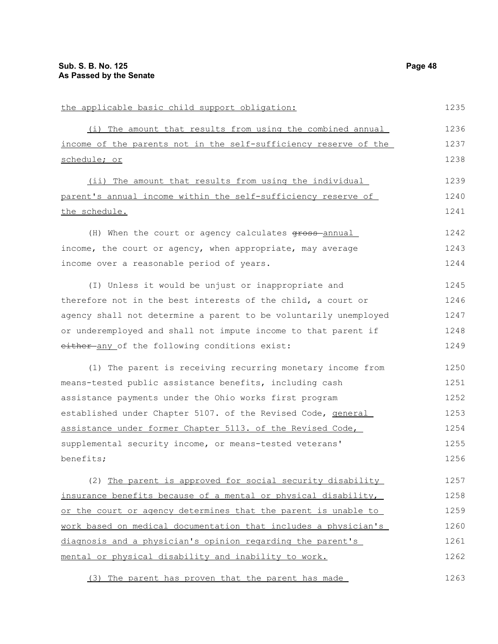| the applicable basic child support obligation:                   | 1235 |
|------------------------------------------------------------------|------|
| (i) The amount that results from using the combined annual       | 1236 |
| income of the parents not in the self-sufficiency reserve of the | 1237 |
| schedule; or                                                     | 1238 |
| (ii) The amount that results from using the individual           | 1239 |
| parent's annual income within the self-sufficiency reserve of    | 1240 |
| the schedule.                                                    | 1241 |
| (H) When the court or agency calculates gross annual             | 1242 |
| income, the court or agency, when appropriate, may average       | 1243 |
| income over a reasonable period of years.                        | 1244 |
| (I) Unless it would be unjust or inappropriate and               | 1245 |
| therefore not in the best interests of the child, a court or     | 1246 |
| agency shall not determine a parent to be voluntarily unemployed | 1247 |
| or underemployed and shall not impute income to that parent if   | 1248 |
| either-any of the following conditions exist:                    | 1249 |
| (1) The parent is receiving recurring monetary income from       | 1250 |
| means-tested public assistance benefits, including cash          | 1251 |
| assistance payments under the Ohio works first program           | 1252 |
| established under Chapter 5107. of the Revised Code, general     | 1253 |
| assistance under former Chapter 5113. of the Revised Code,       | 1254 |
| supplemental security income, or means-tested veterans'          | 1255 |
| benefits;                                                        | 1256 |
| (2) The parent is approved for social security disability        | 1257 |
| insurance benefits because of a mental or physical disability,   | 1258 |
| or the court or agency determines that the parent is unable to   | 1259 |
| work based on medical documentation that includes a physician's  | 1260 |
| diagnosis and a physician's opinion regarding the parent's       | 1261 |
| mental or physical disability and inability to work.             | 1262 |
| (3) The parent has proven that the parent has made               | 1263 |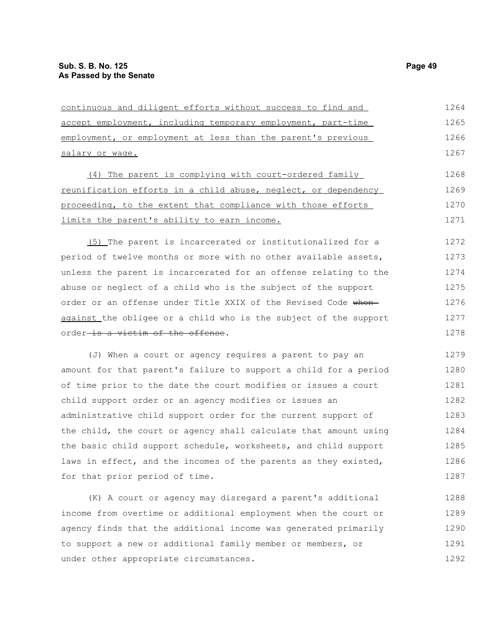under other appropriate circumstances.

| continuous and diligent efforts without success to find and      | 1264 |
|------------------------------------------------------------------|------|
| accept employment, including temporary employment, part-time     | 1265 |
| employment, or employment at less than the parent's previous     | 1266 |
| salary or wage.                                                  | 1267 |
| (4) The parent is complying with court-ordered family            | 1268 |
| reunification efforts in a child abuse, neglect, or dependency   | 1269 |
| proceeding, to the extent that compliance with those efforts     | 1270 |
| limits the parent's ability to earn income.                      | 1271 |
| (5) The parent is incarcerated or institutionalized for a        | 1272 |
| period of twelve months or more with no other available assets,  | 1273 |
| unless the parent is incarcerated for an offense relating to the | 1274 |
| abuse or neglect of a child who is the subject of the support    | 1275 |
| order or an offense under Title XXIX of the Revised Code when-   | 1276 |
| against the obligee or a child who is the subject of the support | 1277 |
| order <del>is a victim of the offense</del> .                    | 1278 |
| (J) When a court or agency requires a parent to pay an           | 1279 |
| amount for that parent's failure to support a child for a period | 1280 |
| of time prior to the date the court modifies or issues a court   | 1281 |
| child support order or an agency modifies or issues an           | 1282 |
|                                                                  |      |
| administrative child support order for the current support of    | 1283 |
| the child, the court or agency shall calculate that amount using | 1284 |
| the basic child support schedule, worksheets, and child support  | 1285 |
| laws in effect, and the incomes of the parents as they existed,  | 1286 |
| for that prior period of time.                                   | 1287 |
| (K) A court or agency may disregard a parent's additional        | 1288 |
| income from overtime or additional employment when the court or  | 1289 |
| agency finds that the additional income was generated primarily  | 1290 |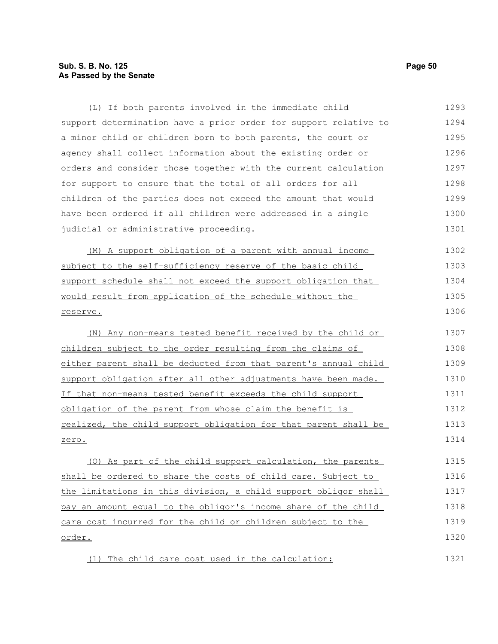## **Sub. S. B. No. 125 Page 50 As Passed by the Senate**

(L) If both parents involved in the immediate child support determination have a prior order for support relative to a minor child or children born to both parents, the court or agency shall collect information about the existing order or orders and consider those together with the current calculation for support to ensure that the total of all orders for all children of the parties does not exceed the amount that would have been ordered if all children were addressed in a single judicial or administrative proceeding. (M) A support obligation of a parent with annual income subject to the self-sufficiency reserve of the basic child support schedule shall not exceed the support obligation that would result from application of the schedule without the reserve. (N) Any non-means tested benefit received by the child or children subject to the order resulting from the claims of either parent shall be deducted from that parent's annual child support obligation after all other adjustments have been made. If that non-means tested benefit exceeds the child support obligation of the parent from whose claim the benefit is realized, the child support obligation for that parent shall be zero. (O) As part of the child support calculation, the parents shall be ordered to share the costs of child care. Subject to the limitations in this division, a child support obligor shall pay an amount equal to the obligor's income share of the child care cost incurred for the child or children subject to the order. (1) The child care cost used in the calculation: 1293 1294 1295 1296 1297 1298 1299 1300 1301 1302 1303 1304 1305 1306 1307 1308 1309 1310 1311 1312 1313 1314 1315 1316 1317 1318 1319 1320 1321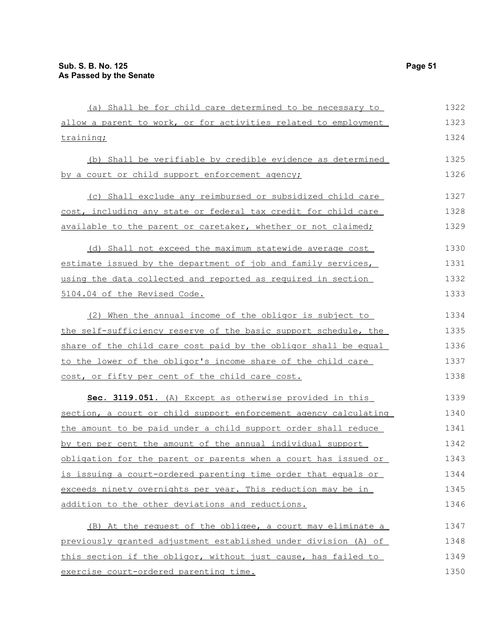| (a) Shall be for child care determined to be necessary to        | 1322 |
|------------------------------------------------------------------|------|
| allow a parent to work, or for activities related to employment  | 1323 |
| training;                                                        | 1324 |
| (b) Shall be verifiable by credible evidence as determined       | 1325 |
| by a court or child support enforcement agency;                  | 1326 |
| (c) Shall exclude any reimbursed or subsidized child care        | 1327 |
| cost, including any state or federal tax credit for child care   | 1328 |
| available to the parent or caretaker, whether or not claimed;    | 1329 |
| (d) Shall not exceed the maximum statewide average cost          | 1330 |
| estimate issued by the department of job and family services,    | 1331 |
| using the data collected and reported as required in section     | 1332 |
| 5104.04 of the Revised Code.                                     | 1333 |
| (2) When the annual income of the obligor is subject to          | 1334 |
| the self-sufficiency reserve of the basic support schedule, the  | 1335 |
| share of the child care cost paid by the obligor shall be equal  | 1336 |
| to the lower of the obligor's income share of the child care     | 1337 |
| cost, or fifty per cent of the child care cost.                  | 1338 |
| Sec. 3119.051. (A) Except as otherwise provided in this          | 1339 |
| section, a court or child support enforcement agency calculating | 1340 |
| the amount to be paid under a child support order shall reduce   | 1341 |
| by ten per cent the amount of the annual individual support      | 1342 |
| obligation for the parent or parents when a court has issued or  | 1343 |
| is issuing a court-ordered parenting time order that equals or   | 1344 |
| exceeds ninety overnights per year. This reduction may be in     | 1345 |
| addition to the other deviations and reductions.                 | 1346 |
| (B) At the request of the obligee, a court may eliminate a       | 1347 |
| previously granted adjustment established under division (A) of  | 1348 |
| this section if the obligor, without just cause, has failed to   | 1349 |
| exercise court-ordered parenting time.                           | 1350 |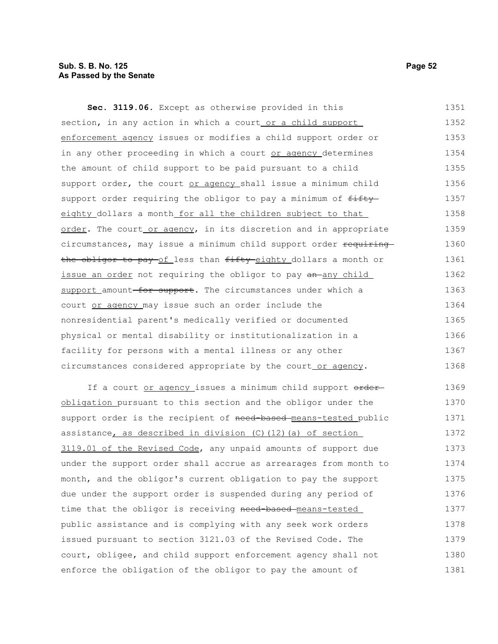## **Sub. S. B. No. 125 Page 52 As Passed by the Senate**

**Sec. 3119.06.** Except as otherwise provided in this section, in any action in which a court or a child support enforcement agency issues or modifies a child support order or in any other proceeding in which a court or agency determines the amount of child support to be paid pursuant to a child support order, the court or agency shall issue a minimum child support order requiring the obligor to pay a minimum of  $f$ ifty eighty dollars a month for all the children subject to that order. The court or agency, in its discretion and in appropriate circumstances, may issue a minimum child support order requiring the obligor to pay of less than fifty eighty dollars a month or issue an order not requiring the obligor to pay an any child support amount for support. The circumstances under which a court or agency may issue such an order include the nonresidential parent's medically verified or documented physical or mental disability or institutionalization in a facility for persons with a mental illness or any other circumstances considered appropriate by the court or agency. If a court or agency issues a minimum child support order-1351 1352 1353 1354 1355 1356 1357 1358 1359 1360 1361 1362 1363 1364 1365 1366 1367 1368 1369

obligation pursuant to this section and the obligor under the support order is the recipient of need-based-means-tested public assistance, as described in division  $(C)$   $(12)$   $(a)$  of section 3119.01 of the Revised Code, any unpaid amounts of support due under the support order shall accrue as arrearages from month to month, and the obligor's current obligation to pay the support due under the support order is suspended during any period of time that the obligor is receiving need-based means-tested public assistance and is complying with any seek work orders issued pursuant to section 3121.03 of the Revised Code. The court, obligee, and child support enforcement agency shall not enforce the obligation of the obligor to pay the amount of 1370 1371 1372 1373 1374 1375 1376 1377 1378 1379 1380 1381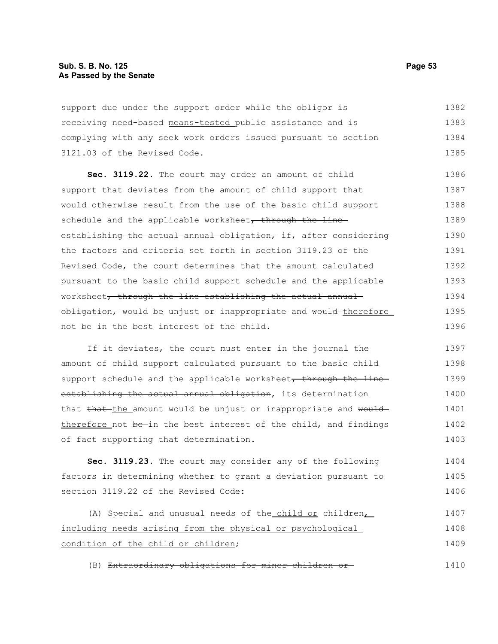support due under the support order while the obligor is receiving need-based means-tested public assistance and is complying with any seek work orders issued pursuant to section 3121.03 of the Revised Code. 1382 1383 1384 1385

**Sec. 3119.22.** The court may order an amount of child support that deviates from the amount of child support that would otherwise result from the use of the basic child support schedule and the applicable worksheet, through the lineestablishing the actual annual obligation, if, after considering the factors and criteria set forth in section 3119.23 of the Revised Code, the court determines that the amount calculated pursuant to the basic child support schedule and the applicable worksheet, through the line establishing the actual annual obligation, would be unjust or inappropriate and would therefore not be in the best interest of the child. 1386 1387 1388 1389 1390 1391 1392 1393 1394 1395 1396

If it deviates, the court must enter in the journal the amount of child support calculated pursuant to the basic child support schedule and the applicable worksheet, through the line establishing the actual annual obligation, its determination that that the amount would be unjust or inappropriate and would therefore not be-in the best interest of the child, and findings of fact supporting that determination. 1397 1398 1399 1400 1401 1402 1403

**Sec. 3119.23.** The court may consider any of the following factors in determining whether to grant a deviation pursuant to section 3119.22 of the Revised Code: 1404 1405 1406

(A) Special and unusual needs of the child or children, including needs arising from the physical or psychological condition of the child or children; 1407 1408 1409

(B) Extraordinary obligations for minor children or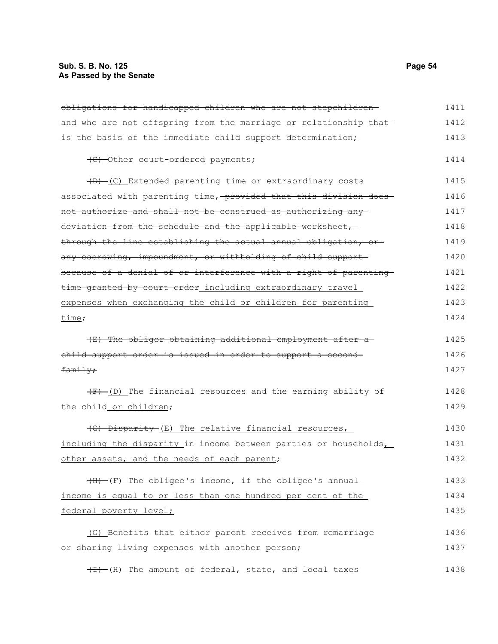| obligations for handicapped children who are not stepchildren-   | 1411 |
|------------------------------------------------------------------|------|
| and who are not offspring from the marriage or relationship that | 1412 |
| is the basis of the immediate child support determination,       | 1413 |
| (C) -Other court-ordered payments;                               | 1414 |
| (B) -(C) Extended parenting time or extraordinary costs          | 1415 |
| associated with parenting time, provided that this division does | 1416 |
| not authorize and shall not be construed as authorizing any      | 1417 |
| deviation from the schedule and the applicable worksheet,        | 1418 |
| through the line establishing the actual annual obligation, or   | 1419 |
| any escrowing, impoundment, or withholding of child support-     | 1420 |
| because of a denial of or interference with a right of parenting | 1421 |
| time granted by court order including extraordinary travel       | 1422 |
| expenses when exchanging the child or children for parenting     | 1423 |
| time;                                                            | 1424 |
| (E) The obligor obtaining additional employment after a          | 1425 |
| child support order is issued in order to support a second-      | 1426 |
| family;                                                          | 1427 |
| $(F)$ (D) The financial resources and the earning ability of     | 1428 |
| the child or children;                                           | 1429 |
| (G) Disparity (E) The relative financial resources,              | 1430 |
| including the disparity in income between parties or households, | 1431 |
| other assets, and the needs of each parent;                      | 1432 |
| (H) (F) The obligee's income, if the obligee's annual            | 1433 |
| income is equal to or less than one hundred per cent of the      | 1434 |
| federal poverty level;                                           | 1435 |
| (G) Benefits that either parent receives from remarriage         | 1436 |
| or sharing living expenses with another person;                  | 1437 |
| $\frac{1}{1}$ (H) The amount of federal, state, and local taxes  | 1438 |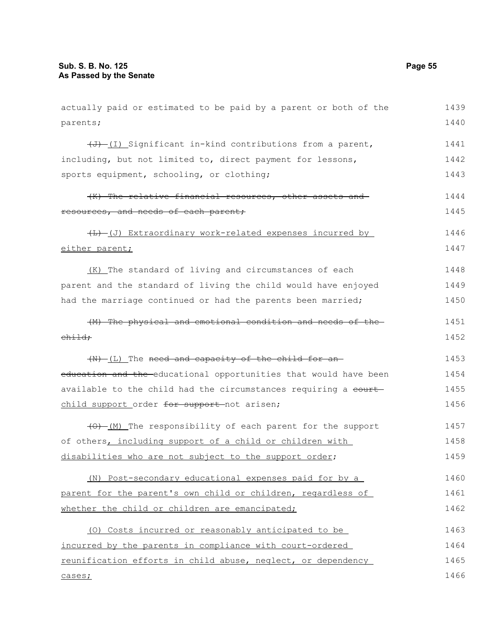| actually paid or estimated to be paid by a parent or both of the      | 1439 |
|-----------------------------------------------------------------------|------|
| parents;                                                              | 1440 |
| $\overline{(J)}$ (I) Significant in-kind contributions from a parent, | 1441 |
| including, but not limited to, direct payment for lessons,            | 1442 |
| sports equipment, schooling, or clothing;                             | 1443 |
| (K) The relative financial resources, other assets and                | 1444 |
| resources, and needs of each parent;                                  | 1445 |
| (L) -(J) Extraordinary work-related expenses incurred by              | 1446 |
| either parent;                                                        | 1447 |
| (K) The standard of living and circumstances of each                  | 1448 |
| parent and the standard of living the child would have enjoyed        | 1449 |
| had the marriage continued or had the parents been married;           | 1450 |
| (M) The physical and emotional condition and needs of the             | 1451 |
| $ehi$ $\pm$ $\theta$ $\rightarrow$                                    | 1452 |
| (N) (L) The need and capacity of the child for an-                    | 1453 |
| education and the educational opportunities that would have been      | 1454 |
| available to the child had the circumstances requiring a court-       | 1455 |
| child support order for support not arisen;                           | 1456 |
| (0) (M) The responsibility of each parent for the support             | 1457 |
| of others, including support of a child or children with              | 1458 |
| disabilities who are not subject to the support order;                | 1459 |
| (N) Post-secondary educational expenses paid for by a                 | 1460 |
| parent for the parent's own child or children, regardless of          | 1461 |
| whether the child or children are emancipated;                        | 1462 |
| (0) Costs incurred or reasonably anticipated to be                    | 1463 |
| incurred by the parents in compliance with court-ordered              | 1464 |
| reunification efforts in child abuse, neglect, or dependency          | 1465 |
| cases;                                                                | 1466 |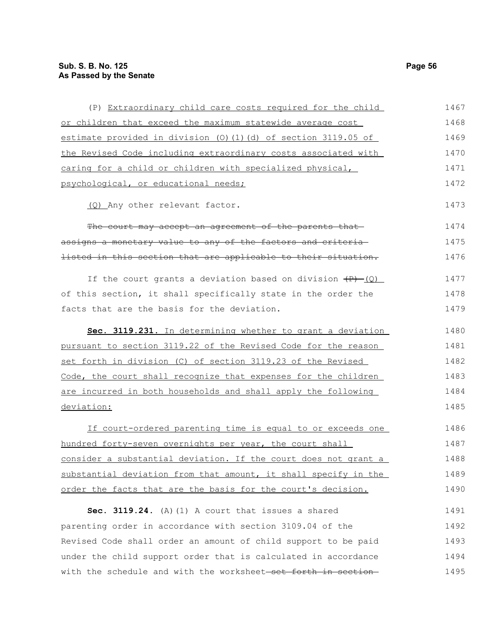| (P) Extraordinary child care costs required for the child             | 1467 |
|-----------------------------------------------------------------------|------|
| or children that exceed the maximum statewide average cost            | 1468 |
| estimate provided in division (0)(1)(d) of section 3119.05 of         | 1469 |
| the Revised Code including extraordinary costs associated with        | 1470 |
| caring for a child or children with specialized physical,             | 1471 |
| psychological, or educational needs;                                  | 1472 |
| (Q) Any other relevant factor.                                        | 1473 |
| The court may accept an agreement of the parents that-                | 1474 |
| assigns a monetary value to any of the factors and criteria-          | 1475 |
| listed in this section that are applicable to their situation.        | 1476 |
| If the court grants a deviation based on division $\overline{+P}$ (Q) | 1477 |
| of this section, it shall specifically state in the order the         | 1478 |
| facts that are the basis for the deviation.                           | 1479 |
| Sec. 3119.231. In determining whether to grant a deviation            | 1480 |
| pursuant to section 3119.22 of the Revised Code for the reason        | 1481 |
| set forth in division (C) of section 3119.23 of the Revised           | 1482 |
| Code, the court shall recognize that expenses for the children        | 1483 |
| are incurred in both households and shall apply the following         | 1484 |
| deviation:                                                            | 1485 |
| If court-ordered parenting time is equal to or exceeds one            | 1486 |
| hundred forty-seven overnights per year, the court shall              | 1487 |
| consider a substantial deviation. If the court does not grant a       | 1488 |
| substantial deviation from that amount, it shall specify in the       | 1489 |
| order the facts that are the basis for the court's decision.          | 1490 |
| Sec. 3119.24. (A) (1) A court that issues a shared                    | 1491 |
| parenting order in accordance with section 3109.04 of the             | 1492 |
| Revised Code shall order an amount of child support to be paid        | 1493 |
| under the child support order that is calculated in accordance        | 1494 |
| with the schedule and with the worksheet-set forth in section-        | 1495 |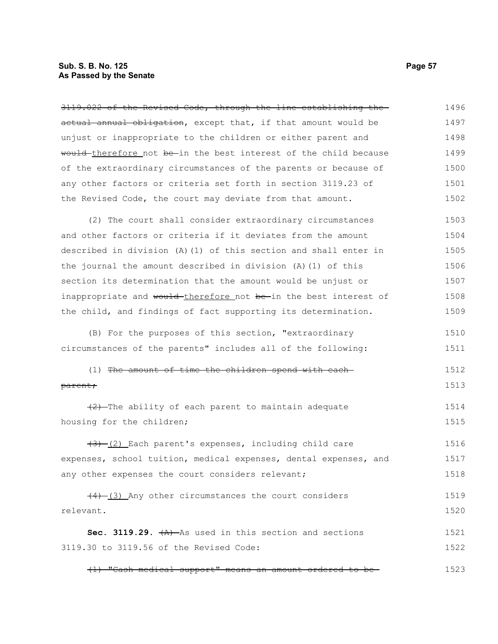#### **Sub. S. B. No. 125 Page 57 As Passed by the Senate**

3119.022 of the Revised Code, through the line establishing the actual annual obligation, except that, if that amount would be unjust or inappropriate to the children or either parent and would therefore not be in the best interest of the child because of the extraordinary circumstances of the parents or because of any other factors or criteria set forth in section 3119.23 of the Revised Code, the court may deviate from that amount. (2) The court shall consider extraordinary circumstances and other factors or criteria if it deviates from the amount described in division (A)(1) of this section and shall enter in the journal the amount described in division (A)(1) of this section its determination that the amount would be unjust or inappropriate and would-therefore not be-in the best interest of the child, and findings of fact supporting its determination. (B) For the purposes of this section, "extraordinary circumstances of the parents" includes all of the following: (1) The amount of time the children spend with each parent;  $(2)$ -The ability of each parent to maintain adequate housing for the children;  $(3)$  (2) Each parent's expenses, including child care expenses, school tuition, medical expenses, dental expenses, and any other expenses the court considers relevant;  $(4)$   $(3)$  Any other circumstances the court considers relevant. Sec. 3119.29.  $(A)$  As used in this section and sections 3119.30 to 3119.56 of the Revised Code: 1496 1497 1498 1499 1500 1501 1502 1503 1504 1505 1506 1507 1508 1509 1510 1511 1512 1513 1514 1515 1516 1517 1518 1519 1520 1521 1522

(1) "Cash medical support" means an amount ordered to be 1523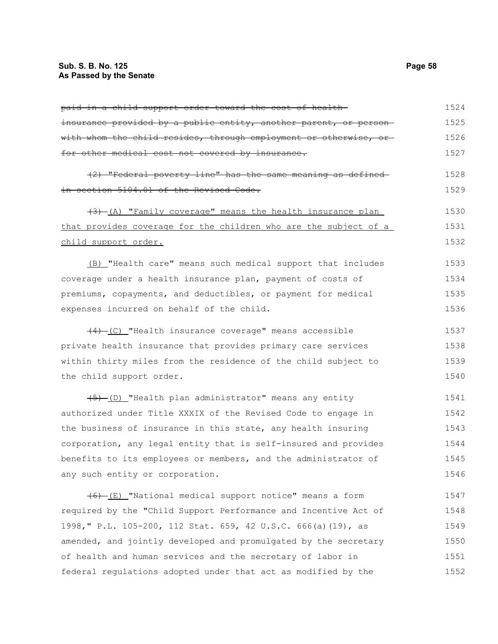| insurance provided by a public entity, another parent, or person- | 1525 |
|-------------------------------------------------------------------|------|
| with whom the child resides, through employment or otherwise, or- | 1526 |
| for other medical cost not covered by insurance.                  | 1527 |

| (2) "Federal poverty line" has the same meaning as defined- |  |  |  |  | 1528 |
|-------------------------------------------------------------|--|--|--|--|------|
| in section 5104.01 of the Revised Code.                     |  |  |  |  | 1529 |

 $(3)$  (A) "Family coverage" means the health insurance plan that provides coverage for the children who are the subject of a child support order. 1530 1531 1532

(B) "Health care" means such medical support that includes coverage under a health insurance plan, payment of costs of premiums, copayments, and deductibles, or payment for medical expenses incurred on behalf of the child. 1533 1534 1535 1536

(4) (C) "Health insurance coverage" means accessible private health insurance that provides primary care services within thirty miles from the residence of the child subject to the child support order. 1537 1538 1539 1540

(5) (D) "Health plan administrator" means any entity authorized under Title XXXIX of the Revised Code to engage in the business of insurance in this state, any health insuring corporation, any legal entity that is self-insured and provides benefits to its employees or members, and the administrator of any such entity or corporation. 1541 1542 1543 1544 1545 1546

 $\overline{(6)}$  (E) "National medical support notice" means a form required by the "Child Support Performance and Incentive Act of 1998," P.L. 105-200, 112 Stat. 659, 42 U.S.C. 666(a)(19), as amended, and jointly developed and promulgated by the secretary of health and human services and the secretary of labor in federal regulations adopted under that act as modified by the 1547 1548 1549 1550 1551 1552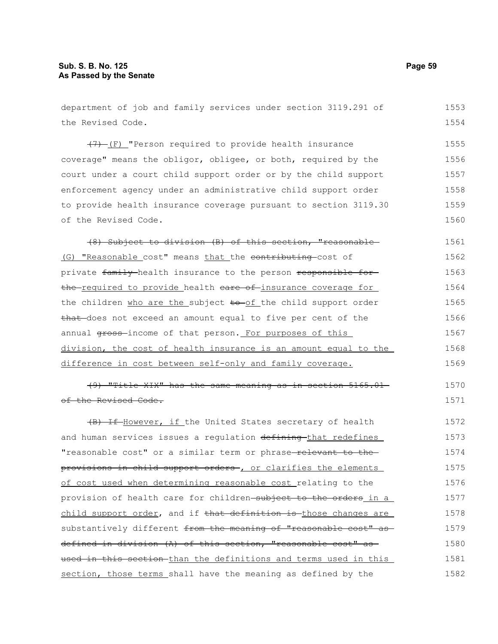## **Sub. S. B. No. 125 Page 59 As Passed by the Senate**

department of job and family services under section 3119.291 of the Revised Code. (7) (F) "Person required to provide health insurance coverage" means the obligor, obligee, or both, required by the court under a court child support order or by the child support enforcement agency under an administrative child support order to provide health insurance coverage pursuant to section 3119.30 of the Revised Code. (8) Subject to division (B) of this section, "reasonable (G) "Reasonable cost" means that the contributing cost of private family health insurance to the person responsible for the required to provide health eare of insurance coverage for the children who are the subject to of the child support order that does not exceed an amount equal to five per cent of the annual gross-income of that person. For purposes of this division, the cost of health insurance is an amount equal to the difference in cost between self-only and family coverage. (9) "Title XIX" has the same meaning as in section 5165.01 of the Revised Code. (B) If However, if the United States secretary of health and human services issues a regulation defining that redefines "reasonable cost" or a similar term or phrase-relevant to theprovisions in child support orders , or clarifies the elements of cost used when determining reasonable cost relating to the provision of health care for children-subject to the orders in a child support order, and if that definition is those changes are substantively different from the meaning of "reasonable cost" as defined in division (A) of this section, "reasonable cost" as used in this section-than the definitions and terms used in this section, those terms shall have the meaning as defined by the 1553 1554 1555 1556 1557 1558 1559 1560 1561 1562 1563 1564 1565 1566 1567 1568 1569 1570 1571 1572 1573 1574 1575 1576 1577 1578 1579 1580 1581 1582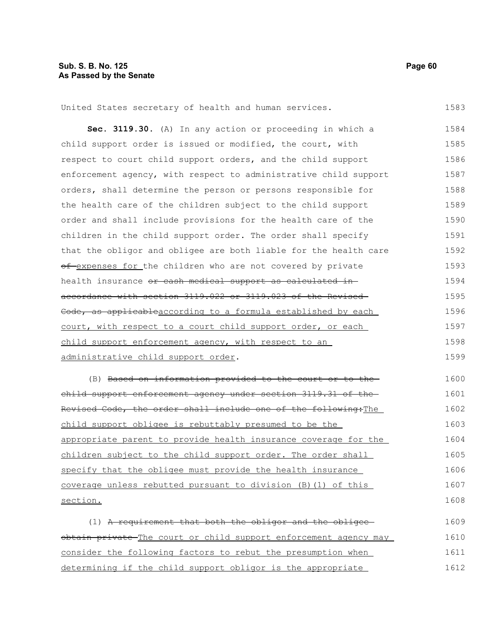1583

United States secretary of health and human services.

**Sec. 3119.30.** (A) In any action or proceeding in which a child support order is issued or modified, the court, with respect to court child support orders, and the child support enforcement agency, with respect to administrative child support orders, shall determine the person or persons responsible for the health care of the children subject to the child support order and shall include provisions for the health care of the children in the child support order. The order shall specify that the obligor and obligee are both liable for the health care of expenses for the children who are not covered by private health insurance or cash medical support as calculated inaccordance with section 3119.022 or 3119.023 of the Revised Code, as applicableaccording to a formula established by each court, with respect to a court child support order, or each child support enforcement agency, with respect to an administrative child support order. 1584 1585 1586 1587 1588 1589 1590 1591 1592 1593 1594 1595 1596 1597 1598 1599

(B) Based on information provided to the court or to the child support enforcement agency under section 3119.31 of the Revised Code, the order shall include one of the following: The child support obligee is rebuttably presumed to be the appropriate parent to provide health insurance coverage for the children subject to the child support order. The order shall specify that the obligee must provide the health insurance coverage unless rebutted pursuant to division (B)(1) of this section. 1600 1601 1602 1603 1604 1605 1606 1607 1608

 $(1)$  A requirement that both the obligor and the obligeeobtain private The court or child support enforcement agency may consider the following factors to rebut the presumption when determining if the child support obligor is the appropriate 1609 1610 1611 1612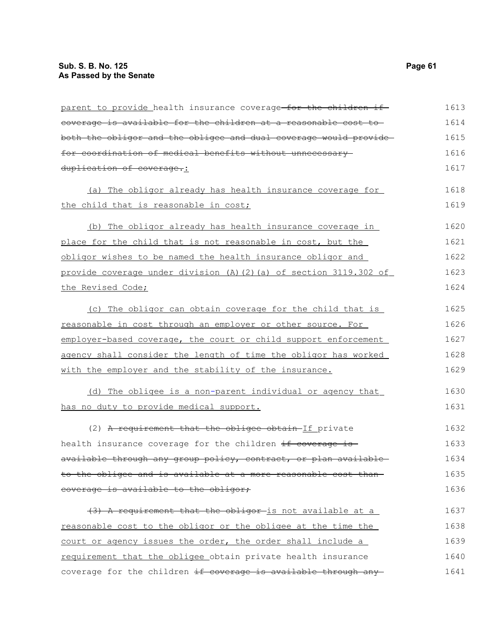| parent to provide health insurance coverage for the children if  | 1613 |
|------------------------------------------------------------------|------|
| eoverage is available for the children at a reasonable cost to   | 1614 |
| both the obligor and the obligee and dual coverage would provide | 1615 |
| for coordination of medical benefits without unnecessary-        | 1616 |
| duplication of coverage.:                                        | 1617 |
| (a) The obligor already has health insurance coverage for        | 1618 |
| the child that is reasonable in cost;                            | 1619 |
| (b) The obligor already has health insurance coverage in         | 1620 |
| place for the child that is not reasonable in cost, but the      | 1621 |
| obligor wishes to be named the health insurance obligor and      | 1622 |
| provide coverage under division (A)(2)(a) of section 3119.302 of | 1623 |
| the Revised Code;                                                | 1624 |
| (c) The obligor can obtain coverage for the child that is        | 1625 |
| reasonable in cost through an employer or other source. For      | 1626 |
| employer-based coverage, the court or child support enforcement  | 1627 |
| agency shall consider the length of time the obligor has worked  | 1628 |
| with the employer and the stability of the insurance.            | 1629 |
| (d) The obligee is a non-parent individual or agency that        | 1630 |
| has no duty to provide medical support.                          | 1631 |
| (2) A requirement that the obligee obtain-If private             | 1632 |
| health insurance coverage for the children if coverage is        | 1633 |
| available through any group policy, contract, or plan available- | 1634 |
| to the obligee and is available at a more reasonable cost than-  | 1635 |
| coverage is available to the obligor;                            | 1636 |
| (3) A requirement that the obligor-is not available at a         | 1637 |
| reasonable cost to the obligor or the obligee at the time the    | 1638 |
| court or agency issues the order, the order shall include a      | 1639 |
| requirement that the obligee obtain private health insurance     | 1640 |
| coverage for the children if coverage is available through any   | 1641 |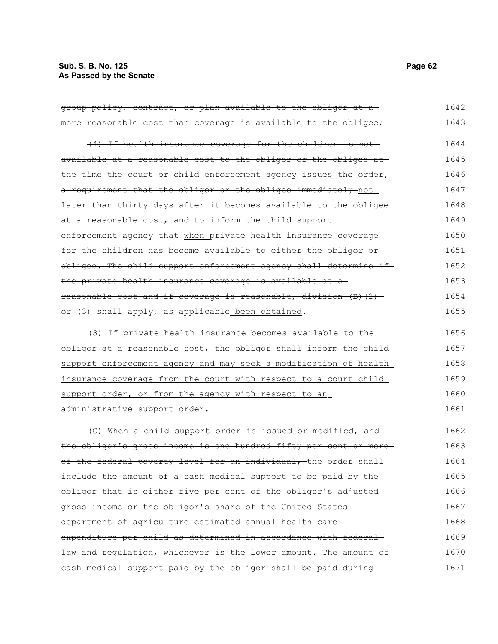| group policy, contract, or plan available to the obligor at a     | 1642 |
|-------------------------------------------------------------------|------|
| more reasonable cost than coverage is available to the obligee;   | 1643 |
| (4) If health insurance coverage for the children is not-         | 1644 |
| available at a reasonable cost to the obligor or the obligee at   | 1645 |
| the time the court or child enforcement agency issues the order,  | 1646 |
| a requirement that the obligor or the obligee immediately-not     | 1647 |
| later than thirty days after it becomes available to the obligee  | 1648 |
| at a reasonable cost, and to inform the child support             | 1649 |
| enforcement agency that when private health insurance coverage    | 1650 |
| for the children has-become available to either the obligor or-   | 1651 |
| obligee. The child support enforcement agency shall determine if- | 1652 |
| the private health insurance coverage is available at a           | 1653 |
| reasonable cost and if coverage is reasonable, division (B)(2)-   | 1654 |
| or (3) shall apply, as applicable been obtained.                  | 1655 |
| (3) If private health insurance becomes available to the          | 1656 |
| obligor at a reasonable cost, the obligor shall inform the child  | 1657 |
| support enforcement agency and may seek a modification of health  | 1658 |
| insurance coverage from the court with respect to a court child   | 1659 |
| support order, or from the agency with respect to an              | 1660 |
| administrative support order.                                     | 1661 |
| (C) When a child support order is issued or modified, and         | 1662 |
| the obligor's gross income is one hundred fifty per cent or more  | 1663 |
| of the federal poverty level for an individual, the order shall   | 1664 |
| include the amount of a cash medical support to be paid by the    | 1665 |
| obligor that is either five per cent of the obligor's adjusted-   | 1666 |
| gross income or the obligor's share of the United States-         | 1667 |
| department of agriculture estimated annual health care-           | 1668 |
| expenditure per child as determined in accordance with federal-   | 1669 |
| law and requlation, whichever is the lower amount. The amount of  | 1670 |
| eash medical support paid by the obligor shall be paid during     | 1671 |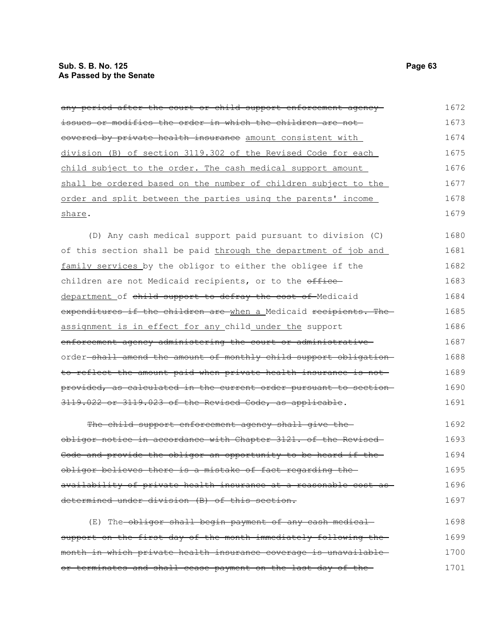| any period after the court or child support enforcement agency-   | 1672 |
|-------------------------------------------------------------------|------|
| issues or modifies the order in which the children are not-       | 1673 |
| eovered by private health insurance amount consistent with        | 1674 |
| division (B) of section 3119.302 of the Revised Code for each     | 1675 |
| child subject to the order. The cash medical support amount       | 1676 |
| shall be ordered based on the number of children subject to the   | 1677 |
| order and split between the parties using the parents' income     | 1678 |
| share.                                                            | 1679 |
| (D) Any cash medical support paid pursuant to division (C)        | 1680 |
| of this section shall be paid through the department of job and   | 1681 |
| family services by the obligor to either the obligee if the       | 1682 |
| children are not Medicaid recipients, or to the office            | 1683 |
| department of child support to defray the cost of Medicaid        | 1684 |
| expenditures if the children are when a Medicaid recipients. The  | 1685 |
| assignment is in effect for any child under the support           | 1686 |
| enforcement agency administering the court or administrative      | 1687 |
| order-shall amend the amount of monthly child support obligation- | 1688 |
| to reflect the amount paid when private health insurance is not   | 1689 |
| provided, as calculated in the current order pursuant to section  | 1690 |
| 3119.022 or 3119.023 of the Revised Code, as applicable.          | 1691 |

The child support enforcement agency shall give theobligor notice in accordance with Chapter 3121. of the Revised Code and provide the obligor an opportunity to be heard if the obligor believes there is a mistake of fact regarding the availability of private health insurance at a reasonable cost as determined under division (B) of this section. 1692 1693 1694 1695 1696 1697

(E) The obligor shall begin payment of any cash medical support on the first day of the month immediately following themonth in which private health insurance coverage is unavailable or terminates and shall cease payment on the last day of the 1698 1699 1700 1701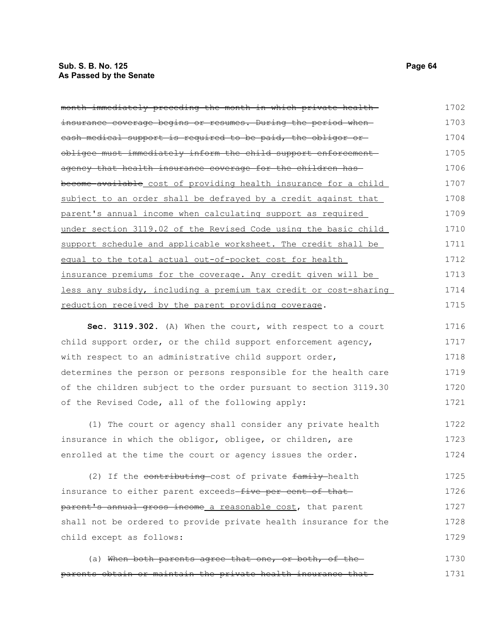| month immediately preceding the month in which private health-           | 1702 |
|--------------------------------------------------------------------------|------|
| insurance coverage begins or resumes. During the period when-            | 1703 |
| eash medical support is required to be paid, the obligor or-             | 1704 |
| obligee must immediately inform the child support enforcement            | 1705 |
| agency that health insurance coverage for the children has               | 1706 |
| become available cost of providing health insurance for a child          | 1707 |
| subject to an order shall be defrayed by a credit against that           | 1708 |
| parent's annual income when calculating support as required              | 1709 |
| under section 3119.02 of the Revised Code using the basic child          | 1710 |
| support schedule and applicable worksheet. The credit shall be           | 1711 |
| equal to the total actual out-of-pocket cost for health                  | 1712 |
| insurance premiums for the coverage. Any credit given will be            | 1713 |
| less any subsidy, including a premium tax credit or cost-sharing         | 1714 |
| reduction received by the parent providing coverage.                     | 1715 |
| 3119 302 $(A)$ When the court with respect to a court<br>$S \cap \Gamma$ | 1716 |

**Sec. 3119.302.** (A) When the court, with respect to a court child support order, or the child support enforcement agency, with respect to an administrative child support order, determines the person or persons responsible for the health care of the children subject to the order pursuant to section 3119.30 of the Revised Code, all of the following apply: 1716 1717 1718 1719 1720 1721

(1) The court or agency shall consider any private health insurance in which the obligor, obligee, or children, are enrolled at the time the court or agency issues the order. 1722 1723 1724

(2) If the contributing cost of private family health insurance to either parent exceeds-five per cent of thatparent's annual gross income a reasonable cost, that parent shall not be ordered to provide private health insurance for the child except as follows: 1725 1726 1727 1728 1729

(a) When both parents agree that one, or both, of the parents obtain or maintain the private health insurance that 1730 1731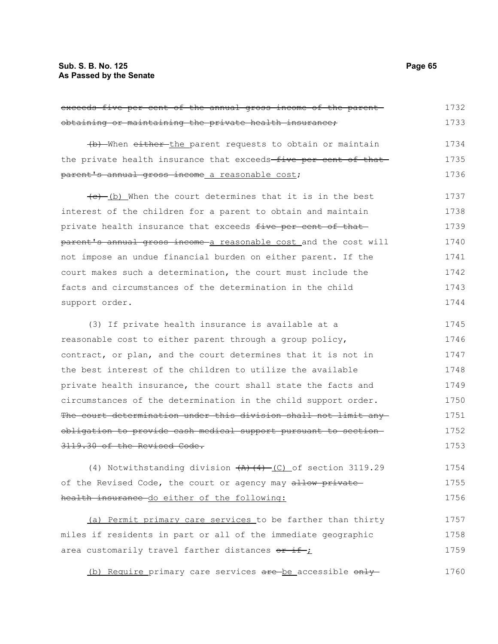exceeds five per cent of the annual gross income of the parent obtaining or maintaining the private health insurance; (b) When either the parent requests to obtain or maintain the private health insurance that exceeds-five per cent of thatparent's annual gross income a reasonable cost;  $(e)$  (b) When the court determines that it is in the best interest of the children for a parent to obtain and maintain private health insurance that exceeds five per cent of that parent's annual gross income a reasonable cost and the cost will not impose an undue financial burden on either parent. If the court makes such a determination, the court must include the facts and circumstances of the determination in the child support order. (3) If private health insurance is available at a reasonable cost to either parent through a group policy, contract, or plan, and the court determines that it is not in the best interest of the children to utilize the available private health insurance, the court shall state the facts and circumstances of the determination in the child support order. The court determination under this division shall not limit anyobligation to provide cash medical support pursuant to section 3119.30 of the Revised Code. (4) Notwithstanding division  $(A)$   $(4)$   $(C)$  of section 3119.29 of the Revised Code, the court or agency may allow privatehealth insurance do either of the following: (a) Permit primary care services to be farther than thirty miles if residents in part or all of the immediate geographic area customarily travel farther distances  $or if j$ 1732 1733 1734 1735 1736 1737 1738 1739 1740 1741 1742 1743 1744 1745 1746 1747 1748 1749 1750 1751 1752 1753 1754 1755 1756 1757 1758 1759

(b) Require primary care services are be accessible only 1760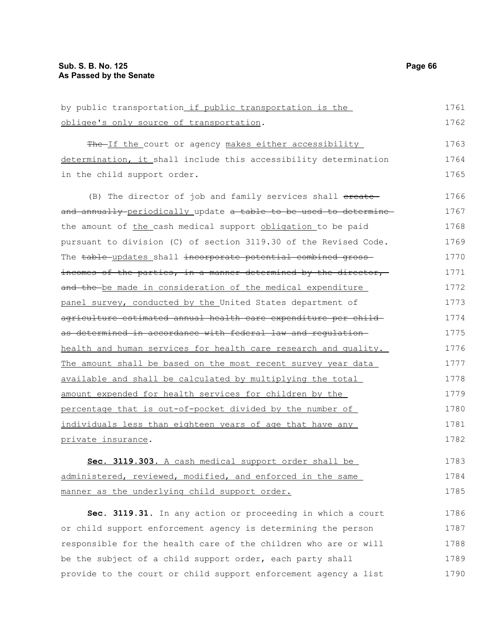| by public transportation_if public transportation is the<br>obligee's only source of transportation.<br>The If the court or agency makes either accessibility<br>1764<br>determination, it shall include this accessibility determination<br>in the child support order.<br>(B) The director of job and family services shall ereate<br>and annually periodically update a table to be used to determine<br>the amount of the cash medical support obligation to be paid<br>pursuant to division (C) of section 3119.30 of the Revised Code.<br>The table-updates shall incorporate potential combined gross-<br>incomes of the parties, in a manner determined by the director,<br>and the be made in consideration of the medical expenditure<br>panel survey, conducted by the United States department of<br>agriculture estimated annual health care expenditure per child-<br>as determined in accordance with federal law and requlation-<br>health and human services for health care research and quality.<br>The amount shall be based on the most recent survey year data<br>available and shall be calculated by multiplying the total<br>amount expended for health services for children by the<br>percentage that is out-of-pocket divided by the number of<br>individuals less than eighteen years of age that have any<br>private insurance.<br>Sec. 3119.303. A cash medical support order shall be<br>administered, reviewed, modified, and enforced in the same |                                               |      |
|-------------------------------------------------------------------------------------------------------------------------------------------------------------------------------------------------------------------------------------------------------------------------------------------------------------------------------------------------------------------------------------------------------------------------------------------------------------------------------------------------------------------------------------------------------------------------------------------------------------------------------------------------------------------------------------------------------------------------------------------------------------------------------------------------------------------------------------------------------------------------------------------------------------------------------------------------------------------------------------------------------------------------------------------------------------------------------------------------------------------------------------------------------------------------------------------------------------------------------------------------------------------------------------------------------------------------------------------------------------------------------------------------------------------------------------------------------------------------------------|-----------------------------------------------|------|
|                                                                                                                                                                                                                                                                                                                                                                                                                                                                                                                                                                                                                                                                                                                                                                                                                                                                                                                                                                                                                                                                                                                                                                                                                                                                                                                                                                                                                                                                                     |                                               | 1761 |
|                                                                                                                                                                                                                                                                                                                                                                                                                                                                                                                                                                                                                                                                                                                                                                                                                                                                                                                                                                                                                                                                                                                                                                                                                                                                                                                                                                                                                                                                                     |                                               | 1762 |
|                                                                                                                                                                                                                                                                                                                                                                                                                                                                                                                                                                                                                                                                                                                                                                                                                                                                                                                                                                                                                                                                                                                                                                                                                                                                                                                                                                                                                                                                                     |                                               | 1763 |
|                                                                                                                                                                                                                                                                                                                                                                                                                                                                                                                                                                                                                                                                                                                                                                                                                                                                                                                                                                                                                                                                                                                                                                                                                                                                                                                                                                                                                                                                                     |                                               |      |
|                                                                                                                                                                                                                                                                                                                                                                                                                                                                                                                                                                                                                                                                                                                                                                                                                                                                                                                                                                                                                                                                                                                                                                                                                                                                                                                                                                                                                                                                                     |                                               |      |
|                                                                                                                                                                                                                                                                                                                                                                                                                                                                                                                                                                                                                                                                                                                                                                                                                                                                                                                                                                                                                                                                                                                                                                                                                                                                                                                                                                                                                                                                                     |                                               | 1765 |
|                                                                                                                                                                                                                                                                                                                                                                                                                                                                                                                                                                                                                                                                                                                                                                                                                                                                                                                                                                                                                                                                                                                                                                                                                                                                                                                                                                                                                                                                                     |                                               | 1766 |
|                                                                                                                                                                                                                                                                                                                                                                                                                                                                                                                                                                                                                                                                                                                                                                                                                                                                                                                                                                                                                                                                                                                                                                                                                                                                                                                                                                                                                                                                                     |                                               | 1767 |
|                                                                                                                                                                                                                                                                                                                                                                                                                                                                                                                                                                                                                                                                                                                                                                                                                                                                                                                                                                                                                                                                                                                                                                                                                                                                                                                                                                                                                                                                                     |                                               | 1768 |
|                                                                                                                                                                                                                                                                                                                                                                                                                                                                                                                                                                                                                                                                                                                                                                                                                                                                                                                                                                                                                                                                                                                                                                                                                                                                                                                                                                                                                                                                                     |                                               | 1769 |
|                                                                                                                                                                                                                                                                                                                                                                                                                                                                                                                                                                                                                                                                                                                                                                                                                                                                                                                                                                                                                                                                                                                                                                                                                                                                                                                                                                                                                                                                                     |                                               | 1770 |
|                                                                                                                                                                                                                                                                                                                                                                                                                                                                                                                                                                                                                                                                                                                                                                                                                                                                                                                                                                                                                                                                                                                                                                                                                                                                                                                                                                                                                                                                                     |                                               | 1771 |
|                                                                                                                                                                                                                                                                                                                                                                                                                                                                                                                                                                                                                                                                                                                                                                                                                                                                                                                                                                                                                                                                                                                                                                                                                                                                                                                                                                                                                                                                                     |                                               | 1772 |
|                                                                                                                                                                                                                                                                                                                                                                                                                                                                                                                                                                                                                                                                                                                                                                                                                                                                                                                                                                                                                                                                                                                                                                                                                                                                                                                                                                                                                                                                                     |                                               | 1773 |
|                                                                                                                                                                                                                                                                                                                                                                                                                                                                                                                                                                                                                                                                                                                                                                                                                                                                                                                                                                                                                                                                                                                                                                                                                                                                                                                                                                                                                                                                                     |                                               | 1774 |
|                                                                                                                                                                                                                                                                                                                                                                                                                                                                                                                                                                                                                                                                                                                                                                                                                                                                                                                                                                                                                                                                                                                                                                                                                                                                                                                                                                                                                                                                                     |                                               | 1775 |
|                                                                                                                                                                                                                                                                                                                                                                                                                                                                                                                                                                                                                                                                                                                                                                                                                                                                                                                                                                                                                                                                                                                                                                                                                                                                                                                                                                                                                                                                                     |                                               | 1776 |
|                                                                                                                                                                                                                                                                                                                                                                                                                                                                                                                                                                                                                                                                                                                                                                                                                                                                                                                                                                                                                                                                                                                                                                                                                                                                                                                                                                                                                                                                                     |                                               | 1777 |
|                                                                                                                                                                                                                                                                                                                                                                                                                                                                                                                                                                                                                                                                                                                                                                                                                                                                                                                                                                                                                                                                                                                                                                                                                                                                                                                                                                                                                                                                                     |                                               | 1778 |
|                                                                                                                                                                                                                                                                                                                                                                                                                                                                                                                                                                                                                                                                                                                                                                                                                                                                                                                                                                                                                                                                                                                                                                                                                                                                                                                                                                                                                                                                                     |                                               | 1779 |
|                                                                                                                                                                                                                                                                                                                                                                                                                                                                                                                                                                                                                                                                                                                                                                                                                                                                                                                                                                                                                                                                                                                                                                                                                                                                                                                                                                                                                                                                                     |                                               | 1780 |
|                                                                                                                                                                                                                                                                                                                                                                                                                                                                                                                                                                                                                                                                                                                                                                                                                                                                                                                                                                                                                                                                                                                                                                                                                                                                                                                                                                                                                                                                                     |                                               | 1781 |
|                                                                                                                                                                                                                                                                                                                                                                                                                                                                                                                                                                                                                                                                                                                                                                                                                                                                                                                                                                                                                                                                                                                                                                                                                                                                                                                                                                                                                                                                                     |                                               | 1782 |
|                                                                                                                                                                                                                                                                                                                                                                                                                                                                                                                                                                                                                                                                                                                                                                                                                                                                                                                                                                                                                                                                                                                                                                                                                                                                                                                                                                                                                                                                                     |                                               | 1783 |
|                                                                                                                                                                                                                                                                                                                                                                                                                                                                                                                                                                                                                                                                                                                                                                                                                                                                                                                                                                                                                                                                                                                                                                                                                                                                                                                                                                                                                                                                                     |                                               | 1784 |
|                                                                                                                                                                                                                                                                                                                                                                                                                                                                                                                                                                                                                                                                                                                                                                                                                                                                                                                                                                                                                                                                                                                                                                                                                                                                                                                                                                                                                                                                                     | manner as the underlying child support order. | 1785 |

**Sec. 3119.31.** In any action or proceeding in which a court or child support enforcement agency is determining the person responsible for the health care of the children who are or will be the subject of a child support order, each party shall provide to the court or child support enforcement agency a list 1786 1787 1788 1789 1790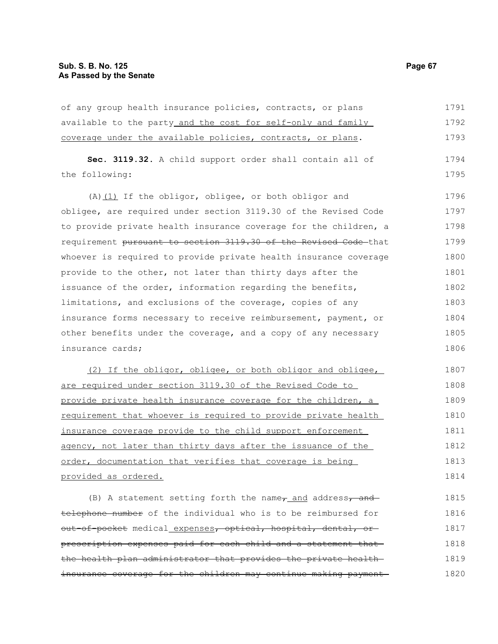of any group health insurance policies, contracts, or plans available to the party\_and the cost for self-only and family coverage under the available policies, contracts, or plans. **Sec. 3119.32.** A child support order shall contain all of the following: (A) $(1)$  If the obligor, obligee, or both obligor and obligee, are required under section 3119.30 of the Revised Code to provide private health insurance coverage for the children, a requirement pursuant to section 3119.30 of the Revised Code that whoever is required to provide private health insurance coverage provide to the other, not later than thirty days after the issuance of the order, information regarding the benefits, limitations, and exclusions of the coverage, copies of any insurance forms necessary to receive reimbursement, payment, or other benefits under the coverage, and a copy of any necessary insurance cards; (2) If the obligor, obligee, or both obligor and obligee, are required under section 3119.30 of the Revised Code to provide private health insurance coverage for the children, a requirement that whoever is required to provide private health insurance coverage provide to the child support enforcement agency, not later than thirty days after the issuance of the order, documentation that verifies that coverage is being provided as ordered. (B) A statement setting forth the name, and address, and telephone number of the individual who is to be reimbursed for out-of-pocket medical expenses, optical, hospital, dental, or prescription expenses paid for each child and a statement that the health plan administrator that provides the private health 1791 1792 1793 1794 1795 1796 1797 1798 1799 1800 1801 1802 1803 1804 1805 1806 1807 1808 1809 1810 1811 1812 1813 1814 1815 1816 1817 1818 1819

insurance coverage for the children may continue making payment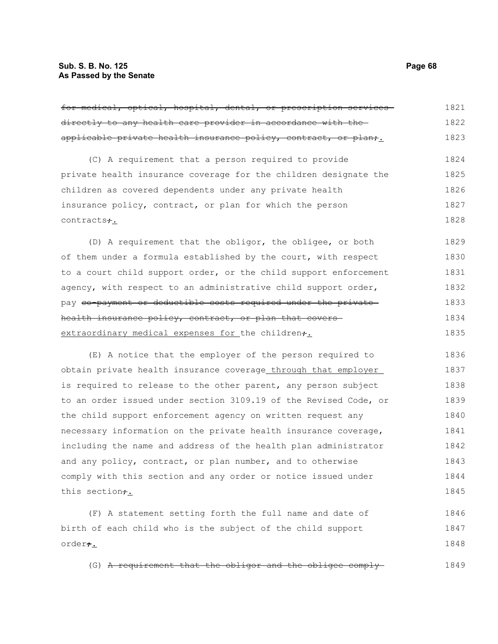order<del>;</del>

| for medical, optical, hospital, dental, or prescription services | 1821 |
|------------------------------------------------------------------|------|
| directly to any health care provider in accordance with the-     | 1822 |
| applicable private health insurance policy, contract, or plan;   | 1823 |
| (C) A requirement that a person required to provide              | 1824 |
| private health insurance coverage for the children designate the | 1825 |
| children as covered dependents under any private health          | 1826 |
| insurance policy, contract, or plan for which the person         | 1827 |
| contracts+.                                                      | 1828 |
| (D) A requirement that the obligor, the obligee, or both         | 1829 |
| of them under a formula established by the court, with respect   | 1830 |
| to a court child support order, or the child support enforcement | 1831 |
| agency, with respect to an administrative child support order,   | 1832 |
| pay eo-payment or deductible costs required under the private-   | 1833 |
| health insurance policy, contract, or plan that covers           | 1834 |
| extraordinary medical expenses for the children+.                | 1835 |
| (E) A notice that the employer of the person required to         | 1836 |
| obtain private health insurance coverage through that employer   | 1837 |
| is required to release to the other parent, any person subject   | 1838 |
| to an order issued under section 3109.19 of the Revised Code, or | 1839 |
| the child support enforcement agency on written request any      | 1840 |
| necessary information on the private health insurance coverage,  | 1841 |
| including the name and address of the health plan administrator  | 1842 |
| and any policy, contract, or plan number, and to otherwise       | 1843 |
| comply with this section and any order or notice issued under    | 1844 |
| this section+.                                                   | 1845 |
| (F) A statement setting forth the full name and date of          | 1846 |
| birth of each child who is the subject of the child support      | 1847 |

(G) A requirement that the obligor and the obligee comply 1849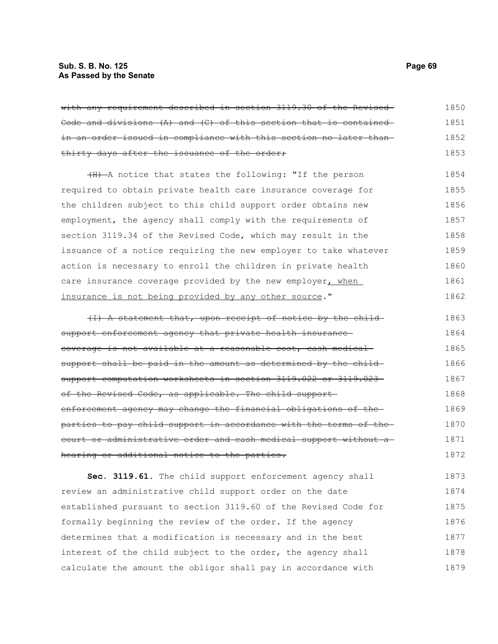## **Sub. S. B. No. 125 Page 69 As Passed by the Senate**

| with any requirement described in section 3119.30 of the Revised- | 1850 |
|-------------------------------------------------------------------|------|
| Code and divisions (A) and (C) of this section that is contained- | 1851 |
| in an order issued in compliance with this section no later than- | 1852 |
| thirty days after the issuance of the order;                      | 1853 |
| (H) A notice that states the following: "If the person            | 1854 |
| required to obtain private health care insurance coverage for     | 1855 |
| the children subject to this child support order obtains new      | 1856 |
| employment, the agency shall comply with the requirements of      | 1857 |
| section 3119.34 of the Revised Code, which may result in the      | 1858 |
| issuance of a notice requiring the new employer to take whatever  | 1859 |
| action is necessary to enroll the children in private health      | 1860 |
| care insurance coverage provided by the new employer, when        | 1861 |
| insurance is not being provided by any other source."             | 1862 |
|                                                                   |      |
| (I) A statement that, upon receipt of notice by the child         | 1863 |
| support enforcement agency that private health insurance          | 1864 |
| coverage is not available at a reasonable cost, cash medical-     | 1865 |
| support shall be paid in the amount as determined by the child-   | 1866 |
| support computation worksheets in section 3119.022 or 3119.023    | 1867 |
| of the Revised Code, as applicable. The child support-            | 1868 |
| enforcement agency may change the financial obligations of the-   | 1869 |
| parties to pay child support in accordance with the terms of the- | 1870 |
| court or administrative order and cash medical support without a- | 1871 |
| hearing or additional notice to the parties.                      | 1872 |
|                                                                   |      |

**Sec. 3119.61.** The child support enforcement agency shall review an administrative child support order on the date established pursuant to section 3119.60 of the Revised Code for formally beginning the review of the order. If the agency determines that a modification is necessary and in the best interest of the child subject to the order, the agency shall calculate the amount the obligor shall pay in accordance with 1873 1874 1875 1876 1877 1878 1879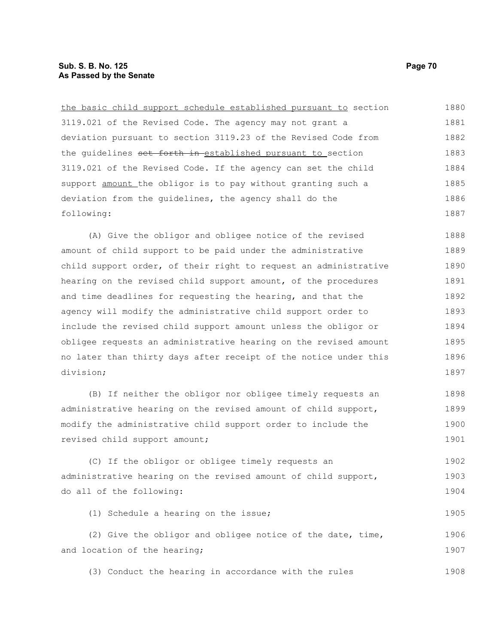the basic child support schedule established pursuant to section 3119.021 of the Revised Code. The agency may not grant a deviation pursuant to section 3119.23 of the Revised Code from the quidelines set forth in established pursuant to section 3119.021 of the Revised Code. If the agency can set the child support amount the obligor is to pay without granting such a deviation from the guidelines, the agency shall do the following: (A) Give the obligor and obligee notice of the revised amount of child support to be paid under the administrative child support order, of their right to request an administrative hearing on the revised child support amount, of the procedures and time deadlines for requesting the hearing, and that the agency will modify the administrative child support order to include the revised child support amount unless the obligor or obligee requests an administrative hearing on the revised amount no later than thirty days after receipt of the notice under this division; 1880 1881 1882 1883 1884 1885 1886 1887 1888 1889 1890 1891 1892 1893 1894 1895 1896 1897

(B) If neither the obligor nor obligee timely requests an administrative hearing on the revised amount of child support, modify the administrative child support order to include the revised child support amount; 1898 1899 1900 1901

(C) If the obligor or obligee timely requests an administrative hearing on the revised amount of child support, do all of the following: 1902 1903 1904

(1) Schedule a hearing on the issue;

(2) Give the obligor and obligee notice of the date, time, and location of the hearing; 1906 1907

(3) Conduct the hearing in accordance with the rules 1908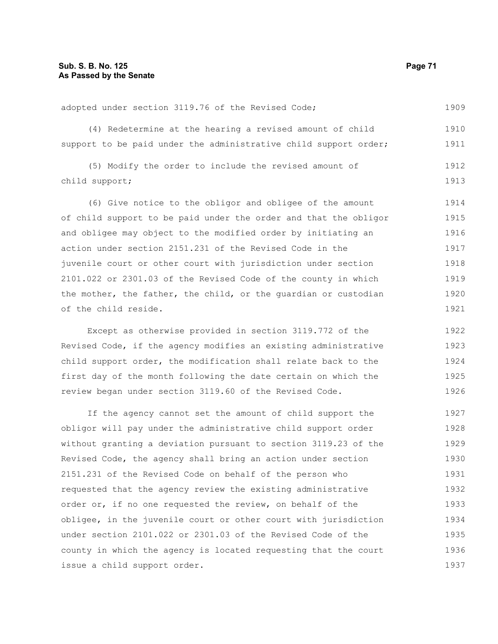adopted under section 3119.76 of the Revised Code; 1909

(4) Redetermine at the hearing a revised amount of child support to be paid under the administrative child support order; 1910 1911

(5) Modify the order to include the revised amount of child support; 1912 1913

(6) Give notice to the obligor and obligee of the amount of child support to be paid under the order and that the obligor and obligee may object to the modified order by initiating an action under section 2151.231 of the Revised Code in the juvenile court or other court with jurisdiction under section 2101.022 or 2301.03 of the Revised Code of the county in which the mother, the father, the child, or the guardian or custodian of the child reside. 1914 1915 1916 1917 1918 1919 1920 1921

Except as otherwise provided in section 3119.772 of the Revised Code, if the agency modifies an existing administrative child support order, the modification shall relate back to the first day of the month following the date certain on which the review began under section 3119.60 of the Revised Code. 1922 1923 1924 1925 1926

If the agency cannot set the amount of child support the obligor will pay under the administrative child support order without granting a deviation pursuant to section 3119.23 of the Revised Code, the agency shall bring an action under section 2151.231 of the Revised Code on behalf of the person who requested that the agency review the existing administrative order or, if no one requested the review, on behalf of the obligee, in the juvenile court or other court with jurisdiction under section 2101.022 or 2301.03 of the Revised Code of the county in which the agency is located requesting that the court issue a child support order. 1927 1928 1929 1930 1931 1932 1933 1934 1935 1936 1937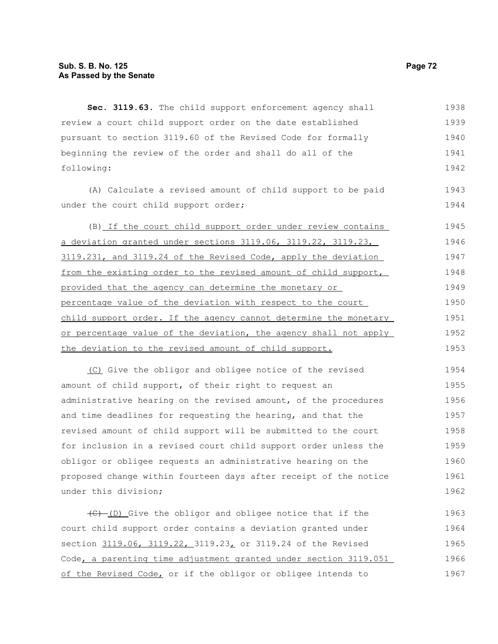**Sec. 3119.63.** The child support enforcement agency shall review a court child support order on the date established pursuant to section 3119.60 of the Revised Code for formally beginning the review of the order and shall do all of the following: 1938 1939 1940 1941 1942

(A) Calculate a revised amount of child support to be paid under the court child support order;

(B) If the court child support order under review contains a deviation granted under sections 3119.06, 3119.22, 3119.23, 3119.231, and 3119.24 of the Revised Code, apply the deviation from the existing order to the revised amount of child support, provided that the agency can determine the monetary or percentage value of the deviation with respect to the court child support order. If the agency cannot determine the monetary or percentage value of the deviation, the agency shall not apply the deviation to the revised amount of child support. 1945 1946 1947 1948 1949 1950 1951 1952 1953

(C) Give the obligor and obligee notice of the revised amount of child support, of their right to request an administrative hearing on the revised amount, of the procedures and time deadlines for requesting the hearing, and that the revised amount of child support will be submitted to the court for inclusion in a revised court child support order unless the obligor or obligee requests an administrative hearing on the proposed change within fourteen days after receipt of the notice under this division; 1954 1955 1956 1957 1958 1959 1960 1961 1962

 $\overline{(C) - (D)}$  Give the obligor and obligee notice that if the court child support order contains a deviation granted under section 3119.06, 3119.22, 3119.23, or 3119.24 of the Revised Code, a parenting time adjustment granted under section 3119.051 of the Revised Code, or if the obligor or obligee intends to 1963 1964 1965 1966 1967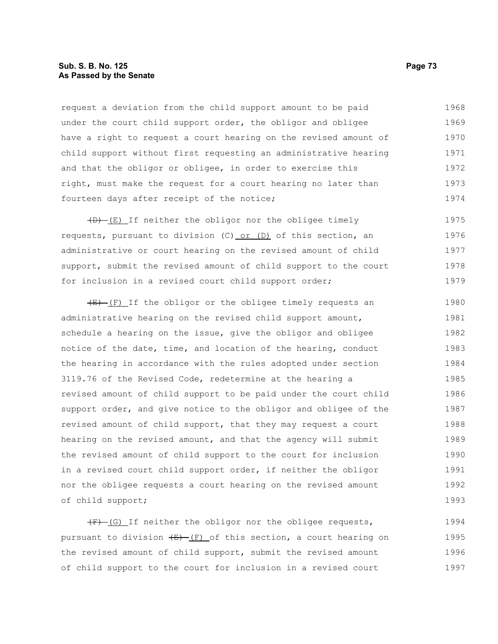# **Sub. S. B. No. 125 Page 73 As Passed by the Senate**

request a deviation from the child support amount to be paid under the court child support order, the obligor and obligee have a right to request a court hearing on the revised amount of child support without first requesting an administrative hearing and that the obligor or obligee, in order to exercise this right, must make the request for a court hearing no later than fourteen days after receipt of the notice; 1968 1969 1970 1971 1972 1973 1974

 $(D)$  (E) If neither the obligor nor the obligee timely requests, pursuant to division (C) or  $(D)$  of this section, an administrative or court hearing on the revised amount of child support, submit the revised amount of child support to the court for inclusion in a revised court child support order; 1975 1976 1977 1978 1979

 $(E)$  If the obligor or the obligee timely requests an administrative hearing on the revised child support amount, schedule a hearing on the issue, give the obligor and obligee notice of the date, time, and location of the hearing, conduct the hearing in accordance with the rules adopted under section 3119.76 of the Revised Code, redetermine at the hearing a revised amount of child support to be paid under the court child support order, and give notice to the obligor and obligee of the revised amount of child support, that they may request a court hearing on the revised amount, and that the agency will submit the revised amount of child support to the court for inclusion in a revised court child support order, if neither the obligor nor the obligee requests a court hearing on the revised amount of child support; 1980 1981 1982 1983 1984 1985 1986 1987 1988 1989 1990 1991 1992 1993

 $(F)$  (G) If neither the obligor nor the obligee requests, pursuant to division  $(E)$  (F) of this section, a court hearing on the revised amount of child support, submit the revised amount of child support to the court for inclusion in a revised court 1994 1995 1996 1997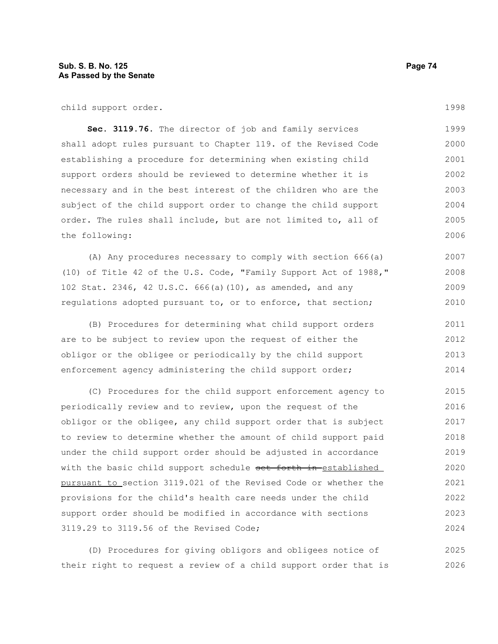child support order.

**Sec. 3119.76.** The director of job and family services shall adopt rules pursuant to Chapter 119. of the Revised Code establishing a procedure for determining when existing child support orders should be reviewed to determine whether it is necessary and in the best interest of the children who are the subject of the child support order to change the child support order. The rules shall include, but are not limited to, all of the following: 1999 2000 2001 2002 2003 2004 2005 2006

(A) Any procedures necessary to comply with section 666(a) (10) of Title 42 of the U.S. Code, "Family Support Act of 1988," 102 Stat. 2346, 42 U.S.C. 666(a)(10), as amended, and any regulations adopted pursuant to, or to enforce, that section; 2007 2008 2009 2010

(B) Procedures for determining what child support orders are to be subject to review upon the request of either the obligor or the obligee or periodically by the child support enforcement agency administering the child support order; 2011 2012 2013 2014

(C) Procedures for the child support enforcement agency to periodically review and to review, upon the request of the obligor or the obligee, any child support order that is subject to review to determine whether the amount of child support paid under the child support order should be adjusted in accordance with the basic child support schedule set forth in established pursuant to section 3119.021 of the Revised Code or whether the provisions for the child's health care needs under the child support order should be modified in accordance with sections 3119.29 to 3119.56 of the Revised Code; 2015 2016 2017 2018 2019 2020 2021 2022 2023 2024

(D) Procedures for giving obligors and obligees notice of their right to request a review of a child support order that is 2025 2026

1998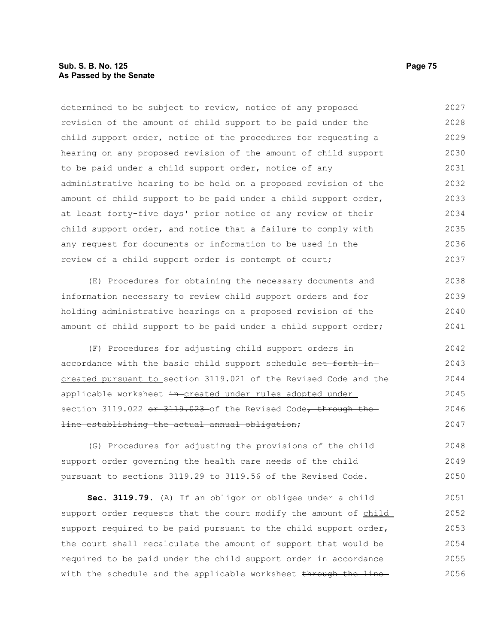# **Sub. S. B. No. 125 Page 75 As Passed by the Senate**

determined to be subject to review, notice of any proposed revision of the amount of child support to be paid under the child support order, notice of the procedures for requesting a hearing on any proposed revision of the amount of child support to be paid under a child support order, notice of any administrative hearing to be held on a proposed revision of the amount of child support to be paid under a child support order, at least forty-five days' prior notice of any review of their child support order, and notice that a failure to comply with any request for documents or information to be used in the review of a child support order is contempt of court; 2027 2028 2029 2030 2031 2032 2033 2034 2035 2036 2037

(E) Procedures for obtaining the necessary documents and information necessary to review child support orders and for holding administrative hearings on a proposed revision of the amount of child support to be paid under a child support order; 2038 2039 2040 2041

(F) Procedures for adjusting child support orders in accordance with the basic child support schedule set forth increated pursuant to section 3119.021 of the Revised Code and the applicable worksheet in-created under rules adopted under section 3119.022 or 3119.023 of the Revised Code, through the line establishing the actual annual obligation; 2042 2043 2044 2045 2046 2047

(G) Procedures for adjusting the provisions of the child support order governing the health care needs of the child pursuant to sections 3119.29 to 3119.56 of the Revised Code. 2048 2049 2050

**Sec. 3119.79.** (A) If an obligor or obligee under a child support order requests that the court modify the amount of child support required to be paid pursuant to the child support order, the court shall recalculate the amount of support that would be required to be paid under the child support order in accordance with the schedule and the applicable worksheet through the line-2051 2052 2053 2054 2055 2056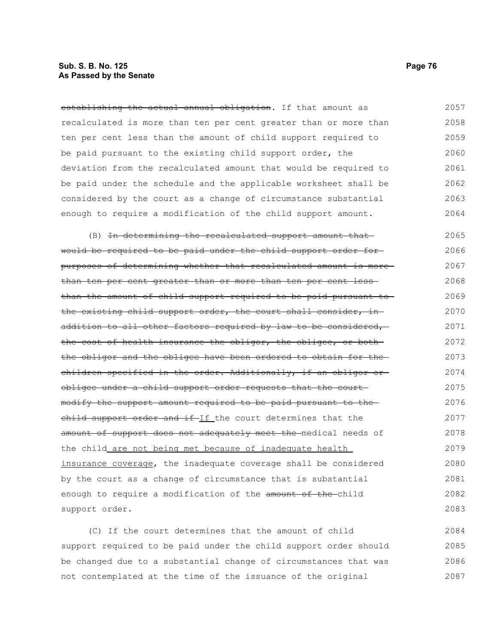# **Sub. S. B. No. 125 Page 76 As Passed by the Senate**

establishing the actual annual obligation. If that amount as recalculated is more than ten per cent greater than or more than ten per cent less than the amount of child support required to be paid pursuant to the existing child support order, the deviation from the recalculated amount that would be required to be paid under the schedule and the applicable worksheet shall be considered by the court as a change of circumstance substantial enough to require a modification of the child support amount. 2057 2058 2059 2060 2061 2062 2063 2064

(B) In determining the recalculated support amount thatwould be required to be paid under the child support order for purposes of determining whether that recalculated amount is more than ten per cent greater than or more than ten per cent lessthan the amount of child support required to be paid pursuant to the existing child support order, the court shall consider, inaddition to all other factors required by law to be considered, the cost of health insurance the obligor, the obligee, or both the obligor and the obligee have been ordered to obtain for the children specified in the order. Additionally, if an obligor or obligee under a child support order requests that the court modify the support amount required to be paid pursuant to the child support order and if-If the court determines that the amount of support does not adequately meet the medical needs of the child are not being met because of inadequate health insurance coverage, the inadequate coverage shall be considered by the court as a change of circumstance that is substantial enough to require a modification of the amount of the-child support order. 2065 2066 2067 2068 2069 2070 2071 2072 2073 2074 2075 2076 2077 2078 2079 2080 2081 2082 2083

(C) If the court determines that the amount of child support required to be paid under the child support order should be changed due to a substantial change of circumstances that was not contemplated at the time of the issuance of the original 2084 2085 2086 2087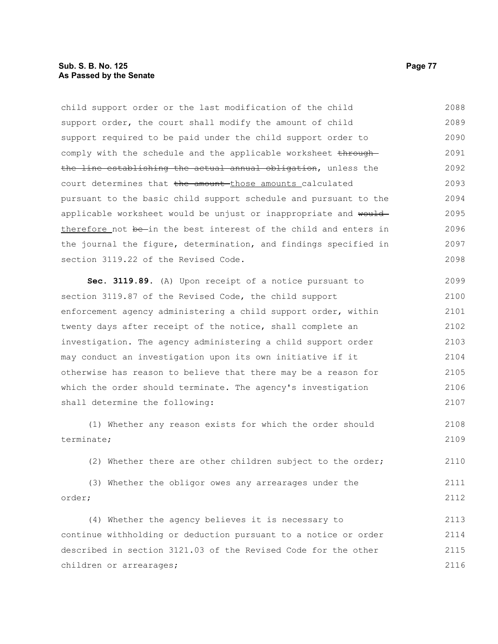# **Sub. S. B. No. 125 Page 77 As Passed by the Senate**

child support order or the last modification of the child support order, the court shall modify the amount of child support required to be paid under the child support order to comply with the schedule and the applicable worksheet throughthe line establishing the actual annual obligation, unless the court determines that the amount those amounts calculated pursuant to the basic child support schedule and pursuant to the applicable worksheet would be unjust or inappropriate and would therefore not be-in the best interest of the child and enters in the journal the figure, determination, and findings specified in section 3119.22 of the Revised Code. 2088 2089 2090 2091 2092 2093 2094 2095 2096 2097 2098

**Sec. 3119.89.** (A) Upon receipt of a notice pursuant to section 3119.87 of the Revised Code, the child support enforcement agency administering a child support order, within twenty days after receipt of the notice, shall complete an investigation. The agency administering a child support order may conduct an investigation upon its own initiative if it otherwise has reason to believe that there may be a reason for which the order should terminate. The agency's investigation shall determine the following: 2099 2100 2101 2102 2103 2104 2105 2106 2107

(1) Whether any reason exists for which the order should terminate; 2108 2109

(2) Whether there are other children subject to the order; 2110

(3) Whether the obligor owes any arrearages under the order; 2111 2112

(4) Whether the agency believes it is necessary to continue withholding or deduction pursuant to a notice or order described in section 3121.03 of the Revised Code for the other children or arrearages; 2113 2114 2115 2116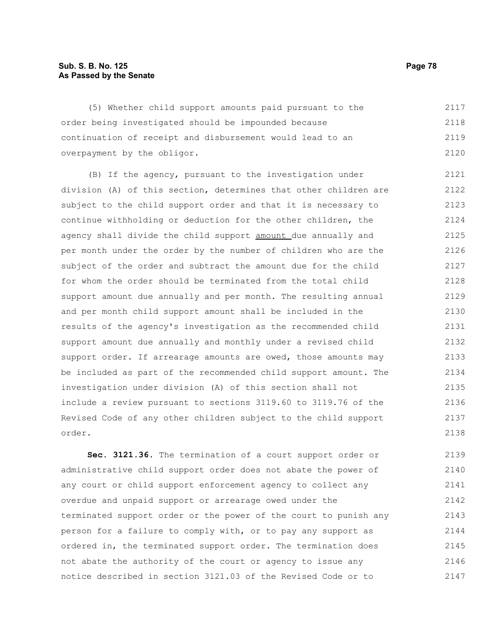# **Sub. S. B. No. 125 Page 78 As Passed by the Senate**

(5) Whether child support amounts paid pursuant to the order being investigated should be impounded because continuation of receipt and disbursement would lead to an overpayment by the obligor. 2117 2118 2119 2120

(B) If the agency, pursuant to the investigation under division (A) of this section, determines that other children are subject to the child support order and that it is necessary to continue withholding or deduction for the other children, the agency shall divide the child support amount due annually and per month under the order by the number of children who are the subject of the order and subtract the amount due for the child for whom the order should be terminated from the total child support amount due annually and per month. The resulting annual and per month child support amount shall be included in the results of the agency's investigation as the recommended child support amount due annually and monthly under a revised child support order. If arrearage amounts are owed, those amounts may be included as part of the recommended child support amount. The investigation under division (A) of this section shall not include a review pursuant to sections 3119.60 to 3119.76 of the Revised Code of any other children subject to the child support order. 2121 2122 2123 2124 2125 2126 2127 2128 2129 2130 2131 2132 2133 2134 2135 2136 2137 2138

**Sec. 3121.36.** The termination of a court support order or administrative child support order does not abate the power of any court or child support enforcement agency to collect any overdue and unpaid support or arrearage owed under the terminated support order or the power of the court to punish any person for a failure to comply with, or to pay any support as ordered in, the terminated support order. The termination does not abate the authority of the court or agency to issue any notice described in section 3121.03 of the Revised Code or to 2139 2140 2141 2142 2143 2144 2145 2146 2147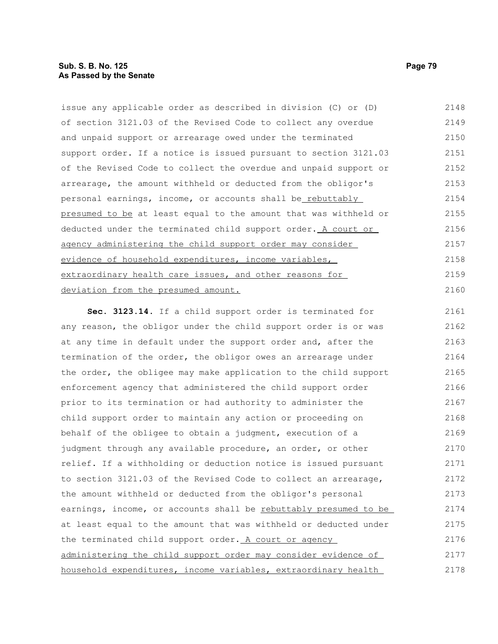issue any applicable order as described in division (C) or (D) of section 3121.03 of the Revised Code to collect any overdue and unpaid support or arrearage owed under the terminated support order. If a notice is issued pursuant to section 3121.03 of the Revised Code to collect the overdue and unpaid support or arrearage, the amount withheld or deducted from the obligor's personal earnings, income, or accounts shall be rebuttably presumed to be at least equal to the amount that was withheld or deducted under the terminated child support order. A court or agency administering the child support order may consider evidence of household expenditures, income variables, extraordinary health care issues, and other reasons for deviation from the presumed amount. 2148 2149 2150 2151 2152 2153 2154 2155 2156 2157 2158 2159 2160

**Sec. 3123.14.** If a child support order is terminated for any reason, the obligor under the child support order is or was at any time in default under the support order and, after the termination of the order, the obligor owes an arrearage under the order, the obligee may make application to the child support enforcement agency that administered the child support order prior to its termination or had authority to administer the child support order to maintain any action or proceeding on behalf of the obligee to obtain a judgment, execution of a judgment through any available procedure, an order, or other relief. If a withholding or deduction notice is issued pursuant to section 3121.03 of the Revised Code to collect an arrearage, the amount withheld or deducted from the obligor's personal earnings, income, or accounts shall be rebuttably presumed to be at least equal to the amount that was withheld or deducted under the terminated child support order. A court or agency administering the child support order may consider evidence of household expenditures, income variables, extraordinary health 2161 2162 2163 2164 2165 2166 2167 2168 2169 2170 2171 2172 2173 2174 2175 2176 2177 2178